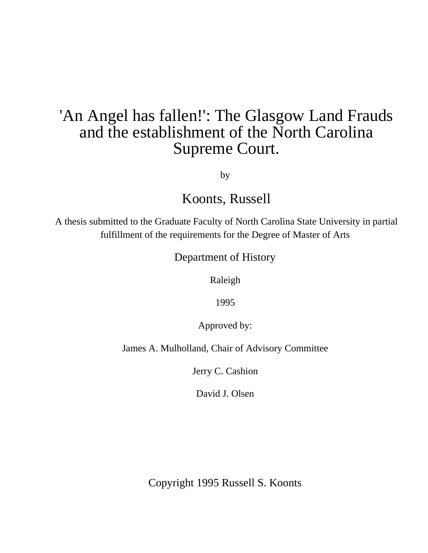# 'An Angel has fallen!': The Glasgow Land Frauds and the establishment of the North Carolina Supreme Court.

by

# Koonts, Russell

A thesis submitted to the Graduate Faculty of North Carolina State University in partial fulfillment of the requirements for the Degree of Master of Arts

Department of History

Raleigh

1995

Approved by:

James A. Mulholland, Chair of Advisory Committee

Jerry C. Cashion

David J. Olsen

Copyright 1995 Russell S. Koonts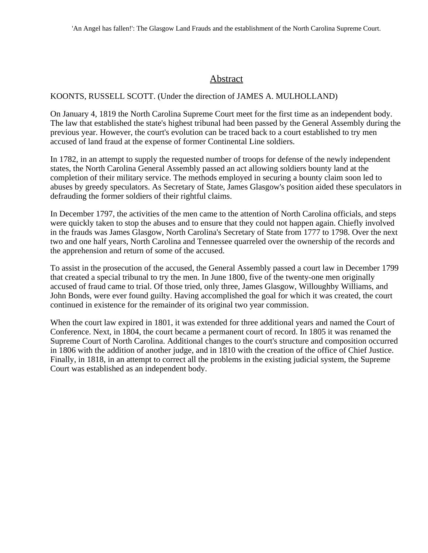#### Abstract

#### KOONTS, RUSSELL SCOTT. (Under the direction of JAMES A. MULHOLLAND)

On January 4, 1819 the North Carolina Supreme Court meet for the first time as an independent body. The law that established the state's highest tribunal had been passed by the General Assembly during the previous year. However, the court's evolution can be traced back to a court established to try men accused of land fraud at the expense of former Continental Line soldiers.

In 1782, in an attempt to supply the requested number of troops for defense of the newly independent states, the North Carolina General Assembly passed an act allowing soldiers bounty land at the completion of their military service. The methods employed in securing a bounty claim soon led to abuses by greedy speculators. As Secretary of State, James Glasgow's position aided these speculators in defrauding the former soldiers of their rightful claims.

In December 1797, the activities of the men came to the attention of North Carolina officials, and steps were quickly taken to stop the abuses and to ensure that they could not happen again. Chiefly involved in the frauds was James Glasgow, North Carolina's Secretary of State from 1777 to 1798. Over the next two and one half years, North Carolina and Tennessee quarreled over the ownership of the records and the apprehension and return of some of the accused.

To assist in the prosecution of the accused, the General Assembly passed a court law in December 1799 that created a special tribunal to try the men. In June 1800, five of the twenty-one men originally accused of fraud came to trial. Of those tried, only three, James Glasgow, Willoughby Williams, and John Bonds, were ever found guilty. Having accomplished the goal for which it was created, the court continued in existence for the remainder of its original two year commission.

When the court law expired in 1801, it was extended for three additional years and named the Court of Conference. Next, in 1804, the court became a permanent court of record. In 1805 it was renamed the Supreme Court of North Carolina. Additional changes to the court's structure and composition occurred in 1806 with the addition of another judge, and in 1810 with the creation of the office of Chief Justice. Finally, in 1818, in an attempt to correct all the problems in the existing judicial system, the Supreme Court was established as an independent body.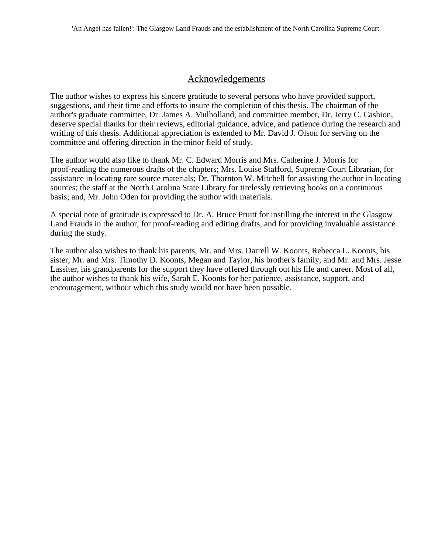#### Acknowledgements

The author wishes to express his sincere gratitude to several persons who have provided support, suggestions, and their time and efforts to insure the completion of this thesis. The chairman of the author's graduate committee, Dr. James A. Mulholland, and committee member, Dr. Jerry C. Cashion, deserve special thanks for their reviews, editorial guidance, advice, and patience during the research and writing of this thesis. Additional appreciation is extended to Mr. David J. Olson for serving on the committee and offering direction in the minor field of study.

The author would also like to thank Mr. C. Edward Morris and Mrs. Catherine J. Morris for proof-reading the numerous drafts of the chapters; Mrs. Louise Stafford, Supreme Court Librarian, for assistance in locating rare source materials; Dr. Thornton W. Mitchell for assisting the author in locating sources; the staff at the North Carolina State Library for tirelessly retrieving books on a continuous basis; and, Mr. John Oden for providing the author with materials.

A special note of gratitude is expressed to Dr. A. Bruce Pruitt for instilling the interest in the Glasgow Land Frauds in the author, for proof-reading and editing drafts, and for providing invaluable assistance during the study.

The author also wishes to thank his parents, Mr. and Mrs. Darrell W. Koonts, Rebecca L. Koonts, his sister, Mr. and Mrs. Timothy D. Koonts, Megan and Taylor, his brother's family, and Mr. and Mrs. Jesse Lassiter, his grandparents for the support they have offered through out his life and career. Most of all, the author wishes to thank his wife, Sarah E. Koonts for her patience, assistance, support, and encouragement, without which this study would not have been possible.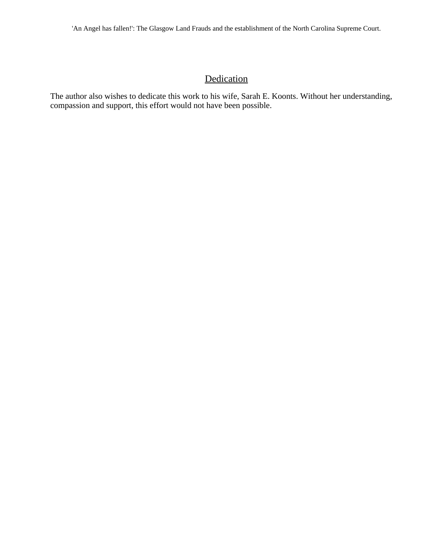'An Angel has fallen!': The Glasgow Land Frauds and the establishment of the North Carolina Supreme Court.

# **Dedication**

The author also wishes to dedicate this work to his wife, Sarah E. Koonts. Without her understanding, compassion and support, this effort would not have been possible.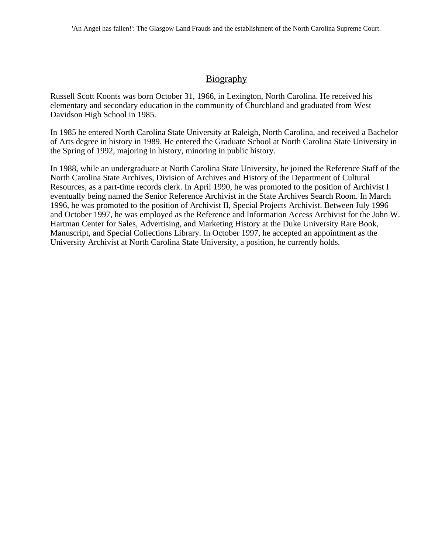## **Biography**

Russell Scott Koonts was born October 31, 1966, in Lexington, North Carolina. He received his elementary and secondary education in the community of Churchland and graduated from West Davidson High School in 1985.

In 1985 he entered North Carolina State University at Raleigh, North Carolina, and received a Bachelor of Arts degree in history in 1989. He entered the Graduate School at North Carolina State University in the Spring of 1992, majoring in history, minoring in public history.

In 1988, while an undergraduate at North Carolina State University, he joined the Reference Staff of the North Carolina State Archives, Division of Archives and History of the Department of Cultural Resources, as a part-time records clerk. In April 1990, he was promoted to the position of Archivist I eventually being named the Senior Reference Archivist in the State Archives Search Room. In March 1996, he was promoted to the position of Archivist II, Special Projects Archivist. Between July 1996 and October 1997, he was employed as the Reference and Information Access Archivist for the John W. Hartman Center for Sales, Advertising, and Marketing History at the Duke University Rare Book, Manuscript, and Special Collections Library. In October 1997, he accepted an appointment as the University Archivist at North Carolina State University, a position, he currently holds.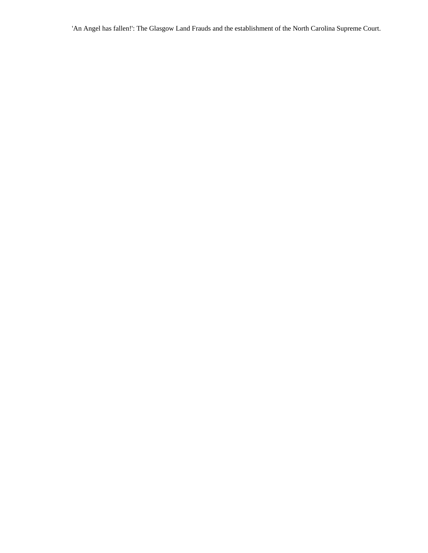'An Angel has fallen!': The Glasgow Land Frauds and the establishment of the North Carolina Supreme Court.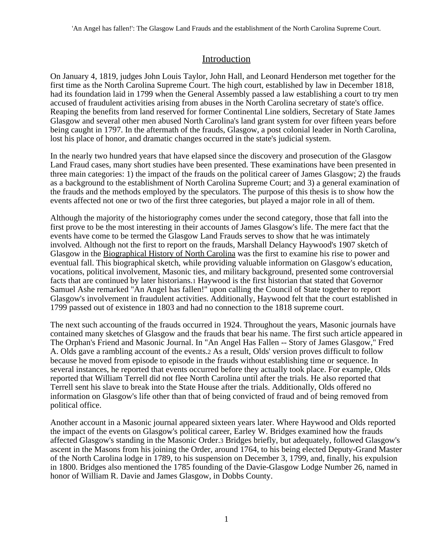#### Introduction

On January 4, 1819, judges John Louis Taylor, John Hall, and Leonard Henderson met together for the first time as the North Carolina Supreme Court. The high court, established by law in December 1818, had its foundation laid in 1799 when the General Assembly passed a law establishing a court to try men accused of fraudulent activities arising from abuses in the North Carolina secretary of state's office. Reaping the benefits from land reserved for former Continental Line soldiers, Secretary of State James Glasgow and several other men abused North Carolina's land grant system for over fifteen years before being caught in 1797. In the aftermath of the frauds, Glasgow, a post colonial leader in North Carolina, lost his place of honor, and dramatic changes occurred in the state's judicial system.

In the nearly two hundred years that have elapsed since the discovery and prosecution of the Glasgow Land Fraud cases, many short studies have been presented. These examinations have been presented in three main categories: 1) the impact of the frauds on the political career of James Glasgow; 2) the frauds as a background to the establishment of North Carolina Supreme Court; and 3) a general examination of the frauds and the methods employed by the speculators. The purpose of this thesis is to show how the events affected not one or two of the first three categories, but played a major role in all of them.

Although the majority of the historiography comes under the second category, those that fall into the first prove to be the most interesting in their accounts of James Glasgow's life. The mere fact that the events have come to be termed the Glasgow Land Frauds serves to show that he was intimately involved. Although not the first to report on the frauds, Marshall Delancy Haywood's 1907 sketch of Glasgow in the Biographical History of North Carolina was the first to examine his rise to power and eventual fall. This biographical sketch, while providing valuable information on Glasgow's education, vocations, political involvement, Masonic ties, and military background, presented some controversial facts that are continued by later historians.1 Haywood is the first historian that stated that Governor Samuel Ashe remarked "An Angel has fallen!" upon calling the Council of State together to report Glasgow's involvement in fraudulent activities. Additionally, Haywood felt that the court established in 1799 passed out of existence in 1803 and had no connection to the 1818 supreme court.

The next such accounting of the frauds occurred in 1924. Throughout the years, Masonic journals have contained many sketches of Glasgow and the frauds that bear his name. The first such article appeared in The Orphan's Friend and Masonic Journal. In "An Angel Has Fallen -- Story of James Glasgow," Fred A. Olds gave a rambling account of the events.2 As a result, Olds' version proves difficult to follow because he moved from episode to episode in the frauds without establishing time or sequence. In several instances, he reported that events occurred before they actually took place. For example, Olds reported that William Terrell did not flee North Carolina until after the trials. He also reported that Terrell sent his slave to break into the State House after the trials. Additionally, Olds offered no information on Glasgow's life other than that of being convicted of fraud and of being removed from political office.

Another account in a Masonic journal appeared sixteen years later. Where Haywood and Olds reported the impact of the events on Glasgow's political career, Earley W. Bridges examined how the frauds affected Glasgow's standing in the Masonic Order.3 Bridges briefly, but adequately, followed Glasgow's ascent in the Masons from his joining the Order, around 1764, to his being elected Deputy-Grand Master of the North Carolina lodge in 1789, to his suspension on December 3, 1799, and, finally, his expulsion in 1800. Bridges also mentioned the 1785 founding of the Davie-Glasgow Lodge Number 26, named in honor of William R. Davie and James Glasgow, in Dobbs County.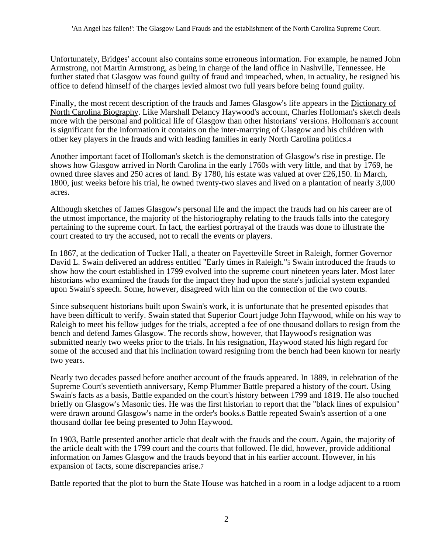Unfortunately, Bridges' account also contains some erroneous information. For example, he named John Armstrong, not Martin Armstrong, as being in charge of the land office in Nashville, Tennessee. He further stated that Glasgow was found guilty of fraud and impeached, when, in actuality, he resigned his office to defend himself of the charges levied almost two full years before being found guilty.

Finally, the most recent description of the frauds and James Glasgow's life appears in the Dictionary of North Carolina Biography. Like Marshall Delancy Haywood's account, Charles Holloman's sketch deals more with the personal and political life of Glasgow than other historians' versions. Holloman's account is significant for the information it contains on the inter-marrying of Glasgow and his children with other key players in the frauds and with leading families in early North Carolina politics.4

Another important facet of Holloman's sketch is the demonstration of Glasgow's rise in prestige. He shows how Glasgow arrived in North Carolina in the early 1760s with very little, and that by 1769, he owned three slaves and 250 acres of land. By 1780, his estate was valued at over £26,150. In March, 1800, just weeks before his trial, he owned twenty-two slaves and lived on a plantation of nearly 3,000 acres.

Although sketches of James Glasgow's personal life and the impact the frauds had on his career are of the utmost importance, the majority of the historiography relating to the frauds falls into the category pertaining to the supreme court. In fact, the earliest portrayal of the frauds was done to illustrate the court created to try the accused, not to recall the events or players.

In 1867, at the dedication of Tucker Hall, a theater on Fayetteville Street in Raleigh, former Governor David L. Swain delivered an address entitled "Early times in Raleigh."5 Swain introduced the frauds to show how the court established in 1799 evolved into the supreme court nineteen years later. Most later historians who examined the frauds for the impact they had upon the state's judicial system expanded upon Swain's speech. Some, however, disagreed with him on the connection of the two courts.

Since subsequent historians built upon Swain's work, it is unfortunate that he presented episodes that have been difficult to verify. Swain stated that Superior Court judge John Haywood, while on his way to Raleigh to meet his fellow judges for the trials, accepted a fee of one thousand dollars to resign from the bench and defend James Glasgow. The records show, however, that Haywood's resignation was submitted nearly two weeks prior to the trials. In his resignation, Haywood stated his high regard for some of the accused and that his inclination toward resigning from the bench had been known for nearly two years.

Nearly two decades passed before another account of the frauds appeared. In 1889, in celebration of the Supreme Court's seventieth anniversary, Kemp Plummer Battle prepared a history of the court. Using Swain's facts as a basis, Battle expanded on the court's history between 1799 and 1819. He also touched briefly on Glasgow's Masonic ties. He was the first historian to report that the "black lines of expulsion" were drawn around Glasgow's name in the order's books.6 Battle repeated Swain's assertion of a one thousand dollar fee being presented to John Haywood.

In 1903, Battle presented another article that dealt with the frauds and the court. Again, the majority of the article dealt with the 1799 court and the courts that followed. He did, however, provide additional information on James Glasgow and the frauds beyond that in his earlier account. However, in his expansion of facts, some discrepancies arise.7

Battle reported that the plot to burn the State House was hatched in a room in a lodge adjacent to a room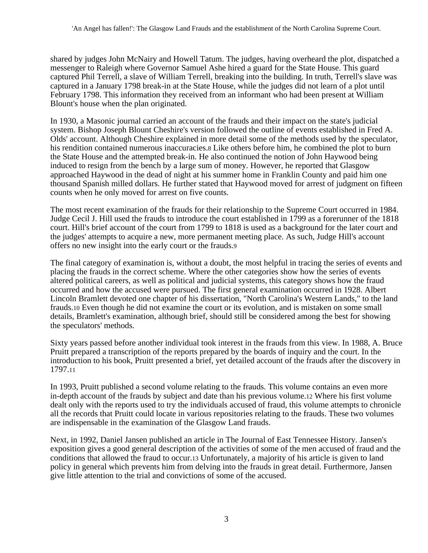shared by judges John McNairy and Howell Tatum. The judges, having overheard the plot, dispatched a messenger to Raleigh where Governor Samuel Ashe hired a guard for the State House. This guard captured Phil Terrell, a slave of William Terrell, breaking into the building. In truth, Terrell's slave was captured in a January 1798 break-in at the State House, while the judges did not learn of a plot until February 1798. This information they received from an informant who had been present at William Blount's house when the plan originated.

In 1930, a Masonic journal carried an account of the frauds and their impact on the state's judicial system. Bishop Joseph Blount Cheshire's version followed the outline of events established in Fred A. Olds' account. Although Cheshire explained in more detail some of the methods used by the speculator, his rendition contained numerous inaccuracies.8 Like others before him, he combined the plot to burn the State House and the attempted break-in. He also continued the notion of John Haywood being induced to resign from the bench by a large sum of money. However, he reported that Glasgow approached Haywood in the dead of night at his summer home in Franklin County and paid him one thousand Spanish milled dollars. He further stated that Haywood moved for arrest of judgment on fifteen counts when he only moved for arrest on five counts.

The most recent examination of the frauds for their relationship to the Supreme Court occurred in 1984. Judge Cecil J. Hill used the frauds to introduce the court established in 1799 as a forerunner of the 1818 court. Hill's brief account of the court from 1799 to 1818 is used as a background for the later court and the judges' attempts to acquire a new, more permanent meeting place. As such, Judge Hill's account offers no new insight into the early court or the frauds.9

The final category of examination is, without a doubt, the most helpful in tracing the series of events and placing the frauds in the correct scheme. Where the other categories show how the series of events altered political careers, as well as political and judicial systems, this category shows how the fraud occurred and how the accused were pursued. The first general examination occurred in 1928. Albert Lincoln Bramlett devoted one chapter of his dissertation, "North Carolina's Western Lands," to the land frauds.10 Even though he did not examine the court or its evolution, and is mistaken on some small details, Bramlett's examination, although brief, should still be considered among the best for showing the speculators' methods.

Sixty years passed before another individual took interest in the frauds from this view. In 1988, A. Bruce Pruitt prepared a transcription of the reports prepared by the boards of inquiry and the court. In the introduction to his book, Pruitt presented a brief, yet detailed account of the frauds after the discovery in 1797.11

In 1993, Pruitt published a second volume relating to the frauds. This volume contains an even more in-depth account of the frauds by subject and date than his previous volume.12 Where his first volume dealt only with the reports used to try the individuals accused of fraud, this volume attempts to chronicle all the records that Pruitt could locate in various repositories relating to the frauds. These two volumes are indispensable in the examination of the Glasgow Land frauds.

Next, in 1992, Daniel Jansen published an article in The Journal of East Tennessee History. Jansen's exposition gives a good general description of the activities of some of the men accused of fraud and the conditions that allowed the fraud to occur.13 Unfortunately, a majority of his article is given to land policy in general which prevents him from delving into the frauds in great detail. Furthermore, Jansen give little attention to the trial and convictions of some of the accused.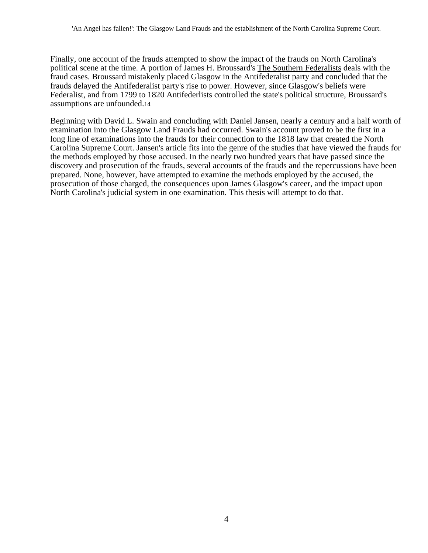Finally, one account of the frauds attempted to show the impact of the frauds on North Carolina's political scene at the time. A portion of James H. Broussard's The Southern Federalists deals with the fraud cases. Broussard mistakenly placed Glasgow in the Antifederalist party and concluded that the frauds delayed the Antifederalist party's rise to power. However, since Glasgow's beliefs were Federalist, and from 1799 to 1820 Antifederlists controlled the state's political structure, Broussard's assumptions are unfounded.14

Beginning with David L. Swain and concluding with Daniel Jansen, nearly a century and a half worth of examination into the Glasgow Land Frauds had occurred. Swain's account proved to be the first in a long line of examinations into the frauds for their connection to the 1818 law that created the North Carolina Supreme Court. Jansen's article fits into the genre of the studies that have viewed the frauds for the methods employed by those accused. In the nearly two hundred years that have passed since the discovery and prosecution of the frauds, several accounts of the frauds and the repercussions have been prepared. None, however, have attempted to examine the methods employed by the accused, the prosecution of those charged, the consequences upon James Glasgow's career, and the impact upon North Carolina's judicial system in one examination. This thesis will attempt to do that.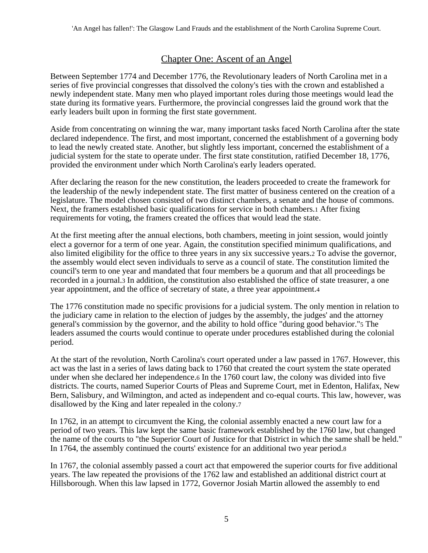## Chapter One: Ascent of an Angel

Between September 1774 and December 1776, the Revolutionary leaders of North Carolina met in a series of five provincial congresses that dissolved the colony's ties with the crown and established a newly independent state. Many men who played important roles during those meetings would lead the state during its formative years. Furthermore, the provincial congresses laid the ground work that the early leaders built upon in forming the first state government.

Aside from concentrating on winning the war, many important tasks faced North Carolina after the state declared independence. The first, and most important, concerned the establishment of a governing body to lead the newly created state. Another, but slightly less important, concerned the establishment of a judicial system for the state to operate under. The first state constitution, ratified December 18, 1776, provided the environment under which North Carolina's early leaders operated.

After declaring the reason for the new constitution, the leaders proceeded to create the framework for the leadership of the newly independent state. The first matter of business centered on the creation of a legislature. The model chosen consisted of two distinct chambers, a senate and the house of commons. Next, the framers established basic qualifications for service in both chambers.1 After fixing requirements for voting, the framers created the offices that would lead the state.

At the first meeting after the annual elections, both chambers, meeting in joint session, would jointly elect a governor for a term of one year. Again, the constitution specified minimum qualifications, and also limited eligibility for the office to three years in any six successive years.2 To advise the governor, the assembly would elect seven individuals to serve as a council of state. The constitution limited the council's term to one year and mandated that four members be a quorum and that all proceedings be recorded in a journal.3 In addition, the constitution also established the office of state treasurer, a one year appointment, and the office of secretary of state, a three year appointment.4

The 1776 constitution made no specific provisions for a judicial system. The only mention in relation to the judiciary came in relation to the election of judges by the assembly, the judges' and the attorney general's commission by the governor, and the ability to hold office "during good behavior."5 The leaders assumed the courts would continue to operate under procedures established during the colonial period.

At the start of the revolution, North Carolina's court operated under a law passed in 1767. However, this act was the last in a series of laws dating back to 1760 that created the court system the state operated under when she declared her independence.6 In the 1760 court law, the colony was divided into five districts. The courts, named Superior Courts of Pleas and Supreme Court, met in Edenton, Halifax, New Bern, Salisbury, and Wilmington, and acted as independent and co-equal courts. This law, however, was disallowed by the King and later repealed in the colony.7

In 1762, in an attempt to circumvent the King, the colonial assembly enacted a new court law for a period of two years. This law kept the same basic framework established by the 1760 law, but changed the name of the courts to "the Superior Court of Justice for that District in which the same shall be held." In 1764, the assembly continued the courts' existence for an additional two year period.8

In 1767, the colonial assembly passed a court act that empowered the superior courts for five additional years. The law repeated the provisions of the 1762 law and established an additional district court at Hillsborough. When this law lapsed in 1772, Governor Josiah Martin allowed the assembly to end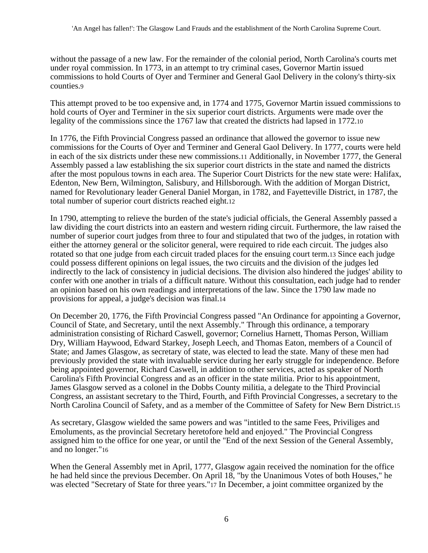without the passage of a new law. For the remainder of the colonial period, North Carolina's courts met under royal commission. In 1773, in an attempt to try criminal cases, Governor Martin issued commissions to hold Courts of Oyer and Terminer and General Gaol Delivery in the colony's thirty-six counties.9

This attempt proved to be too expensive and, in 1774 and 1775, Governor Martin issued commissions to hold courts of Oyer and Terminer in the six superior court districts. Arguments were made over the legality of the commissions since the 1767 law that created the districts had lapsed in 1772.10

In 1776, the Fifth Provincial Congress passed an ordinance that allowed the governor to issue new commissions for the Courts of Oyer and Terminer and General Gaol Delivery. In 1777, courts were held in each of the six districts under these new commissions.11 Additionally, in November 1777, the General Assembly passed a law establishing the six superior court districts in the state and named the districts after the most populous towns in each area. The Superior Court Districts for the new state were: Halifax, Edenton, New Bern, Wilmington, Salisbury, and Hillsborough. With the addition of Morgan District, named for Revolutionary leader General Daniel Morgan, in 1782, and Fayetteville District, in 1787, the total number of superior court districts reached eight.12

In 1790, attempting to relieve the burden of the state's judicial officials, the General Assembly passed a law dividing the court districts into an eastern and western riding circuit. Furthermore, the law raised the number of superior court judges from three to four and stipulated that two of the judges, in rotation with either the attorney general or the solicitor general, were required to ride each circuit. The judges also rotated so that one judge from each circuit traded places for the ensuing court term.13 Since each judge could possess different opinions on legal issues, the two circuits and the division of the judges led indirectly to the lack of consistency in judicial decisions. The division also hindered the judges' ability to confer with one another in trials of a difficult nature. Without this consultation, each judge had to render an opinion based on his own readings and interpretations of the law. Since the 1790 law made no provisions for appeal, a judge's decision was final.14

On December 20, 1776, the Fifth Provincial Congress passed "An Ordinance for appointing a Governor, Council of State, and Secretary, until the next Assembly." Through this ordinance, a temporary administration consisting of Richard Caswell, governor; Cornelius Harnett, Thomas Person, William Dry, William Haywood, Edward Starkey, Joseph Leech, and Thomas Eaton, members of a Council of State; and James Glasgow, as secretary of state, was elected to lead the state. Many of these men had previously provided the state with invaluable service during her early struggle for independence. Before being appointed governor, Richard Caswell, in addition to other services, acted as speaker of North Carolina's Fifth Provincial Congress and as an officer in the state militia. Prior to his appointment, James Glasgow served as a colonel in the Dobbs County militia, a delegate to the Third Provincial Congress, an assistant secretary to the Third, Fourth, and Fifth Provincial Congresses, a secretary to the North Carolina Council of Safety, and as a member of the Committee of Safety for New Bern District.15

As secretary, Glasgow wielded the same powers and was "intitled to the same Fees, Priviliges and Emoluments, as the provincial Secretary heretofore held and enjoyed." The Provincial Congress assigned him to the office for one year, or until the "End of the next Session of the General Assembly, and no longer."16

When the General Assembly met in April, 1777, Glasgow again received the nomination for the office he had held since the previous December. On April 18, "by the Unanimous Votes of both Houses," he was elected "Secretary of State for three years."17 In December, a joint committee organized by the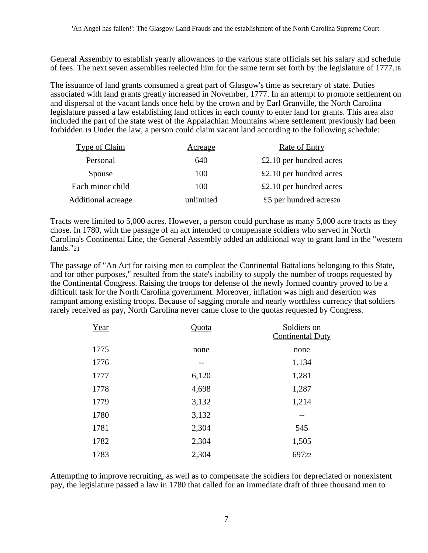General Assembly to establish yearly allowances to the various state officials set his salary and schedule of fees. The next seven assemblies reelected him for the same term set forth by the legislature of 1777.18

The issuance of land grants consumed a great part of Glasgow's time as secretary of state. Duties associated with land grants greatly increased in November, 1777. In an attempt to promote settlement on and dispersal of the vacant lands once held by the crown and by Earl Granville, the North Carolina legislature passed a law establishing land offices in each county to enter land for grants. This area also included the part of the state west of the Appalachian Mountains where settlement previously had been forbidden.19 Under the law, a person could claim vacant land according to the following schedule:

| <b>Type of Claim</b>      | <b>Acreage</b> | <b>Rate of Entry</b>      |
|---------------------------|----------------|---------------------------|
| Personal                  | 640            | $£2.10$ per hundred acres |
| Spouse                    | 100            | $£2.10$ per hundred acres |
| Each minor child          | 100            | $£2.10$ per hundred acres |
| <b>Additional acreage</b> | unlimited      | £5 per hundred acres20    |

Tracts were limited to 5,000 acres. However, a person could purchase as many 5,000 acre tracts as they chose. In 1780, with the passage of an act intended to compensate soldiers who served in North Carolina's Continental Line, the General Assembly added an additional way to grant land in the "western lands."21

The passage of "An Act for raising men to compleat the Continental Battalions belonging to this State, and for other purposes," resulted from the state's inability to supply the number of troops requested by the Continental Congress. Raising the troops for defense of the newly formed country proved to be a difficult task for the North Carolina government. Moreover, inflation was high and desertion was rampant among existing troops. Because of sagging morale and nearly worthless currency that soldiers rarely received as pay, North Carolina never came close to the quotas requested by Congress.

| Year | <b>Quota</b> | Soldiers on<br><b>Continental Duty</b> |
|------|--------------|----------------------------------------|
| 1775 | none         | none                                   |
| 1776 |              | 1,134                                  |
| 1777 | 6,120        | 1,281                                  |
| 1778 | 4,698        | 1,287                                  |
| 1779 | 3,132        | 1,214                                  |
| 1780 | 3,132        | --                                     |
| 1781 | 2,304        | 545                                    |
| 1782 | 2,304        | 1,505                                  |
| 1783 | 2,304        | 69722                                  |

Attempting to improve recruiting, as well as to compensate the soldiers for depreciated or nonexistent pay, the legislature passed a law in 1780 that called for an immediate draft of three thousand men to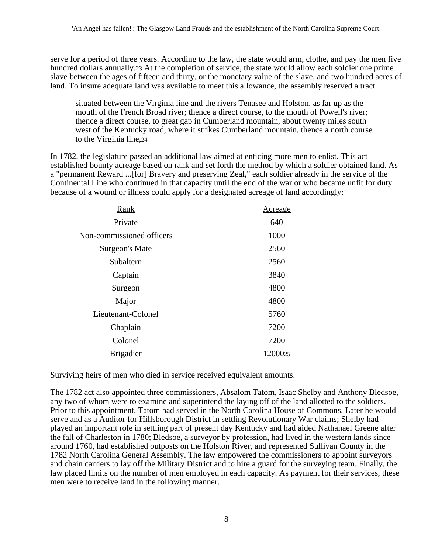serve for a period of three years. According to the law, the state would arm, clothe, and pay the men five hundred dollars annually.23 At the completion of service, the state would allow each soldier one prime slave between the ages of fifteen and thirty, or the monetary value of the slave, and two hundred acres of land. To insure adequate land was available to meet this allowance, the assembly reserved a tract

situated between the Virginia line and the rivers Tenasee and Holston, as far up as the mouth of the French Broad river; thence a direct course, to the mouth of Powell's river; thence a direct course, to great gap in Cumberland mountain, about twenty miles south west of the Kentucky road, where it strikes Cumberland mountain, thence a north course to the Virginia line,24

In 1782, the legislature passed an additional law aimed at enticing more men to enlist. This act established bounty acreage based on rank and set forth the method by which a soldier obtained land. As a "permanent Reward ...[for] Bravery and preserving Zeal," each soldier already in the service of the Continental Line who continued in that capacity until the end of the war or who became unfit for duty because of a wound or illness could apply for a designated acreage of land accordingly:

| <u>Acreage</u> |
|----------------|
| 640            |
| 1000           |
| 2560           |
| 2560           |
| 3840           |
| 4800           |
| 4800           |
| 5760           |
| 7200           |
| 7200           |
| 1200025        |
|                |

Surviving heirs of men who died in service received equivalent amounts.

The 1782 act also appointed three commissioners, Absalom Tatom, Isaac Shelby and Anthony Bledsoe, any two of whom were to examine and superintend the laying off of the land allotted to the soldiers. Prior to this appointment, Tatom had served in the North Carolina House of Commons. Later he would serve and as a Auditor for Hillsborough District in settling Revolutionary War claims; Shelby had played an important role in settling part of present day Kentucky and had aided Nathanael Greene after the fall of Charleston in 1780; Bledsoe, a surveyor by profession, had lived in the western lands since around 1760, had established outposts on the Holston River, and represented Sullivan County in the 1782 North Carolina General Assembly. The law empowered the commissioners to appoint surveyors and chain carriers to lay off the Military District and to hire a guard for the surveying team. Finally, the law placed limits on the number of men employed in each capacity. As payment for their services, these men were to receive land in the following manner.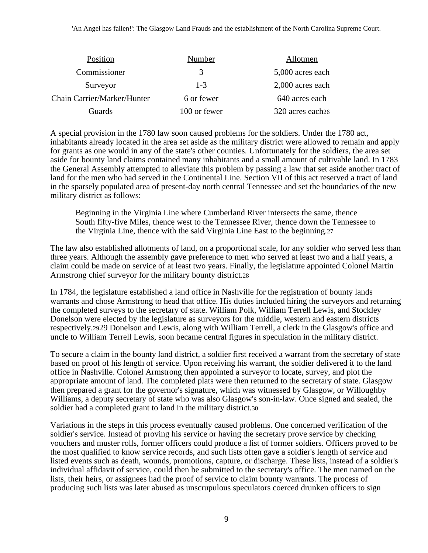| Position                    | Number       | Allotmen         |
|-----------------------------|--------------|------------------|
| Commissioner                | 3            | 5,000 acres each |
| Surveyor                    | $1 - 3$      | 2,000 acres each |
| Chain Carrier/Marker/Hunter | 6 or fewer   | 640 acres each   |
| <b>Guards</b>               | 100 or fewer | 320 acres each26 |

A special provision in the 1780 law soon caused problems for the soldiers. Under the 1780 act, inhabitants already located in the area set aside as the military district were allowed to remain and apply for grants as one would in any of the state's other counties. Unfortunately for the soldiers, the area set aside for bounty land claims contained many inhabitants and a small amount of cultivable land. In 1783 the General Assembly attempted to alleviate this problem by passing a law that set aside another tract of land for the men who had served in the Continental Line. Section VII of this act reserved a tract of land in the sparsely populated area of present-day north central Tennessee and set the boundaries of the new military district as follows:

Beginning in the Virginia Line where Cumberland River intersects the same, thence South fifty-five Miles, thence west to the Tennessee River, thence down the Tennessee to the Virginia Line, thence with the said Virginia Line East to the beginning.27

The law also established allotments of land, on a proportional scale, for any soldier who served less than three years. Although the assembly gave preference to men who served at least two and a half years, a claim could be made on service of at least two years. Finally, the legislature appointed Colonel Martin Armstrong chief surveyor for the military bounty district.28

In 1784, the legislature established a land office in Nashville for the registration of bounty lands warrants and chose Armstrong to head that office. His duties included hiring the surveyors and returning the completed surveys to the secretary of state. William Polk, William Terrell Lewis, and Stockley Donelson were elected by the legislature as surveyors for the middle, western and eastern districts respectively.2929 Donelson and Lewis, along with William Terrell, a clerk in the Glasgow's office and uncle to William Terrell Lewis, soon became central figures in speculation in the military district.

To secure a claim in the bounty land district, a soldier first received a warrant from the secretary of state based on proof of his length of service. Upon receiving his warrant, the soldier delivered it to the land office in Nashville. Colonel Armstrong then appointed a surveyor to locate, survey, and plot the appropriate amount of land. The completed plats were then returned to the secretary of state. Glasgow then prepared a grant for the governor's signature, which was witnessed by Glasgow, or Willoughby Williams, a deputy secretary of state who was also Glasgow's son-in-law. Once signed and sealed, the soldier had a completed grant to land in the military district.30

Variations in the steps in this process eventually caused problems. One concerned verification of the soldier's service. Instead of proving his service or having the secretary prove service by checking vouchers and muster rolls, former officers could produce a list of former soldiers. Officers proved to be the most qualified to know service records, and such lists often gave a soldier's length of service and listed events such as death, wounds, promotions, capture, or discharge. These lists, instead of a soldier's individual affidavit of service, could then be submitted to the secretary's office. The men named on the lists, their heirs, or assignees had the proof of service to claim bounty warrants. The process of producing such lists was later abused as unscrupulous speculators coerced drunken officers to sign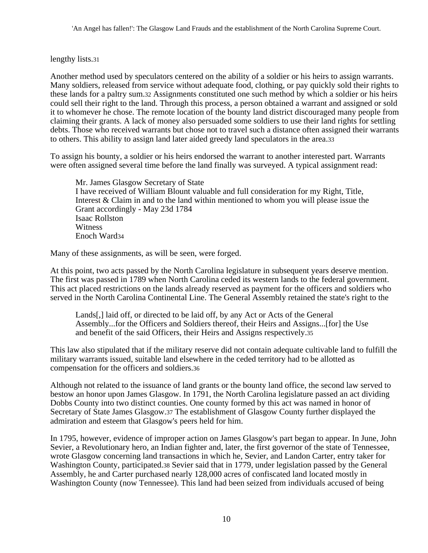lengthy lists.31

Another method used by speculators centered on the ability of a soldier or his heirs to assign warrants. Many soldiers, released from service without adequate food, clothing, or pay quickly sold their rights to these lands for a paltry sum.32 Assignments constituted one such method by which a soldier or his heirs could sell their right to the land. Through this process, a person obtained a warrant and assigned or sold it to whomever he chose. The remote location of the bounty land district discouraged many people from claiming their grants. A lack of money also persuaded some soldiers to use their land rights for settling debts. Those who received warrants but chose not to travel such a distance often assigned their warrants to others. This ability to assign land later aided greedy land speculators in the area.33

To assign his bounty, a soldier or his heirs endorsed the warrant to another interested part. Warrants were often assigned several time before the land finally was surveyed. A typical assignment read:

Mr. James Glasgow Secretary of State I have received of William Blount valuable and full consideration for my Right, Title, Interest & Claim in and to the land within mentioned to whom you will please issue the Grant accordingly - May 23d 1784 Isaac Rollston **Witness** Enoch Ward34

Many of these assignments, as will be seen, were forged.

At this point, two acts passed by the North Carolina legislature in subsequent years deserve mention. The first was passed in 1789 when North Carolina ceded its western lands to the federal government. This act placed restrictions on the lands already reserved as payment for the officers and soldiers who served in the North Carolina Continental Line. The General Assembly retained the state's right to the

Lands[,] laid off, or directed to be laid off, by any Act or Acts of the General Assembly...for the Officers and Soldiers thereof, their Heirs and Assigns...[for] the Use and benefit of the said Officers, their Heirs and Assigns respectively.35

This law also stipulated that if the military reserve did not contain adequate cultivable land to fulfill the military warrants issued, suitable land elsewhere in the ceded territory had to be allotted as compensation for the officers and soldiers.36

Although not related to the issuance of land grants or the bounty land office, the second law served to bestow an honor upon James Glasgow. In 1791, the North Carolina legislature passed an act dividing Dobbs County into two distinct counties. One county formed by this act was named in honor of Secretary of State James Glasgow.37 The establishment of Glasgow County further displayed the admiration and esteem that Glasgow's peers held for him.

In 1795, however, evidence of improper action on James Glasgow's part began to appear. In June, John Sevier, a Revolutionary hero, an Indian fighter and, later, the first governor of the state of Tennessee, wrote Glasgow concerning land transactions in which he, Sevier, and Landon Carter, entry taker for Washington County, participated.38 Sevier said that in 1779, under legislation passed by the General Assembly, he and Carter purchased nearly 128,000 acres of confiscated land located mostly in Washington County (now Tennessee). This land had been seized from individuals accused of being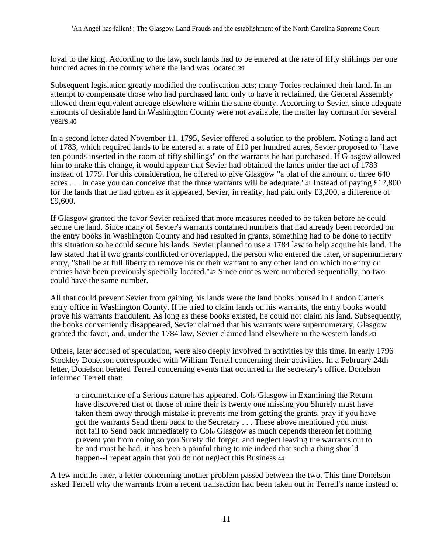loyal to the king. According to the law, such lands had to be entered at the rate of fifty shillings per one hundred acres in the county where the land was located.39

Subsequent legislation greatly modified the confiscation acts; many Tories reclaimed their land. In an attempt to compensate those who had purchased land only to have it reclaimed, the General Assembly allowed them equivalent acreage elsewhere within the same county. According to Sevier, since adequate amounts of desirable land in Washington County were not available, the matter lay dormant for several years.40

In a second letter dated November 11, 1795, Sevier offered a solution to the problem. Noting a land act of 1783, which required lands to be entered at a rate of £10 per hundred acres, Sevier proposed to "have ten pounds inserted in the room of fifty shillings" on the warrants he had purchased. If Glasgow allowed him to make this change, it would appear that Sevier had obtained the lands under the act of 1783 instead of 1779. For this consideration, he offered to give Glasgow "a plat of the amount of three 640 acres . . . in case you can conceive that the three warrants will be adequate."41 Instead of paying £12,800 for the lands that he had gotten as it appeared, Sevier, in reality, had paid only £3,200, a difference of £9,600.

If Glasgow granted the favor Sevier realized that more measures needed to be taken before he could secure the land. Since many of Sevier's warrants contained numbers that had already been recorded on the entry books in Washington County and had resulted in grants, something had to be done to rectify this situation so he could secure his lands. Sevier planned to use a 1784 law to help acquire his land. The law stated that if two grants conflicted or overlapped, the person who entered the later, or supernumerary entry, "shall be at full liberty to remove his or their warrant to any other land on which no entry or entries have been previously specially located."42 Since entries were numbered sequentially, no two could have the same number.

All that could prevent Sevier from gaining his lands were the land books housed in Landon Carter's entry office in Washington County. If he tried to claim lands on his warrants, the entry books would prove his warrants fraudulent. As long as these books existed, he could not claim his land. Subsequently, the books conveniently disappeared, Sevier claimed that his warrants were supernumerary, Glasgow granted the favor, and, under the 1784 law, Sevier claimed land elsewhere in the western lands.43

Others, later accused of speculation, were also deeply involved in activities by this time. In early 1796 Stockley Donelson corresponded with William Terrell concerning their activities. In a February 24th letter, Donelson berated Terrell concerning events that occurred in the secretary's office. Donelson informed Terrell that:

a circumstance of a Serious nature has appeared. Colo Glasgow in Examining the Return have discovered that of those of mine their is twenty one missing you Shurely must have taken them away through mistake it prevents me from getting the grants. pray if you have got the warrants Send them back to the Secretary . . . These above mentioned you must not fail to Send back immediately to Colo Glasgow as much depends thereon let nothing prevent you from doing so you Surely did forget. and neglect leaving the warrants out to be and must be had. it has been a painful thing to me indeed that such a thing should happen--I repeat again that you do not neglect this Business.44

A few months later, a letter concerning another problem passed between the two. This time Donelson asked Terrell why the warrants from a recent transaction had been taken out in Terrell's name instead of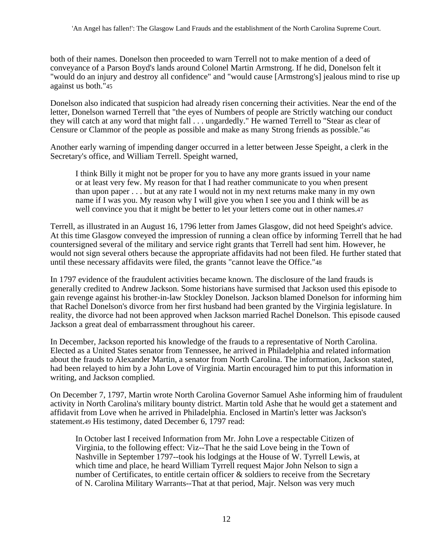both of their names. Donelson then proceeded to warn Terrell not to make mention of a deed of conveyance of a Parson Boyd's lands around Colonel Martin Armstrong. If he did, Donelson felt it "would do an injury and destroy all confidence" and "would cause [Armstrong's] jealous mind to rise up against us both."45

Donelson also indicated that suspicion had already risen concerning their activities. Near the end of the letter, Donelson warned Terrell that "the eyes of Numbers of people are Strictly watching our conduct they will catch at any word that might fall . . . ungardedly." He warned Terrell to "Stear as clear of Censure or Clammor of the people as possible and make as many Strong friends as possible."46

Another early warning of impending danger occurred in a letter between Jesse Speight, a clerk in the Secretary's office, and William Terrell. Speight warned,

I think Billy it might not be proper for you to have any more grants issued in your name or at least very few. My reason for that I had reather communicate to you when present than upon paper . . . but at any rate I would not in my next returns make many in my own name if I was you. My reason why I will give you when I see you and I think will be as well convince you that it might be better to let your letters come out in other names.47

Terrell, as illustrated in an August 16, 1796 letter from James Glasgow, did not heed Speight's advice. At this time Glasgow conveyed the impression of running a clean office by informing Terrell that he had countersigned several of the military and service right grants that Terrell had sent him. However, he would not sign several others because the appropriate affidavits had not been filed. He further stated that until these necessary affidavits were filed, the grants "cannot leave the Office."48

In 1797 evidence of the fraudulent activities became known. The disclosure of the land frauds is generally credited to Andrew Jackson. Some historians have surmised that Jackson used this episode to gain revenge against his brother-in-law Stockley Donelson. Jackson blamed Donelson for informing him that Rachel Donelson's divorce from her first husband had been granted by the Virginia legislature. In reality, the divorce had not been approved when Jackson married Rachel Donelson. This episode caused Jackson a great deal of embarrassment throughout his career.

In December, Jackson reported his knowledge of the frauds to a representative of North Carolina. Elected as a United States senator from Tennessee, he arrived in Philadelphia and related information about the frauds to Alexander Martin, a senator from North Carolina. The information, Jackson stated, had been relayed to him by a John Love of Virginia. Martin encouraged him to put this information in writing, and Jackson complied.

On December 7, 1797, Martin wrote North Carolina Governor Samuel Ashe informing him of fraudulent activity in North Carolina's military bounty district. Martin told Ashe that he would get a statement and affidavit from Love when he arrived in Philadelphia. Enclosed in Martin's letter was Jackson's statement.49 His testimony, dated December 6, 1797 read:

In October last I received Information from Mr. John Love a respectable Citizen of Virginia, to the following effect: Viz--That he the said Love being in the Town of Nashville in September 1797--took his lodgings at the House of W. Tyrrell Lewis, at which time and place, he heard William Tyrrell request Major John Nelson to sign a number of Certificates, to entitle certain officer & soldiers to receive from the Secretary of N. Carolina Military Warrants--That at that period, Majr. Nelson was very much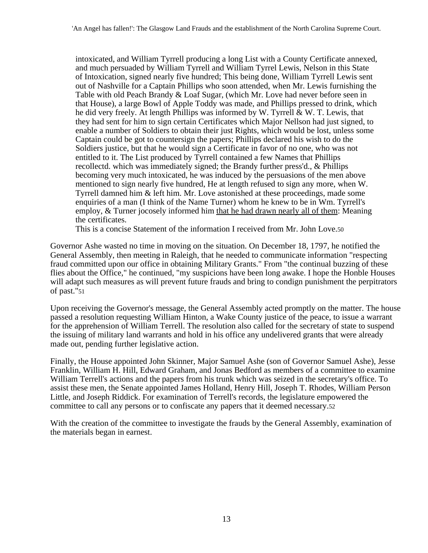intoxicated, and William Tyrrell producing a long List with a County Certificate annexed, and much persuaded by William Tyrrell and William Tyrrel Lewis, Nelson in this State of Intoxication, signed nearly five hundred; This being done, William Tyrrell Lewis sent out of Nashville for a Captain Phillips who soon attended, when Mr. Lewis furnishing the Table with old Peach Brandy & Loaf Sugar, (which Mr. Love had never before seen in that House), a large Bowl of Apple Toddy was made, and Phillips pressed to drink, which he did very freely. At length Phillips was informed by W. Tyrrell & W. T. Lewis, that they had sent for him to sign certain Certificates which Major Nellson had just signed, to enable a number of Soldiers to obtain their just Rights, which would be lost, unless some Captain could be got to countersign the papers; Phillips declared his wish to do the Soldiers justice, but that he would sign a Certificate in favor of no one, who was not entitled to it. The List produced by Tyrrell contained a few Names that Phillips recollectd. which was immediately signed; the Brandy further press'd., & Phillips becoming very much intoxicated, he was induced by the persuasions of the men above mentioned to sign nearly five hundred, He at length refused to sign any more, when W. Tyrrell damned him & left him. Mr. Love astonished at these proceedings, made some enquiries of a man (I think of the Name Turner) whom he knew to be in Wm. Tyrrell's employ, & Turner jocosely informed him that he had drawn nearly all of them: Meaning the certificates.

This is a concise Statement of the information I received from Mr. John Love.50

Governor Ashe wasted no time in moving on the situation. On December 18, 1797, he notified the General Assembly, then meeting in Raleigh, that he needed to communicate information "respecting fraud committed upon our office in obtaining Military Grants." From "the continual buzzing of these flies about the Office," he continued, "my suspicions have been long awake. I hope the Honble Houses will adapt such measures as will prevent future frauds and bring to condign punishment the perpitrators of past."51

Upon receiving the Governor's message, the General Assembly acted promptly on the matter. The house passed a resolution requesting William Hinton, a Wake County justice of the peace, to issue a warrant for the apprehension of William Terrell. The resolution also called for the secretary of state to suspend the issuing of military land warrants and hold in his office any undelivered grants that were already made out, pending further legislative action.

Finally, the House appointed John Skinner, Major Samuel Ashe (son of Governor Samuel Ashe), Jesse Franklin, William H. Hill, Edward Graham, and Jonas Bedford as members of a committee to examine William Terrell's actions and the papers from his trunk which was seized in the secretary's office. To assist these men, the Senate appointed James Holland, Henry Hill, Joseph T. Rhodes, William Person Little, and Joseph Riddick. For examination of Terrell's records, the legislature empowered the committee to call any persons or to confiscate any papers that it deemed necessary.52

With the creation of the committee to investigate the frauds by the General Assembly, examination of the materials began in earnest.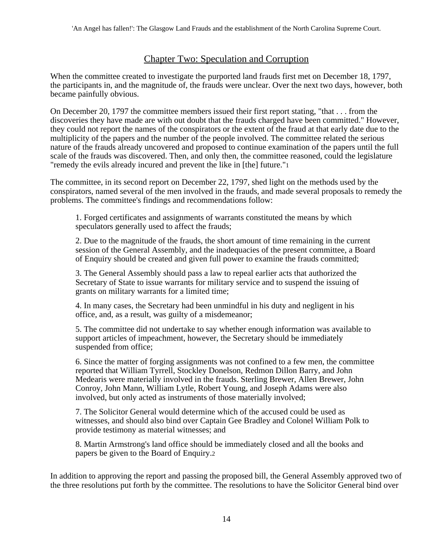### Chapter Two: Speculation and Corruption

When the committee created to investigate the purported land frauds first met on December 18, 1797, the participants in, and the magnitude of, the frauds were unclear. Over the next two days, however, both became painfully obvious.

On December 20, 1797 the committee members issued their first report stating, "that . . . from the discoveries they have made are with out doubt that the frauds charged have been committed." However, they could not report the names of the conspirators or the extent of the fraud at that early date due to the multiplicity of the papers and the number of the people involved. The committee related the serious nature of the frauds already uncovered and proposed to continue examination of the papers until the full scale of the frauds was discovered. Then, and only then, the committee reasoned, could the legislature "remedy the evils already incured and prevent the like in [the] future."1

The committee, in its second report on December 22, 1797, shed light on the methods used by the conspirators, named several of the men involved in the frauds, and made several proposals to remedy the problems. The committee's findings and recommendations follow:

1. Forged certificates and assignments of warrants constituted the means by which speculators generally used to affect the frauds;

2. Due to the magnitude of the frauds, the short amount of time remaining in the current session of the General Assembly, and the inadequacies of the present committee, a Board of Enquiry should be created and given full power to examine the frauds committed;

3. The General Assembly should pass a law to repeal earlier acts that authorized the Secretary of State to issue warrants for military service and to suspend the issuing of grants on military warrants for a limited time;

4. In many cases, the Secretary had been unmindful in his duty and negligent in his office, and, as a result, was guilty of a misdemeanor;

5. The committee did not undertake to say whether enough information was available to support articles of impeachment, however, the Secretary should be immediately suspended from office;

6. Since the matter of forging assignments was not confined to a few men, the committee reported that William Tyrrell, Stockley Donelson, Redmon Dillon Barry, and John Medearis were materially involved in the frauds. Sterling Brewer, Allen Brewer, John Conroy, John Mann, William Lytle, Robert Young, and Joseph Adams were also involved, but only acted as instruments of those materially involved;

7. The Solicitor General would determine which of the accused could be used as witnesses, and should also bind over Captain Gee Bradley and Colonel William Polk to provide testimony as material witnesses; and

8. Martin Armstrong's land office should be immediately closed and all the books and papers be given to the Board of Enquiry.2

In addition to approving the report and passing the proposed bill, the General Assembly approved two of the three resolutions put forth by the committee. The resolutions to have the Solicitor General bind over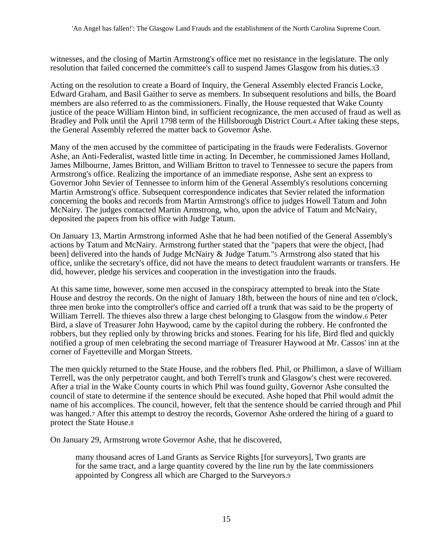witnesses, and the closing of Martin Armstrong's office met no resistance in the legislature. The only resolution that failed concerned the committee's call to suspend James Glasgow from his duties.33

Acting on the resolution to create a Board of Inquiry, the General Assembly elected Francis Locke, Edward Graham, and Basil Gaither to serve as members. In subsequent resolutions and bills, the Board members are also referred to as the commissioners. Finally, the House requested that Wake County justice of the peace William Hinton bind, in sufficient recognizance, the men accused of fraud as well as Bradley and Polk until the April 1798 term of the Hillsborough District Court.4 After taking these steps, the General Assembly referred the matter back to Governor Ashe.

Many of the men accused by the committee of participating in the frauds were Federalists. Governor Ashe, an Anti-Federalist, wasted little time in acting. In December, he commissioned James Holland, James Milbourne, James Britton, and William Britton to travel to Tennessee to secure the papers from Armstrong's office. Realizing the importance of an immediate response, Ashe sent an express to Governor John Sevier of Tennessee to inform him of the General Assembly's resolutions concerning Martin Armstrong's office. Subsequent correspondence indicates that Sevier related the information concerning the books and records from Martin Armstrong's office to judges Howell Tatum and John McNairy. The judges contacted Martin Armstrong, who, upon the advice of Tatum and McNairy, deposited the papers from his office with Judge Tatum.

On January 13, Martin Armstrong informed Ashe that he had been notified of the General Assembly's actions by Tatum and McNairy. Armstrong further stated that the "papers that were the object, [had been] delivered into the hands of Judge McNairy & Judge Tatum."5 Armstrong also stated that his office, unlike the secretary's office, did not have the means to detect fraudulent warrants or transfers. He did, however, pledge his services and cooperation in the investigation into the frauds.

At this same time, however, some men accused in the conspiracy attempted to break into the State House and destroy the records. On the night of January 18th, between the hours of nine and ten o'clock, three men broke into the comptroller's office and carried off a trunk that was said to be the property of William Terrell. The thieves also threw a large chest belonging to Glasgow from the window.6 Peter Bird, a slave of Treasurer John Haywood, came by the capitol during the robbery. He confronted the robbers, but they replied only by throwing bricks and stones. Fearing for his life, Bird fled and quickly notified a group of men celebrating the second marriage of Treasurer Haywood at Mr. Cassos' inn at the corner of Fayetteville and Morgan Streets.

The men quickly returned to the State House, and the robbers fled. Phil, or Phillimon, a slave of William Terrell, was the only perpetrator caught, and both Terrell's trunk and Glasgow's chest were recovered. After a trial in the Wake County courts in which Phil was found guilty, Governor Ashe consulted the council of state to determine if the sentence should be executed. Ashe hoped that Phil would admit the name of his accomplices. The council, however, felt that the sentence should be carried through and Phil was hanged.7 After this attempt to destroy the records, Governor Ashe ordered the hiring of a guard to protect the State House.8

On January 29, Armstrong wrote Governor Ashe, that he discovered,

many thousand acres of Land Grants as Service Rights [for surveyors], Two grants are for the same tract, and a large quantity covered by the line run by the late commissioners appointed by Congress all which are Charged to the Surveyors.9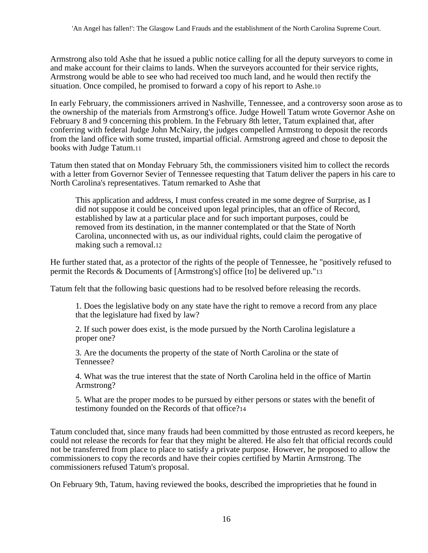Armstrong also told Ashe that he issued a public notice calling for all the deputy surveyors to come in and make account for their claims to lands. When the surveyors accounted for their service rights, Armstrong would be able to see who had received too much land, and he would then rectify the situation. Once compiled, he promised to forward a copy of his report to Ashe.10

In early February, the commissioners arrived in Nashville, Tennessee, and a controversy soon arose as to the ownership of the materials from Armstrong's office. Judge Howell Tatum wrote Governor Ashe on February 8 and 9 concerning this problem. In the February 8th letter, Tatum explained that, after conferring with federal Judge John McNairy, the judges compelled Armstrong to deposit the records from the land office with some trusted, impartial official. Armstrong agreed and chose to deposit the books with Judge Tatum.11

Tatum then stated that on Monday February 5th, the commissioners visited him to collect the records with a letter from Governor Sevier of Tennessee requesting that Tatum deliver the papers in his care to North Carolina's representatives. Tatum remarked to Ashe that

This application and address, I must confess created in me some degree of Surprise, as I did not suppose it could be conceived upon legal principles, that an office of Record, established by law at a particular place and for such important purposes, could be removed from its destination, in the manner contemplated or that the State of North Carolina, unconnected with us, as our individual rights, could claim the perogative of making such a removal.12

He further stated that, as a protector of the rights of the people of Tennessee, he "positively refused to permit the Records & Documents of [Armstrong's] office [to] be delivered up."13

Tatum felt that the following basic questions had to be resolved before releasing the records.

1. Does the legislative body on any state have the right to remove a record from any place that the legislature had fixed by law?

2. If such power does exist, is the mode pursued by the North Carolina legislature a proper one?

3. Are the documents the property of the state of North Carolina or the state of Tennessee?

4. What was the true interest that the state of North Carolina held in the office of Martin Armstrong?

5. What are the proper modes to be pursued by either persons or states with the benefit of testimony founded on the Records of that office?14

Tatum concluded that, since many frauds had been committed by those entrusted as record keepers, he could not release the records for fear that they might be altered. He also felt that official records could not be transferred from place to place to satisfy a private purpose. However, he proposed to allow the commissioners to copy the records and have their copies certified by Martin Armstrong. The commissioners refused Tatum's proposal.

On February 9th, Tatum, having reviewed the books, described the improprieties that he found in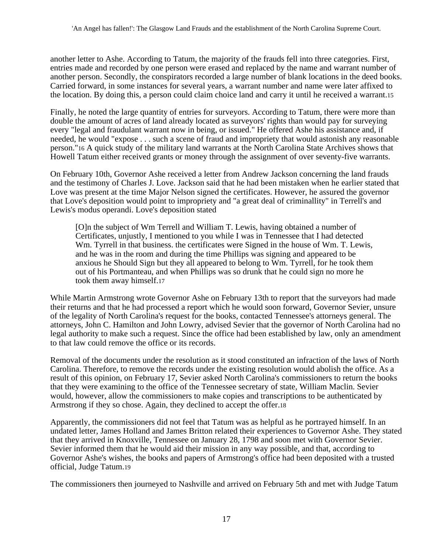another letter to Ashe. According to Tatum, the majority of the frauds fell into three categories. First, entries made and recorded by one person were erased and replaced by the name and warrant number of another person. Secondly, the conspirators recorded a large number of blank locations in the deed books. Carried forward, in some instances for several years, a warrant number and name were later affixed to the location. By doing this, a person could claim choice land and carry it until he received a warrant.15

Finally, he noted the large quantity of entries for surveyors. According to Tatum, there were more than double the amount of acres of land already located as surveyors' rights than would pay for surveying every "legal and fraudulant warrant now in being, or issued." He offered Ashe his assistance and, if needed, he would "expose . . . such a scene of fraud and impropriety that would astonish any reasonable person."16 A quick study of the military land warrants at the North Carolina State Archives shows that Howell Tatum either received grants or money through the assignment of over seventy-five warrants.

On February 10th, Governor Ashe received a letter from Andrew Jackson concerning the land frauds and the testimony of Charles J. Love. Jackson said that he had been mistaken when he earlier stated that Love was present at the time Major Nelson signed the certificates. However, he assured the governor that Love's deposition would point to impropriety and "a great deal of criminallity" in Terrell's and Lewis's modus operandi. Love's deposition stated

[O]n the subject of Wm Terrell and William T. Lewis, having obtained a number of Certificates, unjustly, I mentioned to you while I was in Tennessee that I had detected Wm. Tyrrell in that business. the certificates were Signed in the house of Wm. T. Lewis, and he was in the room and during the time Phillips was signing and appeared to be anxious he Should Sign but they all appeared to belong to Wm. Tyrrell, for he took them out of his Portmanteau, and when Phillips was so drunk that he could sign no more he took them away himself.17

While Martin Armstrong wrote Governor Ashe on February 13th to report that the surveyors had made their returns and that he had processed a report which he would soon forward, Governor Sevier, unsure of the legality of North Carolina's request for the books, contacted Tennessee's attorneys general. The attorneys, John C. Hamilton and John Lowry, advised Sevier that the governor of North Carolina had no legal authority to make such a request. Since the office had been established by law, only an amendment to that law could remove the office or its records.

Removal of the documents under the resolution as it stood constituted an infraction of the laws of North Carolina. Therefore, to remove the records under the existing resolution would abolish the office. As a result of this opinion, on February 17, Sevier asked North Carolina's commissioners to return the books that they were examining to the office of the Tennessee secretary of state, William Maclin. Sevier would, however, allow the commissioners to make copies and transcriptions to be authenticated by Armstrong if they so chose. Again, they declined to accept the offer.18

Apparently, the commissioners did not feel that Tatum was as helpful as he portrayed himself. In an undated letter, James Holland and James Britton related their experiences to Governor Ashe. They stated that they arrived in Knoxville, Tennessee on January 28, 1798 and soon met with Governor Sevier. Sevier informed them that he would aid their mission in any way possible, and that, according to Governor Ashe's wishes, the books and papers of Armstrong's office had been deposited with a trusted official, Judge Tatum.19

The commissioners then journeyed to Nashville and arrived on February 5th and met with Judge Tatum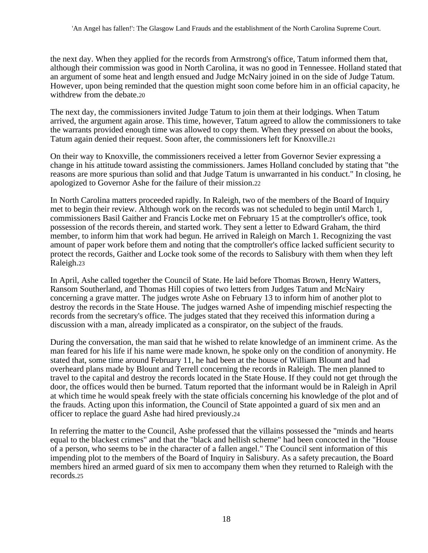the next day. When they applied for the records from Armstrong's office, Tatum informed them that, although their commission was good in North Carolina, it was no good in Tennessee. Holland stated that an argument of some heat and length ensued and Judge McNairy joined in on the side of Judge Tatum. However, upon being reminded that the question might soon come before him in an official capacity, he withdrew from the debate.20

The next day, the commissioners invited Judge Tatum to join them at their lodgings. When Tatum arrived, the argument again arose. This time, however, Tatum agreed to allow the commissioners to take the warrants provided enough time was allowed to copy them. When they pressed on about the books, Tatum again denied their request. Soon after, the commissioners left for Knoxville.21

On their way to Knoxville, the commissioners received a letter from Governor Sevier expressing a change in his attitude toward assisting the commissioners. James Holland concluded by stating that "the reasons are more spurious than solid and that Judge Tatum is unwarranted in his conduct." In closing, he apologized to Governor Ashe for the failure of their mission.22

In North Carolina matters proceeded rapidly. In Raleigh, two of the members of the Board of Inquiry met to begin their review. Although work on the records was not scheduled to begin until March 1, commissioners Basil Gaither and Francis Locke met on February 15 at the comptroller's office, took possession of the records therein, and started work. They sent a letter to Edward Graham, the third member, to inform him that work had begun. He arrived in Raleigh on March 1. Recognizing the vast amount of paper work before them and noting that the comptroller's office lacked sufficient security to protect the records, Gaither and Locke took some of the records to Salisbury with them when they left Raleigh.23

In April, Ashe called together the Council of State. He laid before Thomas Brown, Henry Watters, Ransom Southerland, and Thomas Hill copies of two letters from Judges Tatum and McNairy concerning a grave matter. The judges wrote Ashe on February 13 to inform him of another plot to destroy the records in the State House. The judges warned Ashe of impending mischief respecting the records from the secretary's office. The judges stated that they received this information during a discussion with a man, already implicated as a conspirator, on the subject of the frauds.

During the conversation, the man said that he wished to relate knowledge of an imminent crime. As the man feared for his life if his name were made known, he spoke only on the condition of anonymity. He stated that, some time around February 11, he had been at the house of William Blount and had overheard plans made by Blount and Terrell concerning the records in Raleigh. The men planned to travel to the capital and destroy the records located in the State House. If they could not get through the door, the offices would then be burned. Tatum reported that the informant would be in Raleigh in April at which time he would speak freely with the state officials concerning his knowledge of the plot and of the frauds. Acting upon this information, the Council of State appointed a guard of six men and an officer to replace the guard Ashe had hired previously.24

In referring the matter to the Council, Ashe professed that the villains possessed the "minds and hearts equal to the blackest crimes" and that the "black and hellish scheme" had been concocted in the "House of a person, who seems to be in the character of a fallen angel." The Council sent information of this impending plot to the members of the Board of Inquiry in Salisbury. As a safety precaution, the Board members hired an armed guard of six men to accompany them when they returned to Raleigh with the records.25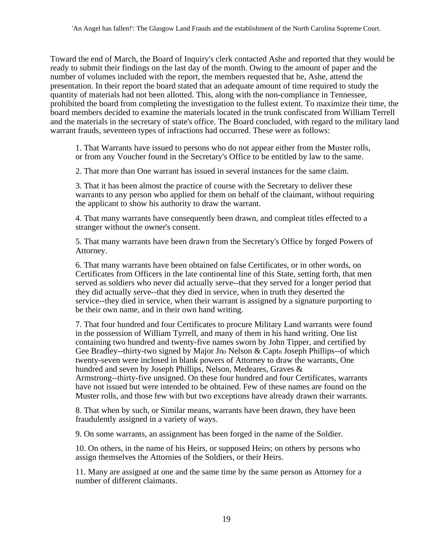Toward the end of March, the Board of Inquiry's clerk contacted Ashe and reported that they would be ready to submit their findings on the last day of the month. Owing to the amount of paper and the number of volumes included with the report, the members requested that he, Ashe, attend the presentation. In their report the board stated that an adequate amount of time required to study the quantity of materials had not been allotted. This, along with the non-compliance in Tennessee, prohibited the board from completing the investigation to the fullest extent. To maximize their time, the board members decided to examine the materials located in the trunk confiscated from William Terrell and the materials in the secretary of state's office. The Board concluded, with regard to the military land warrant frauds, seventeen types of infractions had occurred. These were as follows:

1. That Warrants have issued to persons who do not appear either from the Muster rolls, or from any Voucher found in the Secretary's Office to be entitled by law to the same.

2. That more than One warrant has issued in several instances for the same claim.

3. That it has been almost the practice of course with the Secretary to deliver these warrants to any person who applied for them on behalf of the claimant, without requiring the applicant to show his authority to draw the warrant.

4. That many warrants have consequently been drawn, and compleat titles effected to a stranger without the owner's consent.

5. That many warrants have been drawn from the Secretary's Office by forged Powers of Attorney.

6. That many warrants have been obtained on false Certificates, or in other words, on Certificates from Officers in the late continental line of this State, setting forth, that men served as soldiers who never did actually serve--that they served for a longer period that they did actually serve--that they died in service, when in truth they deserted the service--they died in service, when their warrant is assigned by a signature purporting to be their own name, and in their own hand writing.

7. That four hundred and four Certificates to procure Military Land warrants were found in the possession of William Tyrrell, and many of them in his hand writing. One list containing two hundred and twenty-five names sworn by John Tipper, and certified by Gee Bradley--thirty-two signed by Major Jno Nelson & Captn Joseph Phillips--of which twenty-seven were inclosed in blank powers of Attorney to draw the warrants, One hundred and seven by Joseph Phillips, Nelson, Medeares, Graves & Armstrong--thirty-five unsigned. On these four hundred and four Certificates, warrants have not issued but were intended to be obtained. Few of these names are found on the Muster rolls, and those few with but two exceptions have already drawn their warrants.

8. That when by such, or Similar means, warrants have been drawn, they have been fraudulently assigned in a variety of ways.

9. On some warrants, an assignment has been forged in the name of the Soldier.

10. On others, in the name of his Heirs, or supposed Heirs; on others by persons who assign themselves the Attornies of the Soldiers, or their Heirs.

11. Many are assigned at one and the same time by the same person as Attorney for a number of different claimants.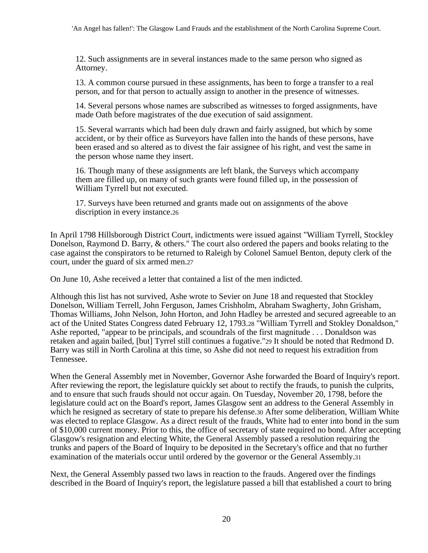12. Such assignments are in several instances made to the same person who signed as Attorney.

13. A common course pursued in these assignments, has been to forge a transfer to a real person, and for that person to actually assign to another in the presence of witnesses.

14. Several persons whose names are subscribed as witnesses to forged assignments, have made Oath before magistrates of the due execution of said assignment.

15. Several warrants which had been duly drawn and fairly assigned, but which by some accident, or by their office as Surveyors have fallen into the hands of these persons, have been erased and so altered as to divest the fair assignee of his right, and vest the same in the person whose name they insert.

16. Though many of these assignments are left blank, the Surveys which accompany them are filled up, on many of such grants were found filled up, in the possession of William Tyrrell but not executed.

17. Surveys have been returned and grants made out on assignments of the above discription in every instance.26

In April 1798 Hillsborough District Court, indictments were issued against "William Tyrrell, Stockley Donelson, Raymond D. Barry, & others." The court also ordered the papers and books relating to the case against the conspirators to be returned to Raleigh by Colonel Samuel Benton, deputy clerk of the court, under the guard of six armed men.27

On June 10, Ashe received a letter that contained a list of the men indicted.

Although this list has not survived, Ashe wrote to Sevier on June 18 and requested that Stockley Donelson, William Terrell, John Ferguson, James Crishholm, Abraham Swagherty, John Grisham, Thomas Williams, John Nelson, John Horton, and John Hadley be arrested and secured agreeable to an act of the United States Congress dated February 12, 1793.28 "William Tyrrell and Stokley Donaldson," Ashe reported, "appear to be principals, and scoundrals of the first magnitude . . . Donaldson was retaken and again bailed, [but] Tyrrel still continues a fugative."29 It should be noted that Redmond D. Barry was still in North Carolina at this time, so Ashe did not need to request his extradition from Tennessee.

When the General Assembly met in November, Governor Ashe forwarded the Board of Inquiry's report. After reviewing the report, the legislature quickly set about to rectify the frauds, to punish the culprits, and to ensure that such frauds should not occur again. On Tuesday, November 20, 1798, before the legislature could act on the Board's report, James Glasgow sent an address to the General Assembly in which he resigned as secretary of state to prepare his defense.30 After some deliberation, William White was elected to replace Glasgow. As a direct result of the frauds, White had to enter into bond in the sum of \$10,000 current money. Prior to this, the office of secretary of state required no bond. After accepting Glasgow's resignation and electing White, the General Assembly passed a resolution requiring the trunks and papers of the Board of Inquiry to be deposited in the Secretary's office and that no further examination of the materials occur until ordered by the governor or the General Assembly.31

Next, the General Assembly passed two laws in reaction to the frauds. Angered over the findings described in the Board of Inquiry's report, the legislature passed a bill that established a court to bring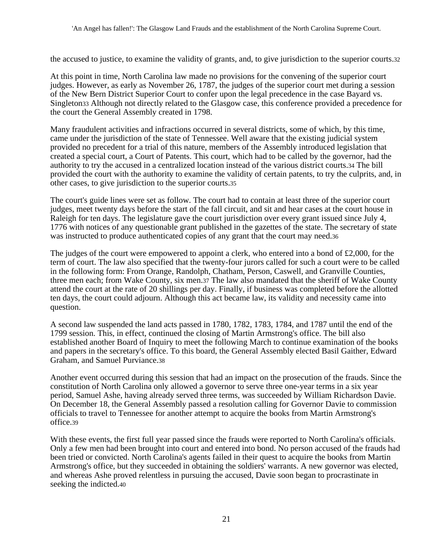the accused to justice, to examine the validity of grants, and, to give jurisdiction to the superior courts.32

At this point in time, North Carolina law made no provisions for the convening of the superior court judges. However, as early as November 26, 1787, the judges of the superior court met during a session of the New Bern District Superior Court to confer upon the legal precedence in the case Bayard vs. Singleton33 Although not directly related to the Glasgow case, this conference provided a precedence for the court the General Assembly created in 1798.

Many fraudulent activities and infractions occurred in several districts, some of which, by this time, came under the jurisdiction of the state of Tennessee. Well aware that the existing judicial system provided no precedent for a trial of this nature, members of the Assembly introduced legislation that created a special court, a Court of Patents. This court, which had to be called by the governor, had the authority to try the accused in a centralized location instead of the various district courts.34 The bill provided the court with the authority to examine the validity of certain patents, to try the culprits, and, in other cases, to give jurisdiction to the superior courts.35

The court's guide lines were set as follow. The court had to contain at least three of the superior court judges, meet twenty days before the start of the fall circuit, and sit and hear cases at the court house in Raleigh for ten days. The legislature gave the court jurisdiction over every grant issued since July 4, 1776 with notices of any questionable grant published in the gazettes of the state. The secretary of state was instructed to produce authenticated copies of any grant that the court may need.36

The judges of the court were empowered to appoint a clerk, who entered into a bond of £2,000, for the term of court. The law also specified that the twenty-four jurors called for such a court were to be called in the following form: From Orange, Randolph, Chatham, Person, Caswell, and Granville Counties, three men each; from Wake County, six men.37 The law also mandated that the sheriff of Wake County attend the court at the rate of 20 shillings per day. Finally, if business was completed before the allotted ten days, the court could adjourn. Although this act became law, its validity and necessity came into question.

A second law suspended the land acts passed in 1780, 1782, 1783, 1784, and 1787 until the end of the 1799 session. This, in effect, continued the closing of Martin Armstrong's office. The bill also established another Board of Inquiry to meet the following March to continue examination of the books and papers in the secretary's office. To this board, the General Assembly elected Basil Gaither, Edward Graham, and Samuel Purviance.38

Another event occurred during this session that had an impact on the prosecution of the frauds. Since the constitution of North Carolina only allowed a governor to serve three one-year terms in a six year period, Samuel Ashe, having already served three terms, was succeeded by William Richardson Davie. On December 18, the General Assembly passed a resolution calling for Governor Davie to commission officials to travel to Tennessee for another attempt to acquire the books from Martin Armstrong's office.39

With these events, the first full year passed since the frauds were reported to North Carolina's officials. Only a few men had been brought into court and entered into bond. No person accused of the frauds had been tried or convicted. North Carolina's agents failed in their quest to acquire the books from Martin Armstrong's office, but they succeeded in obtaining the soldiers' warrants. A new governor was elected, and whereas Ashe proved relentless in pursuing the accused, Davie soon began to procrastinate in seeking the indicted.40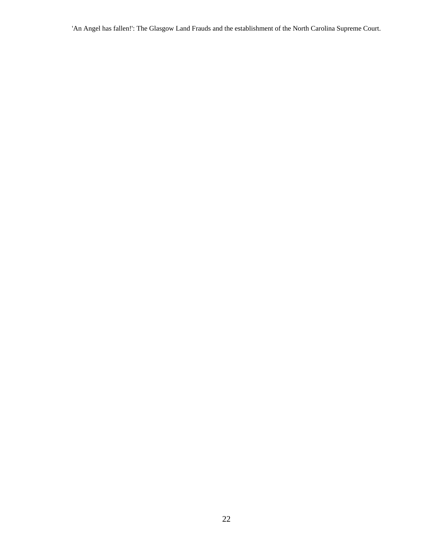'An Angel has fallen!': The Glasgow Land Frauds and the establishment of the North Carolina Supreme Court.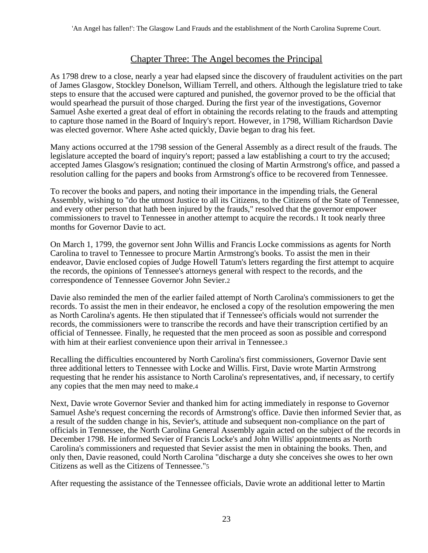## Chapter Three: The Angel becomes the Principal

As 1798 drew to a close, nearly a year had elapsed since the discovery of fraudulent activities on the part of James Glasgow, Stockley Donelson, William Terrell, and others. Although the legislature tried to take steps to ensure that the accused were captured and punished, the governor proved to be the official that would spearhead the pursuit of those charged. During the first year of the investigations, Governor Samuel Ashe exerted a great deal of effort in obtaining the records relating to the frauds and attempting to capture those named in the Board of Inquiry's report. However, in 1798, William Richardson Davie was elected governor. Where Ashe acted quickly, Davie began to drag his feet.

Many actions occurred at the 1798 session of the General Assembly as a direct result of the frauds. The legislature accepted the board of inquiry's report; passed a law establishing a court to try the accused; accepted James Glasgow's resignation; continued the closing of Martin Armstrong's office, and passed a resolution calling for the papers and books from Armstrong's office to be recovered from Tennessee.

To recover the books and papers, and noting their importance in the impending trials, the General Assembly, wishing to "do the utmost Justice to all its Citizens, to the Citizens of the State of Tennessee, and every other person that hath been injured by the frauds," resolved that the governor empower commissioners to travel to Tennessee in another attempt to acquire the records.1 It took nearly three months for Governor Davie to act.

On March 1, 1799, the governor sent John Willis and Francis Locke commissions as agents for North Carolina to travel to Tennessee to procure Martin Armstrong's books. To assist the men in their endeavor, Davie enclosed copies of Judge Howell Tatum's letters regarding the first attempt to acquire the records, the opinions of Tennessee's attorneys general with respect to the records, and the correspondence of Tennessee Governor John Sevier.2

Davie also reminded the men of the earlier failed attempt of North Carolina's commissioners to get the records. To assist the men in their endeavor, he enclosed a copy of the resolution empowering the men as North Carolina's agents. He then stipulated that if Tennessee's officials would not surrender the records, the commissioners were to transcribe the records and have their transcription certified by an official of Tennessee. Finally, he requested that the men proceed as soon as possible and correspond with him at their earliest convenience upon their arrival in Tennessee.3

Recalling the difficulties encountered by North Carolina's first commissioners, Governor Davie sent three additional letters to Tennessee with Locke and Willis. First, Davie wrote Martin Armstrong requesting that he render his assistance to North Carolina's representatives, and, if necessary, to certify any copies that the men may need to make.4

Next, Davie wrote Governor Sevier and thanked him for acting immediately in response to Governor Samuel Ashe's request concerning the records of Armstrong's office. Davie then informed Sevier that, as a result of the sudden change in his, Sevier's, attitude and subsequent non-compliance on the part of officials in Tennessee, the North Carolina General Assembly again acted on the subject of the records in December 1798. He informed Sevier of Francis Locke's and John Willis' appointments as North Carolina's commissioners and requested that Sevier assist the men in obtaining the books. Then, and only then, Davie reasoned, could North Carolina "discharge a duty she conceives she owes to her own Citizens as well as the Citizens of Tennessee."5

After requesting the assistance of the Tennessee officials, Davie wrote an additional letter to Martin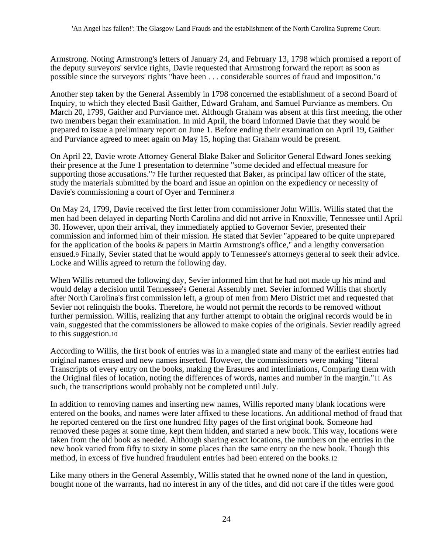Armstrong. Noting Armstrong's letters of January 24, and February 13, 1798 which promised a report of the deputy surveyors' service rights, Davie requested that Armstrong forward the report as soon as possible since the surveyors' rights "have been . . . considerable sources of fraud and imposition."6

Another step taken by the General Assembly in 1798 concerned the establishment of a second Board of Inquiry, to which they elected Basil Gaither, Edward Graham, and Samuel Purviance as members. On March 20, 1799, Gaither and Purviance met. Although Graham was absent at this first meeting, the other two members began their examination. In mid April, the board informed Davie that they would be prepared to issue a preliminary report on June 1. Before ending their examination on April 19, Gaither and Purviance agreed to meet again on May 15, hoping that Graham would be present.

On April 22, Davie wrote Attorney General Blake Baker and Solicitor General Edward Jones seeking their presence at the June 1 presentation to determine "some decided and effectual measure for supporting those accusations."7 He further requested that Baker, as principal law officer of the state, study the materials submitted by the board and issue an opinion on the expediency or necessity of Davie's commissioning a court of Oyer and Terminer.8

On May 24, 1799, Davie received the first letter from commissioner John Willis. Willis stated that the men had been delayed in departing North Carolina and did not arrive in Knoxville, Tennessee until April 30. However, upon their arrival, they immediately applied to Governor Sevier, presented their commission and informed him of their mission. He stated that Sevier "appeared to be quite unprepared for the application of the books & papers in Martin Armstrong's office," and a lengthy conversation ensued.9 Finally, Sevier stated that he would apply to Tennessee's attorneys general to seek their advice. Locke and Willis agreed to return the following day.

When Willis returned the following day, Sevier informed him that he had not made up his mind and would delay a decision until Tennessee's General Assembly met. Sevier informed Willis that shortly after North Carolina's first commission left, a group of men from Mero District met and requested that Sevier not relinquish the books. Therefore, he would not permit the records to be removed without further permission. Willis, realizing that any further attempt to obtain the original records would be in vain, suggested that the commissioners be allowed to make copies of the originals. Sevier readily agreed to this suggestion.10

According to Willis, the first book of entries was in a mangled state and many of the earliest entries had original names erased and new names inserted. However, the commissioners were making "literal Transcripts of every entry on the books, making the Erasures and interliniations, Comparing them with the Original files of location, noting the differences of words, names and number in the margin."11 As such, the transcriptions would probably not be completed until July.

In addition to removing names and inserting new names, Willis reported many blank locations were entered on the books, and names were later affixed to these locations. An additional method of fraud that he reported centered on the first one hundred fifty pages of the first original book. Someone had removed these pages at some time, kept them hidden, and started a new book. This way, locations were taken from the old book as needed. Although sharing exact locations, the numbers on the entries in the new book varied from fifty to sixty in some places than the same entry on the new book. Though this method, in excess of five hundred fraudulent entries had been entered on the books.12

Like many others in the General Assembly, Willis stated that he owned none of the land in question, bought none of the warrants, had no interest in any of the titles, and did not care if the titles were good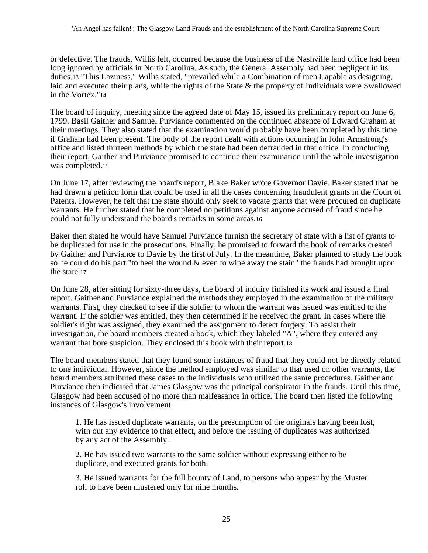or defective. The frauds, Willis felt, occurred because the business of the Nashville land office had been long ignored by officials in North Carolina. As such, the General Assembly had been negligent in its duties.13 "This Laziness," Willis stated, "prevailed while a Combination of men Capable as designing, laid and executed their plans, while the rights of the State & the property of Individuals were Swallowed in the Vortex."14

The board of inquiry, meeting since the agreed date of May 15, issued its preliminary report on June 6, 1799. Basil Gaither and Samuel Purviance commented on the continued absence of Edward Graham at their meetings. They also stated that the examination would probably have been completed by this time if Graham had been present. The body of the report dealt with actions occurring in John Armstrong's office and listed thirteen methods by which the state had been defrauded in that office. In concluding their report, Gaither and Purviance promised to continue their examination until the whole investigation was completed.15

On June 17, after reviewing the board's report, Blake Baker wrote Governor Davie. Baker stated that he had drawn a petition form that could be used in all the cases concerning fraudulent grants in the Court of Patents. However, he felt that the state should only seek to vacate grants that were procured on duplicate warrants. He further stated that he completed no petitions against anyone accused of fraud since he could not fully understand the board's remarks in some areas.16

Baker then stated he would have Samuel Purviance furnish the secretary of state with a list of grants to be duplicated for use in the prosecutions. Finally, he promised to forward the book of remarks created by Gaither and Purviance to Davie by the first of July. In the meantime, Baker planned to study the book so he could do his part "to heel the wound & even to wipe away the stain" the frauds had brought upon the state.17

On June 28, after sitting for sixty-three days, the board of inquiry finished its work and issued a final report. Gaither and Purviance explained the methods they employed in the examination of the military warrants. First, they checked to see if the soldier to whom the warrant was issued was entitled to the warrant. If the soldier was entitled, they then determined if he received the grant. In cases where the soldier's right was assigned, they examined the assignment to detect forgery. To assist their investigation, the board members created a book, which they labeled "A", where they entered any warrant that bore suspicion. They enclosed this book with their report.18

The board members stated that they found some instances of fraud that they could not be directly related to one individual. However, since the method employed was similar to that used on other warrants, the board members attributed these cases to the individuals who utilized the same procedures. Gaither and Purviance then indicated that James Glasgow was the principal conspirator in the frauds. Until this time, Glasgow had been accused of no more than malfeasance in office. The board then listed the following instances of Glasgow's involvement.

1. He has issued duplicate warrants, on the presumption of the originals having been lost, with out any evidence to that effect, and before the issuing of duplicates was authorized by any act of the Assembly.

2. He has issued two warrants to the same soldier without expressing either to be duplicate, and executed grants for both.

3. He issued warrants for the full bounty of Land, to persons who appear by the Muster roll to have been mustered only for nine months.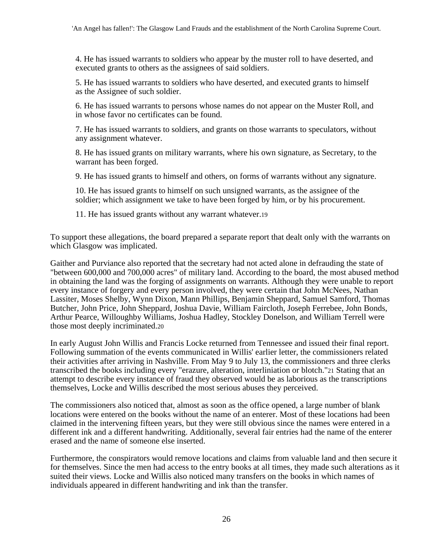4. He has issued warrants to soldiers who appear by the muster roll to have deserted, and executed grants to others as the assignees of said soldiers.

5. He has issued warrants to soldiers who have deserted, and executed grants to himself as the Assignee of such soldier.

6. He has issued warrants to persons whose names do not appear on the Muster Roll, and in whose favor no certificates can be found.

7. He has issued warrants to soldiers, and grants on those warrants to speculators, without any assignment whatever.

8. He has issued grants on military warrants, where his own signature, as Secretary, to the warrant has been forged.

9. He has issued grants to himself and others, on forms of warrants without any signature.

10. He has issued grants to himself on such unsigned warrants, as the assignee of the soldier; which assignment we take to have been forged by him, or by his procurement.

11. He has issued grants without any warrant whatever.19

To support these allegations, the board prepared a separate report that dealt only with the warrants on which Glasgow was implicated.

Gaither and Purviance also reported that the secretary had not acted alone in defrauding the state of "between 600,000 and 700,000 acres" of military land. According to the board, the most abused method in obtaining the land was the forging of assignments on warrants. Although they were unable to report every instance of forgery and every person involved, they were certain that John McNees, Nathan Lassiter, Moses Shelby, Wynn Dixon, Mann Phillips, Benjamin Sheppard, Samuel Samford, Thomas Butcher, John Price, John Sheppard, Joshua Davie, William Faircloth, Joseph Ferrebee, John Bonds, Arthur Pearce, Willoughby Williams, Joshua Hadley, Stockley Donelson, and William Terrell were those most deeply incriminated.20

In early August John Willis and Francis Locke returned from Tennessee and issued their final report. Following summation of the events communicated in Willis' earlier letter, the commissioners related their activities after arriving in Nashville. From May 9 to July 13, the commissioners and three clerks transcribed the books including every "erazure, alteration, interliniation or blotch."21 Stating that an attempt to describe every instance of fraud they observed would be as laborious as the transcriptions themselves, Locke and Willis described the most serious abuses they perceived.

The commissioners also noticed that, almost as soon as the office opened, a large number of blank locations were entered on the books without the name of an enterer. Most of these locations had been claimed in the intervening fifteen years, but they were still obvious since the names were entered in a different ink and a different handwriting. Additionally, several fair entries had the name of the enterer erased and the name of someone else inserted.

Furthermore, the conspirators would remove locations and claims from valuable land and then secure it for themselves. Since the men had access to the entry books at all times, they made such alterations as it suited their views. Locke and Willis also noticed many transfers on the books in which names of individuals appeared in different handwriting and ink than the transfer.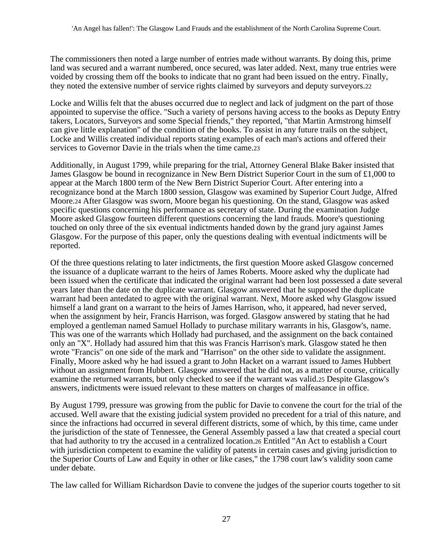The commissioners then noted a large number of entries made without warrants. By doing this, prime land was secured and a warrant numbered, once secured, was later added. Next, many true entries were voided by crossing them off the books to indicate that no grant had been issued on the entry. Finally, they noted the extensive number of service rights claimed by surveyors and deputy surveyors.22

Locke and Willis felt that the abuses occurred due to neglect and lack of judgment on the part of those appointed to supervise the office. "Such a variety of persons having access to the books as Deputy Entry takers, Locators, Surveyors and some Special friends," they reported, "that Martin Armstrong himself can give little explanation" of the condition of the books. To assist in any future trails on the subject, Locke and Willis created individual reports stating examples of each man's actions and offered their services to Governor Davie in the trials when the time came.23

Additionally, in August 1799, while preparing for the trial, Attorney General Blake Baker insisted that James Glasgow be bound in recognizance in New Bern District Superior Court in the sum of £1,000 to appear at the March 1800 term of the New Bern District Superior Court. After entering into a recognizance bond at the March 1800 session, Glasgow was examined by Superior Court Judge, Alfred Moore.24 After Glasgow was sworn, Moore began his questioning. On the stand, Glasgow was asked specific questions concerning his performance as secretary of state. During the examination Judge Moore asked Glasgow fourteen different questions concerning the land frauds. Moore's questioning touched on only three of the six eventual indictments handed down by the grand jury against James Glasgow. For the purpose of this paper, only the questions dealing with eventual indictments will be reported.

Of the three questions relating to later indictments, the first question Moore asked Glasgow concerned the issuance of a duplicate warrant to the heirs of James Roberts. Moore asked why the duplicate had been issued when the certificate that indicated the original warrant had been lost possessed a date several years later than the date on the duplicate warrant. Glasgow answered that he supposed the duplicate warrant had been antedated to agree with the original warrant. Next, Moore asked why Glasgow issued himself a land grant on a warrant to the heirs of James Harrison, who, it appeared, had never served, when the assignment by heir, Francis Harrison, was forged. Glasgow answered by stating that he had employed a gentleman named Samuel Hollady to purchase military warrants in his, Glasgow's, name. This was one of the warrants which Hollady had purchased, and the assignment on the back contained only an "X". Hollady had assured him that this was Francis Harrison's mark. Glasgow stated he then wrote "Francis" on one side of the mark and "Harrison" on the other side to validate the assignment. Finally, Moore asked why he had issued a grant to John Hacket on a warrant issued to James Hubbert without an assignment from Hubbert. Glasgow answered that he did not, as a matter of course, critically examine the returned warrants, but only checked to see if the warrant was valid.25 Despite Glasgow's answers, indictments were issued relevant to these matters on charges of malfeasance in office.

By August 1799, pressure was growing from the public for Davie to convene the court for the trial of the accused. Well aware that the existing judicial system provided no precedent for a trial of this nature, and since the infractions had occurred in several different districts, some of which, by this time, came under the jurisdiction of the state of Tennessee, the General Assembly passed a law that created a special court that had authority to try the accused in a centralized location.26 Entitled "An Act to establish a Court with jurisdiction competent to examine the validity of patents in certain cases and giving jurisdiction to the Superior Courts of Law and Equity in other or like cases," the 1798 court law's validity soon came under debate.

The law called for William Richardson Davie to convene the judges of the superior courts together to sit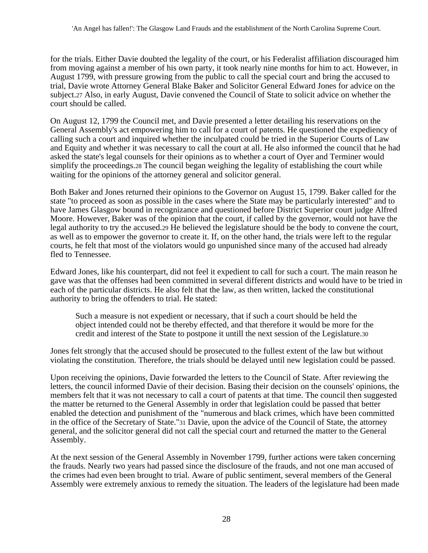for the trials. Either Davie doubted the legality of the court, or his Federalist affiliation discouraged him from moving against a member of his own party, it took nearly nine months for him to act. However, in August 1799, with pressure growing from the public to call the special court and bring the accused to trial, Davie wrote Attorney General Blake Baker and Solicitor General Edward Jones for advice on the subject.27 Also, in early August, Davie convened the Council of State to solicit advice on whether the court should be called.

On August 12, 1799 the Council met, and Davie presented a letter detailing his reservations on the General Assembly's act empowering him to call for a court of patents. He questioned the expediency of calling such a court and inquired whether the inculpated could be tried in the Superior Courts of Law and Equity and whether it was necessary to call the court at all. He also informed the council that he had asked the state's legal counsels for their opinions as to whether a court of Oyer and Terminer would simplify the proceedings.28 The council began weighing the legality of establishing the court while waiting for the opinions of the attorney general and solicitor general.

Both Baker and Jones returned their opinions to the Governor on August 15, 1799. Baker called for the state "to proceed as soon as possible in the cases where the State may be particularly interested" and to have James Glasgow bound in recognizance and questioned before District Superior court judge Alfred Moore. However, Baker was of the opinion that the court, if called by the governor, would not have the legal authority to try the accused.29 He believed the legislature should be the body to convene the court, as well as to empower the governor to create it. If, on the other hand, the trials were left to the regular courts, he felt that most of the violators would go unpunished since many of the accused had already fled to Tennessee.

Edward Jones, like his counterpart, did not feel it expedient to call for such a court. The main reason he gave was that the offenses had been committed in several different districts and would have to be tried in each of the particular districts. He also felt that the law, as then written, lacked the constitutional authority to bring the offenders to trial. He stated:

Such a measure is not expedient or necessary, that if such a court should be held the object intended could not be thereby effected, and that therefore it would be more for the credit and interest of the State to postpone it untill the next session of the Legislature.30

Jones felt strongly that the accused should be prosecuted to the fullest extent of the law but without violating the constitution. Therefore, the trials should be delayed until new legislation could be passed.

Upon receiving the opinions, Davie forwarded the letters to the Council of State. After reviewing the letters, the council informed Davie of their decision. Basing their decision on the counsels' opinions, the members felt that it was not necessary to call a court of patents at that time. The council then suggested the matter be returned to the General Assembly in order that legislation could be passed that better enabled the detection and punishment of the "numerous and black crimes, which have been committed in the office of the Secretary of State."31 Davie, upon the advice of the Council of State, the attorney general, and the solicitor general did not call the special court and returned the matter to the General Assembly.

At the next session of the General Assembly in November 1799, further actions were taken concerning the frauds. Nearly two years had passed since the disclosure of the frauds, and not one man accused of the crimes had even been brought to trial. Aware of public sentiment, several members of the General Assembly were extremely anxious to remedy the situation. The leaders of the legislature had been made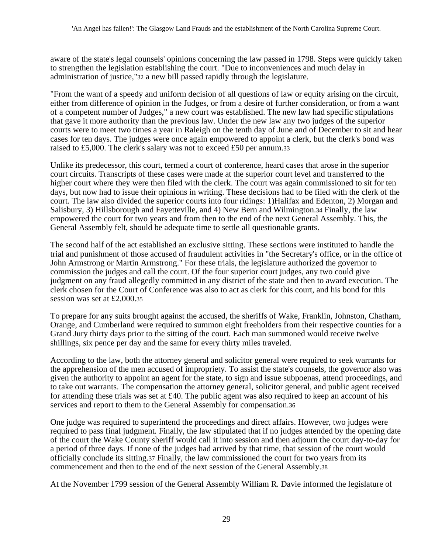aware of the state's legal counsels' opinions concerning the law passed in 1798. Steps were quickly taken to strengthen the legislation establishing the court. "Due to inconveniences and much delay in administration of justice,"32 a new bill passed rapidly through the legislature.

"From the want of a speedy and uniform decision of all questions of law or equity arising on the circuit, either from difference of opinion in the Judges, or from a desire of further consideration, or from a want of a competent number of Judges," a new court was established. The new law had specific stipulations that gave it more authority than the previous law. Under the new law any two judges of the superior courts were to meet two times a year in Raleigh on the tenth day of June and of December to sit and hear cases for ten days. The judges were once again empowered to appoint a clerk, but the clerk's bond was raised to £5,000. The clerk's salary was not to exceed £50 per annum.33

Unlike its predecessor, this court, termed a court of conference, heard cases that arose in the superior court circuits. Transcripts of these cases were made at the superior court level and transferred to the higher court where they were then filed with the clerk. The court was again commissioned to sit for ten days, but now had to issue their opinions in writing. These decisions had to be filed with the clerk of the court. The law also divided the superior courts into four ridings: 1)Halifax and Edenton, 2) Morgan and Salisbury, 3) Hillsborough and Fayetteville, and 4) New Bern and Wilmington.34 Finally, the law empowered the court for two years and from then to the end of the next General Assembly. This, the General Assembly felt, should be adequate time to settle all questionable grants.

The second half of the act established an exclusive sitting. These sections were instituted to handle the trial and punishment of those accused of fraudulent activities in "the Secretary's office, or in the office of John Armstrong or Martin Armstrong." For these trials, the legislature authorized the governor to commission the judges and call the court. Of the four superior court judges, any two could give judgment on any fraud allegedly committed in any district of the state and then to award execution. The clerk chosen for the Court of Conference was also to act as clerk for this court, and his bond for this session was set at £2,000.35

To prepare for any suits brought against the accused, the sheriffs of Wake, Franklin, Johnston, Chatham, Orange, and Cumberland were required to summon eight freeholders from their respective counties for a Grand Jury thirty days prior to the sitting of the court. Each man summoned would receive twelve shillings, six pence per day and the same for every thirty miles traveled.

According to the law, both the attorney general and solicitor general were required to seek warrants for the apprehension of the men accused of impropriety. To assist the state's counsels, the governor also was given the authority to appoint an agent for the state, to sign and issue subpoenas, attend proceedings, and to take out warrants. The compensation the attorney general, solicitor general, and public agent received for attending these trials was set at £40. The public agent was also required to keep an account of his services and report to them to the General Assembly for compensation.36

One judge was required to superintend the proceedings and direct affairs. However, two judges were required to pass final judgment. Finally, the law stipulated that if no judges attended by the opening date of the court the Wake County sheriff would call it into session and then adjourn the court day-to-day for a period of three days. If none of the judges had arrived by that time, that session of the court would officially conclude its sitting.37 Finally, the law commissioned the court for two years from its commencement and then to the end of the next session of the General Assembly.38

At the November 1799 session of the General Assembly William R. Davie informed the legislature of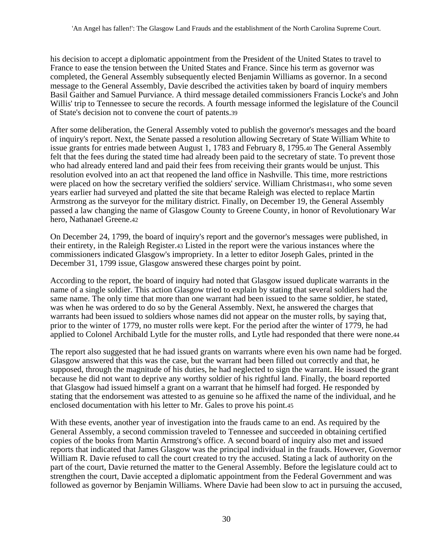his decision to accept a diplomatic appointment from the President of the United States to travel to France to ease the tension between the United States and France. Since his term as governor was completed, the General Assembly subsequently elected Benjamin Williams as governor. In a second message to the General Assembly, Davie described the activities taken by board of inquiry members Basil Gaither and Samuel Purviance. A third message detailed commissioners Francis Locke's and John Willis' trip to Tennessee to secure the records. A fourth message informed the legislature of the Council of State's decision not to convene the court of patents.39

After some deliberation, the General Assembly voted to publish the governor's messages and the board of inquiry's report. Next, the Senate passed a resolution allowing Secretary of State William White to issue grants for entries made between August 1, 1783 and February 8, 1795.40 The General Assembly felt that the fees during the stated time had already been paid to the secretary of state. To prevent those who had already entered land and paid their fees from receiving their grants would be unjust. This resolution evolved into an act that reopened the land office in Nashville. This time, more restrictions were placed on how the secretary verified the soldiers' service. William Christmas41, who some seven years earlier had surveyed and platted the site that became Raleigh was elected to replace Martin Armstrong as the surveyor for the military district. Finally, on December 19, the General Assembly passed a law changing the name of Glasgow County to Greene County, in honor of Revolutionary War hero, Nathanael Greene.42

On December 24, 1799, the board of inquiry's report and the governor's messages were published, in their entirety, in the Raleigh Register.43 Listed in the report were the various instances where the commissioners indicated Glasgow's impropriety. In a letter to editor Joseph Gales, printed in the December 31, 1799 issue, Glasgow answered these charges point by point.

According to the report, the board of inquiry had noted that Glasgow issued duplicate warrants in the name of a single soldier. This action Glasgow tried to explain by stating that several soldiers had the same name. The only time that more than one warrant had been issued to the same soldier, he stated, was when he was ordered to do so by the General Assembly. Next, he answered the charges that warrants had been issued to soldiers whose names did not appear on the muster rolls, by saying that, prior to the winter of 1779, no muster rolls were kept. For the period after the winter of 1779, he had applied to Colonel Archibald Lytle for the muster rolls, and Lytle had responded that there were none.44

The report also suggested that he had issued grants on warrants where even his own name had be forged. Glasgow answered that this was the case, but the warrant had been filled out correctly and that, he supposed, through the magnitude of his duties, he had neglected to sign the warrant. He issued the grant because he did not want to deprive any worthy soldier of his rightful land. Finally, the board reported that Glasgow had issued himself a grant on a warrant that he himself had forged. He responded by stating that the endorsement was attested to as genuine so he affixed the name of the individual, and he enclosed documentation with his letter to Mr. Gales to prove his point.45

With these events, another year of investigation into the frauds came to an end. As required by the General Assembly, a second commission traveled to Tennessee and succeeded in obtaining certified copies of the books from Martin Armstrong's office. A second board of inquiry also met and issued reports that indicated that James Glasgow was the principal individual in the frauds. However, Governor William R. Davie refused to call the court created to try the accused. Stating a lack of authority on the part of the court, Davie returned the matter to the General Assembly. Before the legislature could act to strengthen the court, Davie accepted a diplomatic appointment from the Federal Government and was followed as governor by Benjamin Williams. Where Davie had been slow to act in pursuing the accused,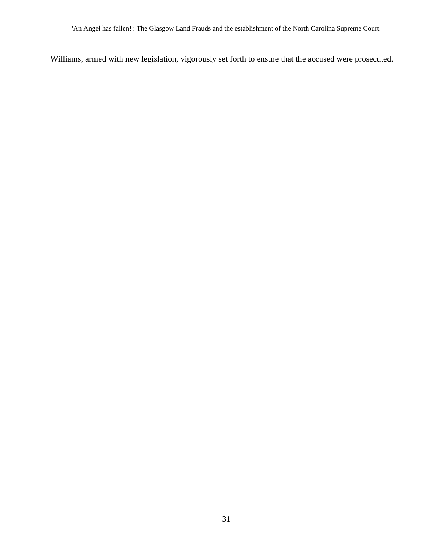'An Angel has fallen!': The Glasgow Land Frauds and the establishment of the North Carolina Supreme Court.

Williams, armed with new legislation, vigorously set forth to ensure that the accused were prosecuted.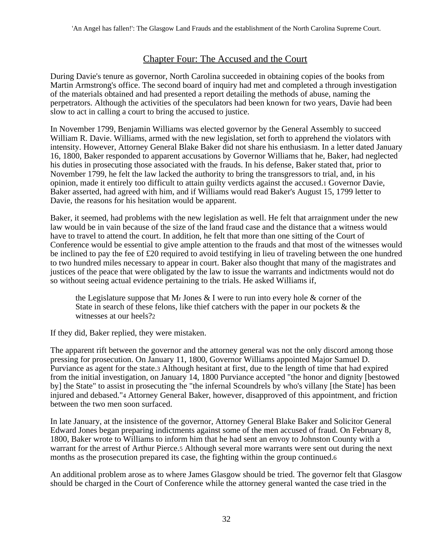# Chapter Four: The Accused and the Court

During Davie's tenure as governor, North Carolina succeeded in obtaining copies of the books from Martin Armstrong's office. The second board of inquiry had met and completed a through investigation of the materials obtained and had presented a report detailing the methods of abuse, naming the perpetrators. Although the activities of the speculators had been known for two years, Davie had been slow to act in calling a court to bring the accused to justice.

In November 1799, Benjamin Williams was elected governor by the General Assembly to succeed William R. Davie. Williams, armed with the new legislation, set forth to apprehend the violators with intensity. However, Attorney General Blake Baker did not share his enthusiasm. In a letter dated January 16, 1800, Baker responded to apparent accusations by Governor Williams that he, Baker, had neglected his duties in prosecuting those associated with the frauds. In his defense, Baker stated that, prior to November 1799, he felt the law lacked the authority to bring the transgressors to trial, and, in his opinion, made it entirely too difficult to attain guilty verdicts against the accused.1 Governor Davie, Baker asserted, had agreed with him, and if Williams would read Baker's August 15, 1799 letter to Davie, the reasons for his hesitation would be apparent.

Baker, it seemed, had problems with the new legislation as well. He felt that arraignment under the new law would be in vain because of the size of the land fraud case and the distance that a witness would have to travel to attend the court. In addition, he felt that more than one sitting of the Court of Conference would be essential to give ample attention to the frauds and that most of the witnesses would be inclined to pay the fee of £20 required to avoid testifying in lieu of traveling between the one hundred to two hundred miles necessary to appear in court. Baker also thought that many of the magistrates and justices of the peace that were obligated by the law to issue the warrants and indictments would not do so without seeing actual evidence pertaining to the trials. He asked Williams if,

the Legislature suppose that M<sub>r</sub> Jones & I were to run into every hole  $\&$  corner of the State in search of these felons, like thief catchers with the paper in our pockets  $\&$  the witnesses at our heels?2

If they did, Baker replied, they were mistaken.

The apparent rift between the governor and the attorney general was not the only discord among those pressing for prosecution. On January 11, 1800, Governor Williams appointed Major Samuel D. Purviance as agent for the state.3 Although hesitant at first, due to the length of time that had expired from the initial investigation, on January 14, 1800 Purviance accepted "the honor and dignity [bestowed by] the State" to assist in prosecuting the "the infernal Scoundrels by who's villany [the State] has been injured and debased."4 Attorney General Baker, however, disapproved of this appointment, and friction between the two men soon surfaced.

In late January, at the insistence of the governor, Attorney General Blake Baker and Solicitor General Edward Jones began preparing indictments against some of the men accused of fraud. On February 8, 1800, Baker wrote to Williams to inform him that he had sent an envoy to Johnston County with a warrant for the arrest of Arthur Pierce.5 Although several more warrants were sent out during the next months as the prosecution prepared its case, the fighting within the group continued.6

An additional problem arose as to where James Glasgow should be tried. The governor felt that Glasgow should be charged in the Court of Conference while the attorney general wanted the case tried in the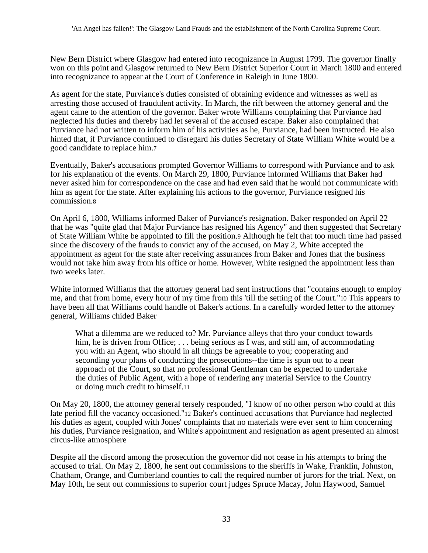New Bern District where Glasgow had entered into recognizance in August 1799. The governor finally won on this point and Glasgow returned to New Bern District Superior Court in March 1800 and entered into recognizance to appear at the Court of Conference in Raleigh in June 1800.

As agent for the state, Purviance's duties consisted of obtaining evidence and witnesses as well as arresting those accused of fraudulent activity. In March, the rift between the attorney general and the agent came to the attention of the governor. Baker wrote Williams complaining that Purviance had neglected his duties and thereby had let several of the accused escape. Baker also complained that Purviance had not written to inform him of his activities as he, Purviance, had been instructed. He also hinted that, if Purviance continued to disregard his duties Secretary of State William White would be a good candidate to replace him.7

Eventually, Baker's accusations prompted Governor Williams to correspond with Purviance and to ask for his explanation of the events. On March 29, 1800, Purviance informed Williams that Baker had never asked him for correspondence on the case and had even said that he would not communicate with him as agent for the state. After explaining his actions to the governor, Purviance resigned his commission.8

On April 6, 1800, Williams informed Baker of Purviance's resignation. Baker responded on April 22 that he was "quite glad that Major Purviance has resigned his Agency" and then suggested that Secretary of State William White be appointed to fill the position.9 Although he felt that too much time had passed since the discovery of the frauds to convict any of the accused, on May 2, White accepted the appointment as agent for the state after receiving assurances from Baker and Jones that the business would not take him away from his office or home. However, White resigned the appointment less than two weeks later.

White informed Williams that the attorney general had sent instructions that "contains enough to employ me, and that from home, every hour of my time from this 'till the setting of the Court."10 This appears to have been all that Williams could handle of Baker's actions. In a carefully worded letter to the attorney general, Williams chided Baker

What a dilemma are we reduced to? Mr. Purviance alleys that thro your conduct towards him, he is driven from Office; ... being serious as I was, and still am, of accommodating you with an Agent, who should in all things be agreeable to you; cooperating and seconding your plans of conducting the prosecutions--the time is spun out to a near approach of the Court, so that no professional Gentleman can be expected to undertake the duties of Public Agent, with a hope of rendering any material Service to the Country or doing much credit to himself.11

On May 20, 1800, the attorney general tersely responded, "I know of no other person who could at this late period fill the vacancy occasioned."12 Baker's continued accusations that Purviance had neglected his duties as agent, coupled with Jones' complaints that no materials were ever sent to him concerning his duties, Purviance resignation, and White's appointment and resignation as agent presented an almost circus-like atmosphere

Despite all the discord among the prosecution the governor did not cease in his attempts to bring the accused to trial. On May 2, 1800, he sent out commissions to the sheriffs in Wake, Franklin, Johnston, Chatham, Orange, and Cumberland counties to call the required number of jurors for the trial. Next, on May 10th, he sent out commissions to superior court judges Spruce Macay, John Haywood, Samuel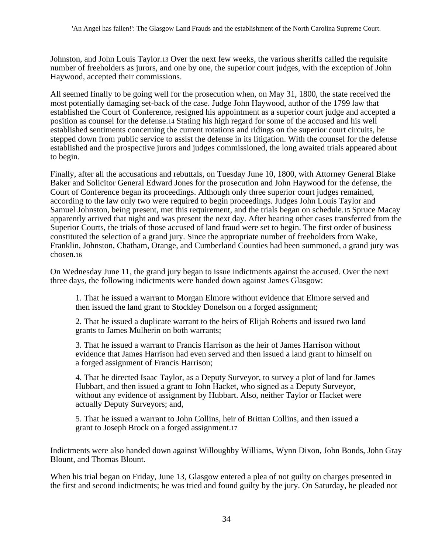Johnston, and John Louis Taylor.13 Over the next few weeks, the various sheriffs called the requisite number of freeholders as jurors, and one by one, the superior court judges, with the exception of John Haywood, accepted their commissions.

All seemed finally to be going well for the prosecution when, on May 31, 1800, the state received the most potentially damaging set-back of the case. Judge John Haywood, author of the 1799 law that established the Court of Conference, resigned his appointment as a superior court judge and accepted a position as counsel for the defense.14 Stating his high regard for some of the accused and his well established sentiments concerning the current rotations and ridings on the superior court circuits, he stepped down from public service to assist the defense in its litigation. With the counsel for the defense established and the prospective jurors and judges commissioned, the long awaited trials appeared about to begin.

Finally, after all the accusations and rebuttals, on Tuesday June 10, 1800, with Attorney General Blake Baker and Solicitor General Edward Jones for the prosecution and John Haywood for the defense, the Court of Conference began its proceedings. Although only three superior court judges remained, according to the law only two were required to begin proceedings. Judges John Louis Taylor and Samuel Johnston, being present, met this requirement, and the trials began on schedule.15 Spruce Macay apparently arrived that night and was present the next day. After hearing other cases transferred from the Superior Courts, the trials of those accused of land fraud were set to begin. The first order of business constituted the selection of a grand jury. Since the appropriate number of freeholders from Wake, Franklin, Johnston, Chatham, Orange, and Cumberland Counties had been summoned, a grand jury was chosen.16

On Wednesday June 11, the grand jury began to issue indictments against the accused. Over the next three days, the following indictments were handed down against James Glasgow:

1. That he issued a warrant to Morgan Elmore without evidence that Elmore served and then issued the land grant to Stockley Donelson on a forged assignment;

2. That he issued a duplicate warrant to the heirs of Elijah Roberts and issued two land grants to James Mulherin on both warrants;

3. That he issued a warrant to Francis Harrison as the heir of James Harrison without evidence that James Harrison had even served and then issued a land grant to himself on a forged assignment of Francis Harrison;

4. That he directed Isaac Taylor, as a Deputy Surveyor, to survey a plot of land for James Hubbart, and then issued a grant to John Hacket, who signed as a Deputy Surveyor, without any evidence of assignment by Hubbart. Also, neither Taylor or Hacket were actually Deputy Surveyors; and,

5. That he issued a warrant to John Collins, heir of Brittan Collins, and then issued a grant to Joseph Brock on a forged assignment.17

Indictments were also handed down against Willoughby Williams, Wynn Dixon, John Bonds, John Gray Blount, and Thomas Blount.

When his trial began on Friday, June 13, Glasgow entered a plea of not guilty on charges presented in the first and second indictments; he was tried and found guilty by the jury. On Saturday, he pleaded not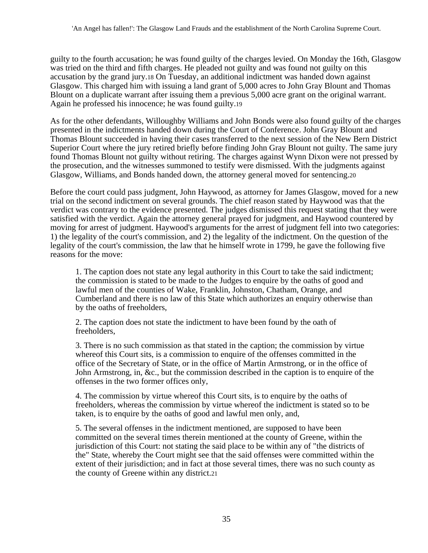guilty to the fourth accusation; he was found guilty of the charges levied. On Monday the 16th, Glasgow was tried on the third and fifth charges. He pleaded not guilty and was found not guilty on this accusation by the grand jury.18 On Tuesday, an additional indictment was handed down against Glasgow. This charged him with issuing a land grant of 5,000 acres to John Gray Blount and Thomas Blount on a duplicate warrant after issuing them a previous 5,000 acre grant on the original warrant. Again he professed his innocence; he was found guilty.19

As for the other defendants, Willoughby Williams and John Bonds were also found guilty of the charges presented in the indictments handed down during the Court of Conference. John Gray Blount and Thomas Blount succeeded in having their cases transferred to the next session of the New Bern District Superior Court where the jury retired briefly before finding John Gray Blount not guilty. The same jury found Thomas Blount not guilty without retiring. The charges against Wynn Dixon were not pressed by the prosecution, and the witnesses summoned to testify were dismissed. With the judgments against Glasgow, Williams, and Bonds handed down, the attorney general moved for sentencing.20

Before the court could pass judgment, John Haywood, as attorney for James Glasgow, moved for a new trial on the second indictment on several grounds. The chief reason stated by Haywood was that the verdict was contrary to the evidence presented. The judges dismissed this request stating that they were satisfied with the verdict. Again the attorney general prayed for judgment, and Haywood countered by moving for arrest of judgment. Haywood's arguments for the arrest of judgment fell into two categories: 1) the legality of the court's commission, and 2) the legality of the indictment. On the question of the legality of the court's commission, the law that he himself wrote in 1799, he gave the following five reasons for the move:

1. The caption does not state any legal authority in this Court to take the said indictment; the commission is stated to be made to the Judges to enquire by the oaths of good and lawful men of the counties of Wake, Franklin, Johnston, Chatham, Orange, and Cumberland and there is no law of this State which authorizes an enquiry otherwise than by the oaths of freeholders,

2. The caption does not state the indictment to have been found by the oath of freeholders,

3. There is no such commission as that stated in the caption; the commission by virtue whereof this Court sits, is a commission to enquire of the offenses committed in the office of the Secretary of State, or in the office of Martin Armstrong, or in the office of John Armstrong, in, &c., but the commission described in the caption is to enquire of the offenses in the two former offices only,

4. The commission by virtue whereof this Court sits, is to enquire by the oaths of freeholders, whereas the commission by virtue whereof the indictment is stated so to be taken, is to enquire by the oaths of good and lawful men only, and,

5. The several offenses in the indictment mentioned, are supposed to have been committed on the several times therein mentioned at the county of Greene, within the jurisdiction of this Court: not stating the said place to be within any of "the districts of the" State, whereby the Court might see that the said offenses were committed within the extent of their jurisdiction; and in fact at those several times, there was no such county as the county of Greene within any district.21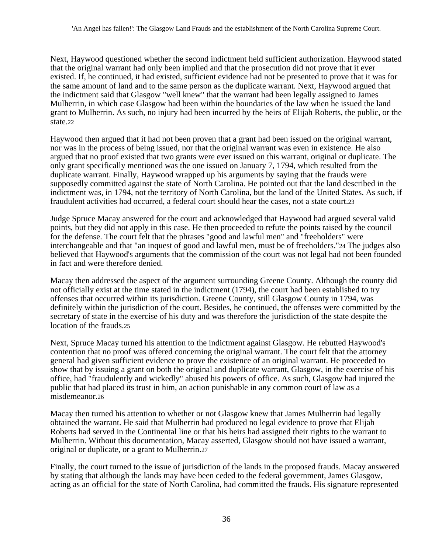Next, Haywood questioned whether the second indictment held sufficient authorization. Haywood stated that the original warrant had only been implied and that the prosecution did not prove that it ever existed. If, he continued, it had existed, sufficient evidence had not be presented to prove that it was for the same amount of land and to the same person as the duplicate warrant. Next, Haywood argued that the indictment said that Glasgow "well knew" that the warrant had been legally assigned to James Mulherrin, in which case Glasgow had been within the boundaries of the law when he issued the land grant to Mulherrin. As such, no injury had been incurred by the heirs of Elijah Roberts, the public, or the state.22

Haywood then argued that it had not been proven that a grant had been issued on the original warrant, nor was in the process of being issued, nor that the original warrant was even in existence. He also argued that no proof existed that two grants were ever issued on this warrant, original or duplicate. The only grant specifically mentioned was the one issued on January 7, 1794, which resulted from the duplicate warrant. Finally, Haywood wrapped up his arguments by saying that the frauds were supposedly committed against the state of North Carolina. He pointed out that the land described in the indictment was, in 1794, not the territory of North Carolina, but the land of the United States. As such, if fraudulent activities had occurred, a federal court should hear the cases, not a state court.23

Judge Spruce Macay answered for the court and acknowledged that Haywood had argued several valid points, but they did not apply in this case. He then proceeded to refute the points raised by the council for the defense. The court felt that the phrases "good and lawful men" and "freeholders" were interchangeable and that "an inquest of good and lawful men, must be of freeholders."24 The judges also believed that Haywood's arguments that the commission of the court was not legal had not been founded in fact and were therefore denied.

Macay then addressed the aspect of the argument surrounding Greene County. Although the county did not officially exist at the time stated in the indictment (1794), the court had been established to try offenses that occurred within its jurisdiction. Greene County, still Glasgow County in 1794, was definitely within the jurisdiction of the court. Besides, he continued, the offenses were committed by the secretary of state in the exercise of his duty and was therefore the jurisdiction of the state despite the location of the frauds.25

Next, Spruce Macay turned his attention to the indictment against Glasgow. He rebutted Haywood's contention that no proof was offered concerning the original warrant. The court felt that the attorney general had given sufficient evidence to prove the existence of an original warrant. He proceeded to show that by issuing a grant on both the original and duplicate warrant, Glasgow, in the exercise of his office, had "fraudulently and wickedly" abused his powers of office. As such, Glasgow had injured the public that had placed its trust in him, an action punishable in any common court of law as a misdemeanor.26

Macay then turned his attention to whether or not Glasgow knew that James Mulherrin had legally obtained the warrant. He said that Mulherrin had produced no legal evidence to prove that Elijah Roberts had served in the Continental line or that his heirs had assigned their rights to the warrant to Mulherrin. Without this documentation, Macay asserted, Glasgow should not have issued a warrant, original or duplicate, or a grant to Mulherrin.27

Finally, the court turned to the issue of jurisdiction of the lands in the proposed frauds. Macay answered by stating that although the lands may have been ceded to the federal government, James Glasgow, acting as an official for the state of North Carolina, had committed the frauds. His signature represented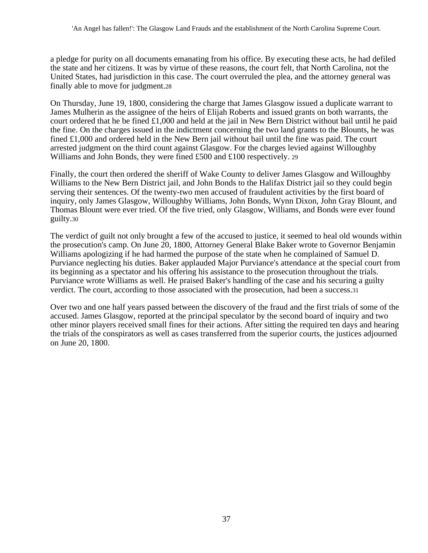a pledge for purity on all documents emanating from his office. By executing these acts, he had defiled the state and her citizens. It was by virtue of these reasons, the court felt, that North Carolina, not the United States, had jurisdiction in this case. The court overruled the plea, and the attorney general was finally able to move for judgment.28

On Thursday, June 19, 1800, considering the charge that James Glasgow issued a duplicate warrant to James Mulherin as the assignee of the heirs of Elijah Roberts and issued grants on both warrants, the court ordered that he be fined £1,000 and held at the jail in New Bern District without bail until he paid the fine. On the charges issued in the indictment concerning the two land grants to the Blounts, he was fined £1,000 and ordered held in the New Bern jail without bail until the fine was paid. The court arrested judgment on the third count against Glasgow. For the charges levied against Willoughby Williams and John Bonds, they were fined £500 and £100 respectively. 29

Finally, the court then ordered the sheriff of Wake County to deliver James Glasgow and Willoughby Williams to the New Bern District jail, and John Bonds to the Halifax District jail so they could begin serving their sentences. Of the twenty-two men accused of fraudulent activities by the first board of inquiry, only James Glasgow, Willoughby Williams, John Bonds, Wynn Dixon, John Gray Blount, and Thomas Blount were ever tried. Of the five tried, only Glasgow, Williams, and Bonds were ever found guilty.30

The verdict of guilt not only brought a few of the accused to justice, it seemed to heal old wounds within the prosecution's camp. On June 20, 1800, Attorney General Blake Baker wrote to Governor Benjamin Williams apologizing if he had harmed the purpose of the state when he complained of Samuel D. Purviance neglecting his duties. Baker applauded Major Purviance's attendance at the special court from its beginning as a spectator and his offering his assistance to the prosecution throughout the trials. Purviance wrote Williams as well. He praised Baker's handling of the case and his securing a guilty verdict. The court, according to those associated with the prosecution, had been a success.31

Over two and one half years passed between the discovery of the fraud and the first trials of some of the accused. James Glasgow, reported at the principal speculator by the second board of inquiry and two other minor players received small fines for their actions. After sitting the required ten days and hearing the trials of the conspirators as well as cases transferred from the superior courts, the justices adjourned on June 20, 1800.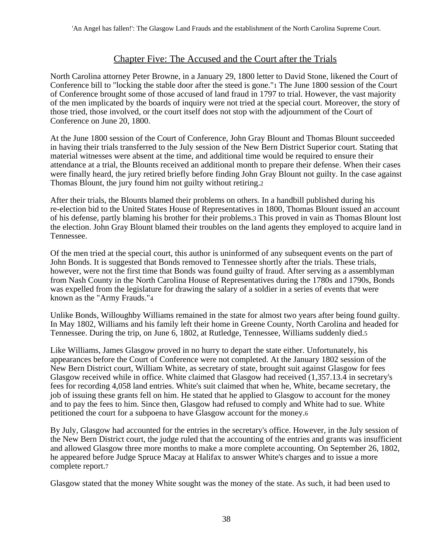# Chapter Five: The Accused and the Court after the Trials

North Carolina attorney Peter Browne, in a January 29, 1800 letter to David Stone, likened the Court of Conference bill to "locking the stable door after the steed is gone."1 The June 1800 session of the Court of Conference brought some of those accused of land fraud in 1797 to trial. However, the vast majority of the men implicated by the boards of inquiry were not tried at the special court. Moreover, the story of those tried, those involved, or the court itself does not stop with the adjournment of the Court of Conference on June 20, 1800.

At the June 1800 session of the Court of Conference, John Gray Blount and Thomas Blount succeeded in having their trials transferred to the July session of the New Bern District Superior court. Stating that material witnesses were absent at the time, and additional time would be required to ensure their attendance at a trial, the Blounts received an additional month to prepare their defense. When their cases were finally heard, the jury retired briefly before finding John Gray Blount not guilty. In the case against Thomas Blount, the jury found him not guilty without retiring.2

After their trials, the Blounts blamed their problems on others. In a handbill published during his re-election bid to the United States House of Representatives in 1800, Thomas Blount issued an account of his defense, partly blaming his brother for their problems.3 This proved in vain as Thomas Blount lost the election. John Gray Blount blamed their troubles on the land agents they employed to acquire land in Tennessee.

Of the men tried at the special court, this author is uninformed of any subsequent events on the part of John Bonds. It is suggested that Bonds removed to Tennessee shortly after the trials. These trials, however, were not the first time that Bonds was found guilty of fraud. After serving as a assemblyman from Nash County in the North Carolina House of Representatives during the 1780s and 1790s, Bonds was expelled from the legislature for drawing the salary of a soldier in a series of events that were known as the "Army Frauds."4

Unlike Bonds, Willoughby Williams remained in the state for almost two years after being found guilty. In May 1802, Williams and his family left their home in Greene County, North Carolina and headed for Tennessee. During the trip, on June 6, 1802, at Rutledge, Tennessee, Williams suddenly died.5

Like Williams, James Glasgow proved in no hurry to depart the state either. Unfortunately, his appearances before the Court of Conference were not completed. At the January 1802 session of the New Bern District court, William White, as secretary of state, brought suit against Glasgow for fees Glasgow received while in office. White claimed that Glasgow had received (1,357.13.4 in secretary's fees for recording 4,058 land entries. White's suit claimed that when he, White, became secretary, the job of issuing these grants fell on him. He stated that he applied to Glasgow to account for the money and to pay the fees to him. Since then, Glasgow had refused to comply and White had to sue. White petitioned the court for a subpoena to have Glasgow account for the money.6

By July, Glasgow had accounted for the entries in the secretary's office. However, in the July session of the New Bern District court, the judge ruled that the accounting of the entries and grants was insufficient and allowed Glasgow three more months to make a more complete accounting. On September 26, 1802, he appeared before Judge Spruce Macay at Halifax to answer White's charges and to issue a more complete report.7

Glasgow stated that the money White sought was the money of the state. As such, it had been used to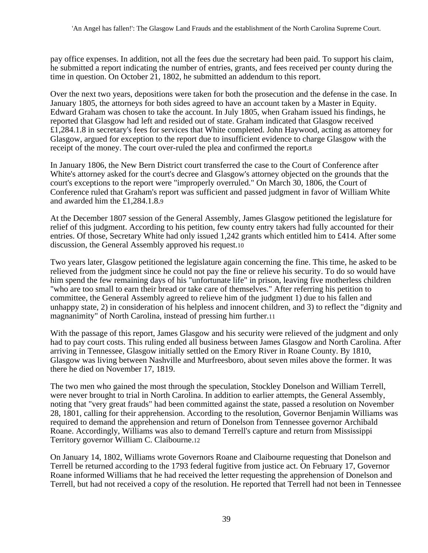pay office expenses. In addition, not all the fees due the secretary had been paid. To support his claim, he submitted a report indicating the number of entries, grants, and fees received per county during the time in question. On October 21, 1802, he submitted an addendum to this report.

Over the next two years, depositions were taken for both the prosecution and the defense in the case. In January 1805, the attorneys for both sides agreed to have an account taken by a Master in Equity. Edward Graham was chosen to take the account. In July 1805, when Graham issued his findings, he reported that Glasgow had left and resided out of state. Graham indicated that Glasgow received £1,284.1.8 in secretary's fees for services that White completed. John Haywood, acting as attorney for Glasgow, argued for exception to the report due to insufficient evidence to charge Glasgow with the receipt of the money. The court over-ruled the plea and confirmed the report.8

In January 1806, the New Bern District court transferred the case to the Court of Conference after White's attorney asked for the court's decree and Glasgow's attorney objected on the grounds that the court's exceptions to the report were "improperly overruled." On March 30, 1806, the Court of Conference ruled that Graham's report was sufficient and passed judgment in favor of William White and awarded him the £1,284.1.8.9

At the December 1807 session of the General Assembly, James Glasgow petitioned the legislature for relief of this judgment. According to his petition, few county entry takers had fully accounted for their entries. Of those, Secretary White had only issued 1,242 grants which entitled him to £414. After some discussion, the General Assembly approved his request.10

Two years later, Glasgow petitioned the legislature again concerning the fine. This time, he asked to be relieved from the judgment since he could not pay the fine or relieve his security. To do so would have him spend the few remaining days of his "unfortunate life" in prison, leaving five motherless children "who are too small to earn their bread or take care of themselves." After referring his petition to committee, the General Assembly agreed to relieve him of the judgment 1) due to his fallen and unhappy state, 2) in consideration of his helpless and innocent children, and 3) to reflect the "dignity and magnanimity" of North Carolina, instead of pressing him further.11

With the passage of this report, James Glasgow and his security were relieved of the judgment and only had to pay court costs. This ruling ended all business between James Glasgow and North Carolina. After arriving in Tennessee, Glasgow initially settled on the Emory River in Roane County. By 1810, Glasgow was living between Nashville and Murfreesboro, about seven miles above the former. It was there he died on November 17, 1819.

The two men who gained the most through the speculation, Stockley Donelson and William Terrell, were never brought to trial in North Carolina. In addition to earlier attempts, the General Assembly, noting that "very great frauds" had been committed against the state, passed a resolution on November 28, 1801, calling for their apprehension. According to the resolution, Governor Benjamin Williams was required to demand the apprehension and return of Donelson from Tennessee governor Archibald Roane. Accordingly, Williams was also to demand Terrell's capture and return from Mississippi Territory governor William C. Claibourne.12

On January 14, 1802, Williams wrote Governors Roane and Claibourne requesting that Donelson and Terrell be returned according to the 1793 federal fugitive from justice act. On February 17, Governor Roane informed Williams that he had received the letter requesting the apprehension of Donelson and Terrell, but had not received a copy of the resolution. He reported that Terrell had not been in Tennessee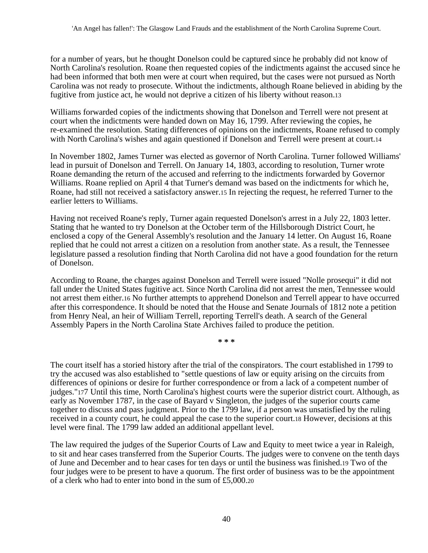for a number of years, but he thought Donelson could be captured since he probably did not know of North Carolina's resolution. Roane then requested copies of the indictments against the accused since he had been informed that both men were at court when required, but the cases were not pursued as North Carolina was not ready to prosecute. Without the indictments, although Roane believed in abiding by the fugitive from justice act, he would not deprive a citizen of his liberty without reason.13

Williams forwarded copies of the indictments showing that Donelson and Terrell were not present at court when the indictments were handed down on May 16, 1799. After reviewing the copies, he re-examined the resolution. Stating differences of opinions on the indictments, Roane refused to comply with North Carolina's wishes and again questioned if Donelson and Terrell were present at court.14

In November 1802, James Turner was elected as governor of North Carolina. Turner followed Williams' lead in pursuit of Donelson and Terrell. On January 14, 1803, according to resolution, Turner wrote Roane demanding the return of the accused and referring to the indictments forwarded by Governor Williams. Roane replied on April 4 that Turner's demand was based on the indictments for which he, Roane, had still not received a satisfactory answer.15 In rejecting the request, he referred Turner to the earlier letters to Williams.

Having not received Roane's reply, Turner again requested Donelson's arrest in a July 22, 1803 letter. Stating that he wanted to try Donelson at the October term of the Hillsborough District Court, he enclosed a copy of the General Assembly's resolution and the January 14 letter. On August 16, Roane replied that he could not arrest a citizen on a resolution from another state. As a result, the Tennessee legislature passed a resolution finding that North Carolina did not have a good foundation for the return of Donelson.

According to Roane, the charges against Donelson and Terrell were issued "Nolle prosequi" it did not fall under the United States fugitive act. Since North Carolina did not arrest the men, Tennessee would not arrest them either.16 No further attempts to apprehend Donelson and Terrell appear to have occurred after this correspondence. It should be noted that the House and Senate Journals of 1812 note a petition from Henry Neal, an heir of William Terrell, reporting Terrell's death. A search of the General Assembly Papers in the North Carolina State Archives failed to produce the petition.

**\* \* \***

The court itself has a storied history after the trial of the conspirators. The court established in 1799 to try the accused was also established to "settle questions of law or equity arising on the circuits from differences of opinions or desire for further correspondence or from a lack of a competent number of judges."177 Until this time, North Carolina's highest courts were the superior district court. Although, as early as November 1787, in the case of Bayard v Singleton, the judges of the superior courts came together to discuss and pass judgment. Prior to the 1799 law, if a person was unsatisfied by the ruling received in a county court, he could appeal the case to the superior court.18 However, decisions at this level were final. The 1799 law added an additional appellant level.

The law required the judges of the Superior Courts of Law and Equity to meet twice a year in Raleigh, to sit and hear cases transferred from the Superior Courts. The judges were to convene on the tenth days of June and December and to hear cases for ten days or until the business was finished.19 Two of the four judges were to be present to have a quorum. The first order of business was to be the appointment of a clerk who had to enter into bond in the sum of £5,000.20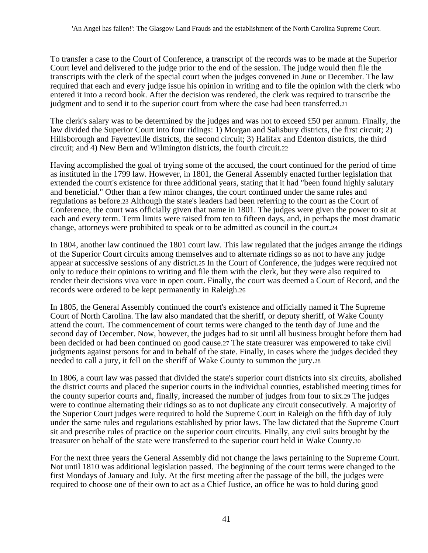To transfer a case to the Court of Conference, a transcript of the records was to be made at the Superior Court level and delivered to the judge prior to the end of the session. The judge would then file the transcripts with the clerk of the special court when the judges convened in June or December. The law required that each and every judge issue his opinion in writing and to file the opinion with the clerk who entered it into a record book. After the decision was rendered, the clerk was required to transcribe the judgment and to send it to the superior court from where the case had been transferred.21

The clerk's salary was to be determined by the judges and was not to exceed £50 per annum. Finally, the law divided the Superior Court into four ridings: 1) Morgan and Salisbury districts, the first circuit; 2) Hillsborough and Fayetteville districts, the second circuit; 3) Halifax and Edenton districts, the third circuit; and 4) New Bern and Wilmington districts, the fourth circuit.22

Having accomplished the goal of trying some of the accused, the court continued for the period of time as instituted in the 1799 law. However, in 1801, the General Assembly enacted further legislation that extended the court's existence for three additional years, stating that it had "been found highly salutary and beneficial." Other than a few minor changes, the court continued under the same rules and regulations as before.23 Although the state's leaders had been referring to the court as the Court of Conference, the court was officially given that name in 1801. The judges were given the power to sit at each and every term. Term limits were raised from ten to fifteen days, and, in perhaps the most dramatic change, attorneys were prohibited to speak or to be admitted as council in the court.24

In 1804, another law continued the 1801 court law. This law regulated that the judges arrange the ridings of the Superior Court circuits among themselves and to alternate ridings so as not to have any judge appear at successive sessions of any district.25 In the Court of Conference, the judges were required not only to reduce their opinions to writing and file them with the clerk, but they were also required to render their decisions viva voce in open court. Finally, the court was deemed a Court of Record, and the records were ordered to be kept permanently in Raleigh.26

In 1805, the General Assembly continued the court's existence and officially named it The Supreme Court of North Carolina. The law also mandated that the sheriff, or deputy sheriff, of Wake County attend the court. The commencement of court terms were changed to the tenth day of June and the second day of December. Now, however, the judges had to sit until all business brought before them had been decided or had been continued on good cause.27 The state treasurer was empowered to take civil judgments against persons for and in behalf of the state. Finally, in cases where the judges decided they needed to call a jury, it fell on the sheriff of Wake County to summon the jury.28

In 1806, a court law was passed that divided the state's superior court districts into six circuits, abolished the district courts and placed the superior courts in the individual counties, established meeting times for the county superior courts and, finally, increased the number of judges from four to six.29 The judges were to continue alternating their ridings so as to not duplicate any circuit consecutively. A majority of the Superior Court judges were required to hold the Supreme Court in Raleigh on the fifth day of July under the same rules and regulations established by prior laws. The law dictated that the Supreme Court sit and prescribe rules of practice on the superior court circuits. Finally, any civil suits brought by the treasurer on behalf of the state were transferred to the superior court held in Wake County.30

For the next three years the General Assembly did not change the laws pertaining to the Supreme Court. Not until 1810 was additional legislation passed. The beginning of the court terms were changed to the first Mondays of January and July. At the first meeting after the passage of the bill, the judges were required to choose one of their own to act as a Chief Justice, an office he was to hold during good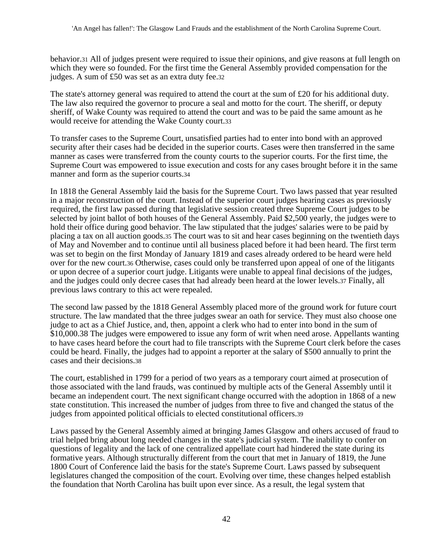behavior.31 All of judges present were required to issue their opinions, and give reasons at full length on which they were so founded. For the first time the General Assembly provided compensation for the judges. A sum of £50 was set as an extra duty fee.32

The state's attorney general was required to attend the court at the sum of £20 for his additional duty. The law also required the governor to procure a seal and motto for the court. The sheriff, or deputy sheriff, of Wake County was required to attend the court and was to be paid the same amount as he would receive for attending the Wake County court.33

To transfer cases to the Supreme Court, unsatisfied parties had to enter into bond with an approved security after their cases had be decided in the superior courts. Cases were then transferred in the same manner as cases were transferred from the county courts to the superior courts. For the first time, the Supreme Court was empowered to issue execution and costs for any cases brought before it in the same manner and form as the superior courts.34

In 1818 the General Assembly laid the basis for the Supreme Court. Two laws passed that year resulted in a major reconstruction of the court. Instead of the superior court judges hearing cases as previously required, the first law passed during that legislative session created three Supreme Court judges to be selected by joint ballot of both houses of the General Assembly. Paid \$2,500 yearly, the judges were to hold their office during good behavior. The law stipulated that the judges' salaries were to be paid by placing a tax on all auction goods.35 The court was to sit and hear cases beginning on the twentieth days of May and November and to continue until all business placed before it had been heard. The first term was set to begin on the first Monday of January 1819 and cases already ordered to be heard were held over for the new court.36 Otherwise, cases could only be transferred upon appeal of one of the litigants or upon decree of a superior court judge. Litigants were unable to appeal final decisions of the judges, and the judges could only decree cases that had already been heard at the lower levels.37 Finally, all previous laws contrary to this act were repealed.

The second law passed by the 1818 General Assembly placed more of the ground work for future court structure. The law mandated that the three judges swear an oath for service. They must also choose one judge to act as a Chief Justice, and, then, appoint a clerk who had to enter into bond in the sum of \$10,000.38 The judges were empowered to issue any form of writ when need arose. Appellants wanting to have cases heard before the court had to file transcripts with the Supreme Court clerk before the cases could be heard. Finally, the judges had to appoint a reporter at the salary of \$500 annually to print the cases and their decisions.38

The court, established in 1799 for a period of two years as a temporary court aimed at prosecution of those associated with the land frauds, was continued by multiple acts of the General Assembly until it became an independent court. The next significant change occurred with the adoption in 1868 of a new state constitution. This increased the number of judges from three to five and changed the status of the judges from appointed political officials to elected constitutional officers.39

Laws passed by the General Assembly aimed at bringing James Glasgow and others accused of fraud to trial helped bring about long needed changes in the state's judicial system. The inability to confer on questions of legality and the lack of one centralized appellate court had hindered the state during its formative years. Although structurally different from the court that met in January of 1819, the June 1800 Court of Conference laid the basis for the state's Supreme Court. Laws passed by subsequent legislatures changed the composition of the court. Evolving over time, these changes helped establish the foundation that North Carolina has built upon ever since. As a result, the legal system that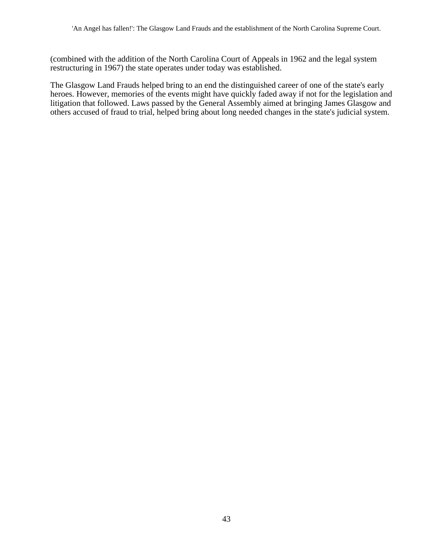(combined with the addition of the North Carolina Court of Appeals in 1962 and the legal system restructuring in 1967) the state operates under today was established.

The Glasgow Land Frauds helped bring to an end the distinguished career of one of the state's early heroes. However, memories of the events might have quickly faded away if not for the legislation and litigation that followed. Laws passed by the General Assembly aimed at bringing James Glasgow and others accused of fraud to trial, helped bring about long needed changes in the state's judicial system.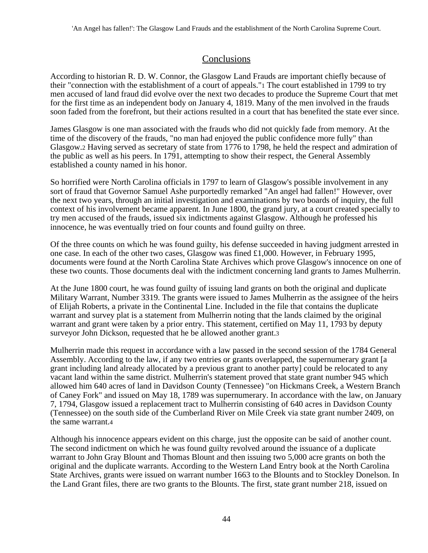# **Conclusions**

According to historian R. D. W. Connor, the Glasgow Land Frauds are important chiefly because of their "connection with the establishment of a court of appeals."1 The court established in 1799 to try men accused of land fraud did evolve over the next two decades to produce the Supreme Court that met for the first time as an independent body on January 4, 1819. Many of the men involved in the frauds soon faded from the forefront, but their actions resulted in a court that has benefited the state ever since.

James Glasgow is one man associated with the frauds who did not quickly fade from memory. At the time of the discovery of the frauds, "no man had enjoyed the public confidence more fully" than Glasgow.2 Having served as secretary of state from 1776 to 1798, he held the respect and admiration of the public as well as his peers. In 1791, attempting to show their respect, the General Assembly established a county named in his honor.

So horrified were North Carolina officials in 1797 to learn of Glasgow's possible involvement in any sort of fraud that Governor Samuel Ashe purportedly remarked "An angel had fallen!" However, over the next two years, through an initial investigation and examinations by two boards of inquiry, the full context of his involvement became apparent. In June 1800, the grand jury, at a court created specially to try men accused of the frauds, issued six indictments against Glasgow. Although he professed his innocence, he was eventually tried on four counts and found guilty on three.

Of the three counts on which he was found guilty, his defense succeeded in having judgment arrested in one case. In each of the other two cases, Glasgow was fined £1,000. However, in February 1995, documents were found at the North Carolina State Archives which prove Glasgow's innocence on one of these two counts. Those documents deal with the indictment concerning land grants to James Mulherrin.

At the June 1800 court, he was found guilty of issuing land grants on both the original and duplicate Military Warrant, Number 3319. The grants were issued to James Mulherrin as the assignee of the heirs of Elijah Roberts, a private in the Continental Line. Included in the file that contains the duplicate warrant and survey plat is a statement from Mulherrin noting that the lands claimed by the original warrant and grant were taken by a prior entry. This statement, certified on May 11, 1793 by deputy surveyor John Dickson, requested that he be allowed another grant.3

Mulherrin made this request in accordance with a law passed in the second session of the 1784 General Assembly. According to the law, if any two entries or grants overlapped, the supernumerary grant [a grant including land already allocated by a previous grant to another party] could be relocated to any vacant land within the same district. Mulherrin's statement proved that state grant number 945 which allowed him 640 acres of land in Davidson County (Tennessee) "on Hickmans Creek, a Western Branch of Caney Fork" and issued on May 18, 1789 was supernumerary. In accordance with the law, on January 7, 1794, Glasgow issued a replacement tract to Mulherrin consisting of 640 acres in Davidson County (Tennessee) on the south side of the Cumberland River on Mile Creek via state grant number 2409, on the same warrant.4

Although his innocence appears evident on this charge, just the opposite can be said of another count. The second indictment on which he was found guilty revolved around the issuance of a duplicate warrant to John Gray Blount and Thomas Blount and then issuing two 5,000 acre grants on both the original and the duplicate warrants. According to the Western Land Entry book at the North Carolina State Archives, grants were issued on warrant number 1663 to the Blounts and to Stockley Donelson. In the Land Grant files, there are two grants to the Blounts. The first, state grant number 218, issued on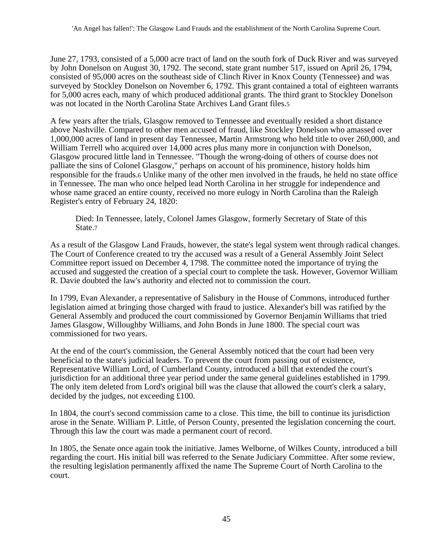June 27, 1793, consisted of a 5,000 acre tract of land on the south fork of Duck River and was surveyed by John Donelson on August 30, 1792. The second, state grant number 517, issued on April 26, 1794, consisted of 95,000 acres on the southeast side of Clinch River in Knox County (Tennessee) and was surveyed by Stockley Donelson on November 6, 1792. This grant contained a total of eighteen warrants for 5,000 acres each, many of which produced additional grants. The third grant to Stockley Donelson was not located in the North Carolina State Archives Land Grant files.5

A few years after the trials, Glasgow removed to Tennessee and eventually resided a short distance above Nashville. Compared to other men accused of fraud, like Stockley Donelson who amassed over 1,000,000 acres of land in present day Tennessee, Martin Armstrong who held title to over 260,000, and William Terrell who acquired over 14,000 acres plus many more in conjunction with Donelson, Glasgow procured little land in Tennessee. "Though the wrong-doing of others of course does not palliate the sins of Colonel Glasgow," perhaps on account of his prominence, history holds him responsible for the frauds.6 Unlike many of the other men involved in the frauds, he held no state office in Tennessee. The man who once helped lead North Carolina in her struggle for independence and whose name graced an entire county, received no more eulogy in North Carolina than the Raleigh Register's entry of February 24, 1820:

Died: In Tennessee, lately, Colonel James Glasgow, formerly Secretary of State of this State.<sub>7</sub>

As a result of the Glasgow Land Frauds, however, the state's legal system went through radical changes. The Court of Conference created to try the accused was a result of a General Assembly Joint Select Committee report issued on December 4, 1798. The committee noted the importance of trying the accused and suggested the creation of a special court to complete the task. However, Governor William R. Davie doubted the law's authority and elected not to commission the court.

In 1799, Evan Alexander, a representative of Salisbury in the House of Commons, introduced further legislation aimed at bringing those charged with fraud to justice. Alexander's bill was ratified by the General Assembly and produced the court commissioned by Governor Benjamin Williams that tried James Glasgow, Willoughby Williams, and John Bonds in June 1800. The special court was commissioned for two years.

At the end of the court's commission, the General Assembly noticed that the court had been very beneficial to the state's judicial leaders. To prevent the court from passing out of existence, Representative William Lord, of Cumberland County, introduced a bill that extended the court's jurisdiction for an additional three year period under the same general guidelines established in 1799. The only item deleted from Lord's original bill was the clause that allowed the court's clerk a salary, decided by the judges, not exceeding £100.

In 1804, the court's second commission came to a close. This time, the bill to continue its jurisdiction arose in the Senate. William P. Little, of Person County, presented the legislation concerning the court. Through this law the court was made a permanent court of record.

In 1805, the Senate once again took the initiative. James Welborne, of Wilkes County, introduced a bill regarding the court. His initial bill was referred to the Senate Judiciary Committee. After some review, the resulting legislation permanently affixed the name The Supreme Court of North Carolina to the court.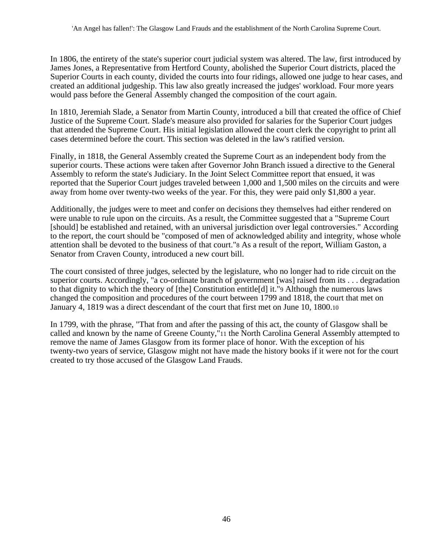In 1806, the entirety of the state's superior court judicial system was altered. The law, first introduced by James Jones, a Representative from Hertford County, abolished the Superior Court districts, placed the Superior Courts in each county, divided the courts into four ridings, allowed one judge to hear cases, and created an additional judgeship. This law also greatly increased the judges' workload. Four more years would pass before the General Assembly changed the composition of the court again.

In 1810, Jeremiah Slade, a Senator from Martin County, introduced a bill that created the office of Chief Justice of the Supreme Court. Slade's measure also provided for salaries for the Superior Court judges that attended the Supreme Court. His initial legislation allowed the court clerk the copyright to print all cases determined before the court. This section was deleted in the law's ratified version.

Finally, in 1818, the General Assembly created the Supreme Court as an independent body from the superior courts. These actions were taken after Governor John Branch issued a directive to the General Assembly to reform the state's Judiciary. In the Joint Select Committee report that ensued, it was reported that the Superior Court judges traveled between 1,000 and 1,500 miles on the circuits and were away from home over twenty-two weeks of the year. For this, they were paid only \$1,800 a year.

Additionally, the judges were to meet and confer on decisions they themselves had either rendered on were unable to rule upon on the circuits. As a result, the Committee suggested that a "Supreme Court [should] be established and retained, with an universal jurisdiction over legal controversies." According to the report, the court should be "composed of men of acknowledged ability and integrity, whose whole attention shall be devoted to the business of that court."8 As a result of the report, William Gaston, a Senator from Craven County, introduced a new court bill.

The court consisted of three judges, selected by the legislature, who no longer had to ride circuit on the superior courts. Accordingly, "a co-ordinate branch of government [was] raised from its . . . degradation to that dignity to which the theory of [the] Constitution entitle[d] it."9 Although the numerous laws changed the composition and procedures of the court between 1799 and 1818, the court that met on January 4, 1819 was a direct descendant of the court that first met on June 10, 1800.10

In 1799, with the phrase, "That from and after the passing of this act, the county of Glasgow shall be called and known by the name of Greene County,"11 the North Carolina General Assembly attempted to remove the name of James Glasgow from its former place of honor. With the exception of his twenty-two years of service, Glasgow might not have made the history books if it were not for the court created to try those accused of the Glasgow Land Frauds.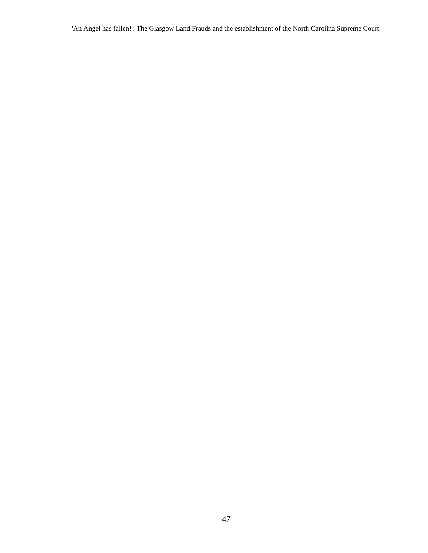'An Angel has fallen!': The Glasgow Land Frauds and the establishment of the North Carolina Supreme Court.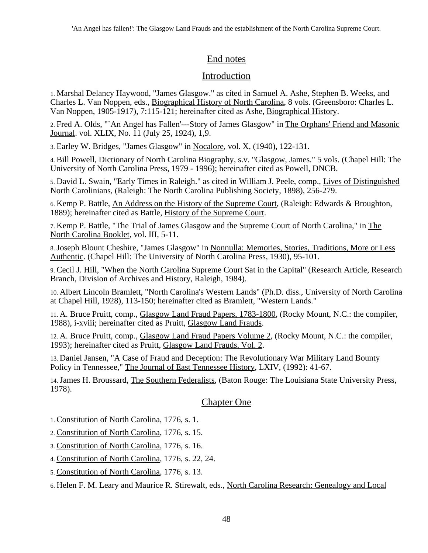'An Angel has fallen!': The Glasgow Land Frauds and the establishment of the North Carolina Supreme Court.

# End notes

# Introduction

1. Marshal Delancy Haywood, "James Glasgow." as cited in Samuel A. Ashe, Stephen B. Weeks, and Charles L. Van Noppen, eds., Biographical History of North Carolina, 8 vols. (Greensboro: Charles L. Van Noppen, 1905-1917), 7:115-121; hereinafter cited as Ashe, Biographical History.

2. Fred A. Olds, "`An Angel has Fallen'---Story of James Glasgow" in The Orphans' Friend and Masonic Journal. vol. XLIX, No. 11 (July 25, 1924), 1,9.

3. Earley W. Bridges, "James Glasgow" in Nocalore, vol. X, (1940), 122-131.

4. Bill Powell, Dictionary of North Carolina Biography, s.v. "Glasgow, James." 5 vols. (Chapel Hill: The University of North Carolina Press, 1979 - 1996); hereinafter cited as Powell, DNCB.

5. David L. Swain, "Early Times in Raleigh." as cited in William J. Peele, comp., Lives of Distinguished North Carolinians, (Raleigh: The North Carolina Publishing Society, 1898), 256-279.

6. Kemp P. Battle, An Address on the History of the Supreme Court, (Raleigh: Edwards & Broughton, 1889); hereinafter cited as Battle, History of the Supreme Court.

7. Kemp P. Battle, "The Trial of James Glasgow and the Supreme Court of North Carolina," in The North Carolina Booklet, vol. III, 5-11.

8.Joseph Blount Cheshire, "James Glasgow" in Nonnulla: Memories, Stories, Traditions, More or Less Authentic. (Chapel Hill: The University of North Carolina Press, 1930), 95-101.

9. Cecil J. Hill, "When the North Carolina Supreme Court Sat in the Capital" (Research Article, Research Branch, Division of Archives and History, Raleigh, 1984).

10. Albert Lincoln Bramlett, "North Carolina's Western Lands" (Ph.D. diss., University of North Carolina at Chapel Hill, 1928), 113-150; hereinafter cited as Bramlett, "Western Lands."

11. A. Bruce Pruitt, comp., Glasgow Land Fraud Papers, 1783-1800, (Rocky Mount, N.C.: the compiler, 1988), i-xviii; hereinafter cited as Pruitt, Glasgow Land Frauds.

12. A. Bruce Pruitt, comp., Glasgow Land Fraud Papers Volume 2, (Rocky Mount, N.C.: the compiler, 1993); hereinafter cited as Pruitt, Glasgow Land Frauds, Vol. 2.

13. Daniel Jansen, "A Case of Fraud and Deception: The Revolutionary War Military Land Bounty Policy in Tennessee," The Journal of East Tennessee History, LXIV, (1992): 41-67.

14.James H. Broussard, The Southern Federalists, (Baton Rouge: The Louisiana State University Press, 1978).

# Chapter One

1. Constitution of North Carolina, 1776, s. 1.

2. Constitution of North Carolina, 1776, s. 15.

3. Constitution of North Carolina, 1776, s. 16.

4. Constitution of North Carolina, 1776, s. 22, 24.

5. Constitution of North Carolina, 1776, s. 13.

6. Helen F. M. Leary and Maurice R. Stirewalt, eds., North Carolina Research: Genealogy and Local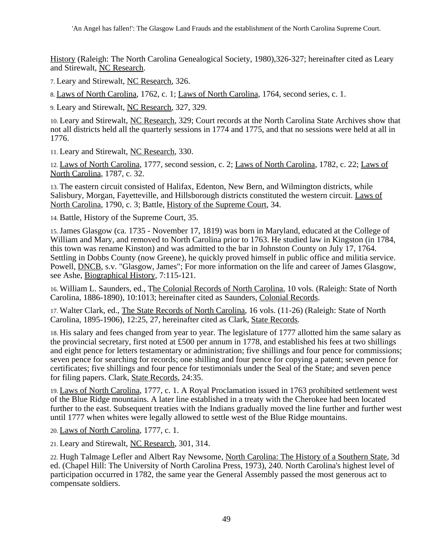History (Raleigh: The North Carolina Genealogical Society, 1980),326-327; hereinafter cited as Leary and Stirewalt, NC Research.

7. Leary and Stirewalt, NC Research, 326.

8. Laws of North Carolina, 1762, c. 1; Laws of North Carolina, 1764, second series, c. 1.

9. Leary and Stirewalt, NC Research, 327, 329.

10. Leary and Stirewalt, NC Research, 329; Court records at the North Carolina State Archives show that not all districts held all the quarterly sessions in 1774 and 1775, and that no sessions were held at all in 1776.

11. Leary and Stirewalt, NC Research, 330.

12. Laws of North Carolina, 1777, second session, c. 2; Laws of North Carolina, 1782, c. 22; Laws of North Carolina, 1787, c. 32.

13. The eastern circuit consisted of Halifax, Edenton, New Bern, and Wilmington districts, while Salisbury, Morgan, Fayetteville, and Hillsborough districts constituted the western circuit. Laws of North Carolina, 1790, c. 3; Battle, History of the Supreme Court, 34.

14. Battle, History of the Supreme Court, 35.

15.James Glasgow (ca. 1735 - November 17, 1819) was born in Maryland, educated at the College of William and Mary, and removed to North Carolina prior to 1763. He studied law in Kingston (in 1784, this town was rename Kinston) and was admitted to the bar in Johnston County on July 17, 1764. Settling in Dobbs County (now Greene), he quickly proved himself in public office and militia service. Powell, DNCB, s.v. "Glasgow, James"; For more information on the life and career of James Glasgow, see Ashe, Biographical History, 7:115-121.

16. William L. Saunders, ed., The Colonial Records of North Carolina, 10 vols. (Raleigh: State of North Carolina, 1886-1890), 10:1013; hereinafter cited as Saunders, Colonial Records.

17. Walter Clark, ed., The State Records of North Carolina, 16 vols. (11-26) (Raleigh: State of North Carolina, 1895-1906), 12:25, 27, hereinafter cited as Clark, State Records.

18. His salary and fees changed from year to year. The legislature of 1777 allotted him the same salary as the provincial secretary, first noted at £500 per annum in 1778, and established his fees at two shillings and eight pence for letters testamentary or administration; five shillings and four pence for commissions; seven pence for searching for records; one shilling and four pence for copying a patent; seven pence for certificates; five shillings and four pence for testimonials under the Seal of the State; and seven pence for filing papers. Clark, State Records, 24:35.

19. Laws of North Carolina, 1777, c. 1. A Royal Proclamation issued in 1763 prohibited settlement west of the Blue Ridge mountains. A later line established in a treaty with the Cherokee had been located further to the east. Subsequent treaties with the Indians gradually moved the line further and further west until 1777 when whites were legally allowed to settle west of the Blue Ridge mountains.

20. Laws of North Carolina, 1777, c. 1.

21. Leary and Stirewalt, NC Research, 301, 314.

22. Hugh Talmage Lefler and Albert Ray Newsome, North Carolina: The History of a Southern State, 3d ed. (Chapel Hill: The University of North Carolina Press, 1973), 240. North Carolina's highest level of participation occurred in 1782, the same year the General Assembly passed the most generous act to compensate soldiers.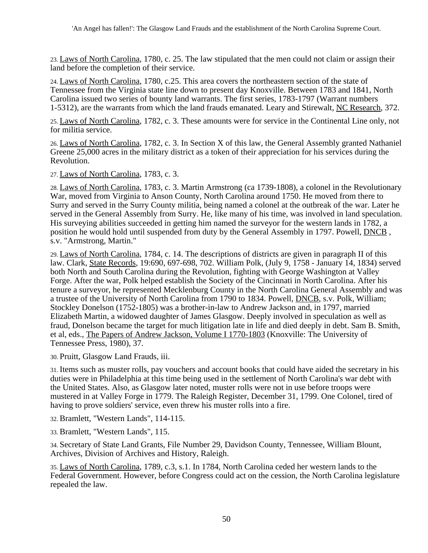23. Laws of North Carolina, 1780, c. 25. The law stipulated that the men could not claim or assign their land before the completion of their service.

24. Laws of North Carolina, 1780, c.25. This area covers the northeastern section of the state of Tennessee from the Virginia state line down to present day Knoxville. Between 1783 and 1841, North Carolina issued two series of bounty land warrants. The first series, 1783-1797 (Warrant numbers 1-5312), are the warrants from which the land frauds emanated. Leary and Stirewalt, NC Research, 372.

25. Laws of North Carolina, 1782, c. 3. These amounts were for service in the Continental Line only, not for militia service.

26. Laws of North Carolina, 1782, c. 3. In Section X of this law, the General Assembly granted Nathaniel Greene 25,000 acres in the military district as a token of their appreciation for his services during the Revolution.

27. Laws of North Carolina, 1783, c. 3.

28. Laws of North Carolina, 1783, c. 3. Martin Armstrong (ca 1739-1808), a colonel in the Revolutionary War, moved from Virginia to Anson County, North Carolina around 1750. He moved from there to Surry and served in the Surry County militia, being named a colonel at the outbreak of the war. Later he served in the General Assembly from Surry. He, like many of his time, was involved in land speculation. His surveying abilities succeeded in getting him named the surveyor for the western lands in 1782, a position he would hold until suspended from duty by the General Assembly in 1797. Powell, DNCB , s.v. "Armstrong, Martin."

29. Laws of North Carolina, 1784, c. 14. The descriptions of districts are given in paragraph II of this law. Clark, State Records, 19:690, 697-698, 702. William Polk, (July 9, 1758 - January 14, 1834) served both North and South Carolina during the Revolution, fighting with George Washington at Valley Forge. After the war, Polk helped establish the Society of the Cincinnati in North Carolina. After his tenure a surveyor, he represented Mecklenburg County in the North Carolina General Assembly and was a trustee of the University of North Carolina from 1790 to 1834. Powell, DNCB, s.v. Polk, William; Stockley Donelson (1752-1805) was a brother-in-law to Andrew Jackson and, in 1797, married Elizabeth Martin, a widowed daughter of James Glasgow. Deeply involved in speculation as well as fraud, Donelson became the target for much litigation late in life and died deeply in debt. Sam B. Smith, et al, eds., The Papers of Andrew Jackson, Volume I 1770-1803 (Knoxville: The University of Tennessee Press, 1980), 37.

30. Pruitt, Glasgow Land Frauds, iii.

31. Items such as muster rolls, pay vouchers and account books that could have aided the secretary in his duties were in Philadelphia at this time being used in the settlement of North Carolina's war debt with the United States. Also, as Glasgow later noted, muster rolls were not in use before troops were mustered in at Valley Forge in 1779. The Raleigh Register, December 31, 1799. One Colonel, tired of having to prove soldiers' service, even threw his muster rolls into a fire.

32. Bramlett, "Western Lands", 114-115.

33. Bramlett, "Western Lands", 115.

34. Secretary of State Land Grants, File Number 29, Davidson County, Tennessee, William Blount, Archives, Division of Archives and History, Raleigh.

35. Laws of North Carolina, 1789, c.3, s.1. In 1784, North Carolina ceded her western lands to the Federal Government. However, before Congress could act on the cession, the North Carolina legislature repealed the law.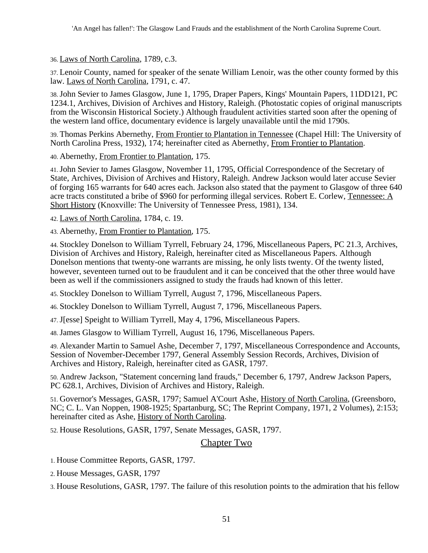### 36. Laws of North Carolina, 1789, c.3.

37. Lenoir County, named for speaker of the senate William Lenoir, was the other county formed by this law. Laws of North Carolina, 1791, c. 47.

38.John Sevier to James Glasgow, June 1, 1795, Draper Papers, Kings' Mountain Papers, 11DD121, PC 1234.1, Archives, Division of Archives and History, Raleigh. (Photostatic copies of original manuscripts from the Wisconsin Historical Society.) Although fraudulent activities started soon after the opening of the western land office, documentary evidence is largely unavailable until the mid 1790s.

39. Thomas Perkins Abernethy, From Frontier to Plantation in Tennessee (Chapel Hill: The University of North Carolina Press, 1932), 174; hereinafter cited as Abernethy, From Frontier to Plantation.

40. Abernethy, From Frontier to Plantation, 175.

41.John Sevier to James Glasgow, November 11, 1795, Official Correspondence of the Secretary of State, Archives, Division of Archives and History, Raleigh. Andrew Jackson would later accuse Sevier of forging 165 warrants for 640 acres each. Jackson also stated that the payment to Glasgow of three 640 acre tracts constituted a bribe of \$960 for performing illegal services. Robert E. Corlew, Tennessee: A Short History (Knoxville: The University of Tennessee Press, 1981), 134.

42. Laws of North Carolina, 1784, c. 19.

43. Abernethy, From Frontier to Plantation, 175.

44. Stockley Donelson to William Tyrrell, February 24, 1796, Miscellaneous Papers, PC 21.3, Archives, Division of Archives and History, Raleigh, hereinafter cited as Miscellaneous Papers. Although Donelson mentions that twenty-one warrants are missing, he only lists twenty. Of the twenty listed, however, seventeen turned out to be fraudulent and it can be conceived that the other three would have been as well if the commissioners assigned to study the frauds had known of this letter.

45. Stockley Donelson to William Tyrrell, August 7, 1796, Miscellaneous Papers.

46. Stockley Donelson to William Tyrrell, August 7, 1796, Miscellaneous Papers.

47.J[esse] Speight to William Tyrrell, May 4, 1796, Miscellaneous Papers.

48.James Glasgow to William Tyrrell, August 16, 1796, Miscellaneous Papers.

49. Alexander Martin to Samuel Ashe, December 7, 1797, Miscellaneous Correspondence and Accounts, Session of November-December 1797, General Assembly Session Records, Archives, Division of Archives and History, Raleigh, hereinafter cited as GASR, 1797.

50. Andrew Jackson, "Statement concerning land frauds," December 6, 1797, Andrew Jackson Papers, PC 628.1, Archives, Division of Archives and History, Raleigh.

51. Governor's Messages, GASR, 1797; Samuel A'Court Ashe, History of North Carolina, (Greensboro, NC; C. L. Van Noppen, 1908-1925; Spartanburg, SC; The Reprint Company, 1971, 2 Volumes), 2:153; hereinafter cited as Ashe, History of North Carolina.

52. House Resolutions, GASR, 1797, Senate Messages, GASR, 1797.

## Chapter Two

1. House Committee Reports, GASR, 1797.

2. House Messages, GASR, 1797

3. House Resolutions, GASR, 1797. The failure of this resolution points to the admiration that his fellow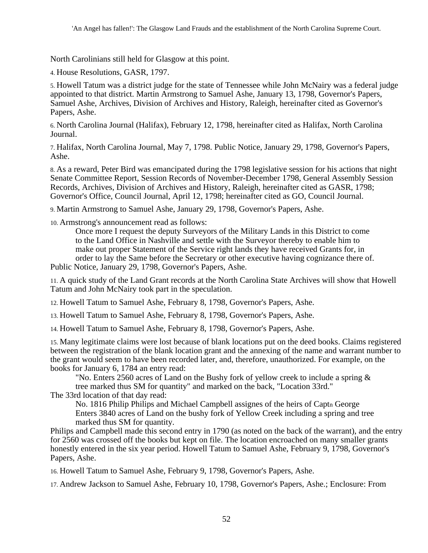North Carolinians still held for Glasgow at this point.

4. House Resolutions, GASR, 1797.

5. Howell Tatum was a district judge for the state of Tennessee while John McNairy was a federal judge appointed to that district. Martin Armstrong to Samuel Ashe, January 13, 1798, Governor's Papers, Samuel Ashe, Archives, Division of Archives and History, Raleigh, hereinafter cited as Governor's Papers, Ashe.

6. North Carolina Journal (Halifax), February 12, 1798, hereinafter cited as Halifax, North Carolina Journal.

7. Halifax, North Carolina Journal, May 7, 1798. Public Notice, January 29, 1798, Governor's Papers, Ashe.

8. As a reward, Peter Bird was emancipated during the 1798 legislative session for his actions that night Senate Committee Report, Session Records of November-December 1798, General Assembly Session Records, Archives, Division of Archives and History, Raleigh, hereinafter cited as GASR, 1798; Governor's Office, Council Journal, April 12, 1798; hereinafter cited as GO, Council Journal.

9. Martin Armstrong to Samuel Ashe, January 29, 1798, Governor's Papers, Ashe.

10. Armstrong's announcement read as follows:

Once more I request the deputy Surveyors of the Military Lands in this District to come to the Land Office in Nashville and settle with the Surveyor thereby to enable him to make out proper Statement of the Service right lands they have received Grants for, in order to lay the Same before the Secretary or other executive having cognizance there of.

Public Notice, January 29, 1798, Governor's Papers, Ashe.

11. A quick study of the Land Grant records at the North Carolina State Archives will show that Howell Tatum and John McNairy took part in the speculation.

12. Howell Tatum to Samuel Ashe, February 8, 1798, Governor's Papers, Ashe.

13. Howell Tatum to Samuel Ashe, February 8, 1798, Governor's Papers, Ashe.

14. Howell Tatum to Samuel Ashe, February 8, 1798, Governor's Papers, Ashe.

15. Many legitimate claims were lost because of blank locations put on the deed books. Claims registered between the registration of the blank location grant and the annexing of the name and warrant number to the grant would seem to have been recorded later, and, therefore, unauthorized. For example, on the books for January 6, 1784 an entry read:

"No. Enters 2560 acres of Land on the Bushy fork of yellow creek to include a spring & tree marked thus SM for quantity" and marked on the back, "Location 33rd."

The 33rd location of that day read:

No. 1816 Philip Philips and Michael Campbell assignes of the heirs of Captn George Enters 3840 acres of Land on the bushy fork of Yellow Creek including a spring and tree marked thus SM for quantity.

Philips and Campbell made this second entry in 1790 (as noted on the back of the warrant), and the entry for 2560 was crossed off the books but kept on file. The location encroached on many smaller grants honestly entered in the six year period. Howell Tatum to Samuel Ashe, February 9, 1798, Governor's Papers, Ashe.

16. Howell Tatum to Samuel Ashe, February 9, 1798, Governor's Papers, Ashe.

17. Andrew Jackson to Samuel Ashe, February 10, 1798, Governor's Papers, Ashe.; Enclosure: From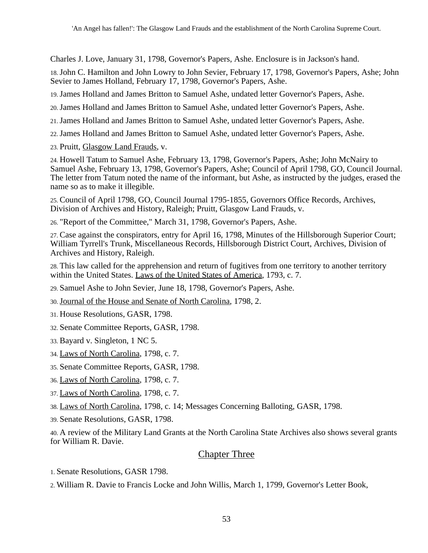Charles J. Love, January 31, 1798, Governor's Papers, Ashe. Enclosure is in Jackson's hand.

18.John C. Hamilton and John Lowry to John Sevier, February 17, 1798, Governor's Papers, Ashe; John Sevier to James Holland, February 17, 1798, Governor's Papers, Ashe.

19.James Holland and James Britton to Samuel Ashe, undated letter Governor's Papers, Ashe.

20.James Holland and James Britton to Samuel Ashe, undated letter Governor's Papers, Ashe.

21.James Holland and James Britton to Samuel Ashe, undated letter Governor's Papers, Ashe.

22.James Holland and James Britton to Samuel Ashe, undated letter Governor's Papers, Ashe.

23. Pruitt, Glasgow Land Frauds, v.

24. Howell Tatum to Samuel Ashe, February 13, 1798, Governor's Papers, Ashe; John McNairy to Samuel Ashe, February 13, 1798, Governor's Papers, Ashe; Council of April 1798, GO, Council Journal. The letter from Tatum noted the name of the informant, but Ashe, as instructed by the judges, erased the name so as to make it illegible.

25. Council of April 1798, GO, Council Journal 1795-1855, Governors Office Records, Archives, Division of Archives and History, Raleigh; Pruitt, Glasgow Land Frauds, v.

26. "Report of the Committee," March 31, 1798, Governor's Papers, Ashe.

27. Case against the conspirators, entry for April 16, 1798, Minutes of the Hillsborough Superior Court; William Tyrrell's Trunk, Miscellaneous Records, Hillsborough District Court, Archives, Division of Archives and History, Raleigh.

28. This law called for the apprehension and return of fugitives from one territory to another territory within the United States. Laws of the United States of America, 1793, c. 7.

29. Samuel Ashe to John Sevier, June 18, 1798, Governor's Papers, Ashe.

30.Journal of the House and Senate of North Carolina, 1798, 2.

31. House Resolutions, GASR, 1798.

32. Senate Committee Reports, GASR, 1798.

33. Bayard v. Singleton, 1 NC 5.

34. Laws of North Carolina, 1798, c. 7.

35. Senate Committee Reports, GASR, 1798.

36. Laws of North Carolina, 1798, c. 7.

37. Laws of North Carolina, 1798, c. 7.

38. Laws of North Carolina, 1798, c. 14; Messages Concerning Balloting, GASR, 1798.

39. Senate Resolutions, GASR, 1798.

40. A review of the Military Land Grants at the North Carolina State Archives also shows several grants for William R. Davie.

## Chapter Three

1. Senate Resolutions, GASR 1798.

2. William R. Davie to Francis Locke and John Willis, March 1, 1799, Governor's Letter Book,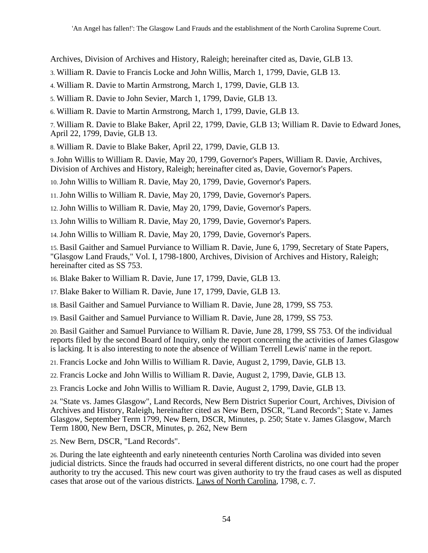Archives, Division of Archives and History, Raleigh; hereinafter cited as, Davie, GLB 13.

3. William R. Davie to Francis Locke and John Willis, March 1, 1799, Davie, GLB 13.

4. William R. Davie to Martin Armstrong, March 1, 1799, Davie, GLB 13.

5. William R. Davie to John Sevier, March 1, 1799, Davie, GLB 13.

6. William R. Davie to Martin Armstrong, March 1, 1799, Davie, GLB 13.

7. William R. Davie to Blake Baker, April 22, 1799, Davie, GLB 13; William R. Davie to Edward Jones, April 22, 1799, Davie, GLB 13.

8. William R. Davie to Blake Baker, April 22, 1799, Davie, GLB 13.

9.John Willis to William R. Davie, May 20, 1799, Governor's Papers, William R. Davie, Archives, Division of Archives and History, Raleigh; hereinafter cited as, Davie, Governor's Papers.

10.John Willis to William R. Davie, May 20, 1799, Davie, Governor's Papers.

11.John Willis to William R. Davie, May 20, 1799, Davie, Governor's Papers.

12.John Willis to William R. Davie, May 20, 1799, Davie, Governor's Papers.

13.John Willis to William R. Davie, May 20, 1799, Davie, Governor's Papers.

14.John Willis to William R. Davie, May 20, 1799, Davie, Governor's Papers.

15. Basil Gaither and Samuel Purviance to William R. Davie, June 6, 1799, Secretary of State Papers, "Glasgow Land Frauds," Vol. I, 1798-1800, Archives, Division of Archives and History, Raleigh; hereinafter cited as SS 753.

16. Blake Baker to William R. Davie, June 17, 1799, Davie, GLB 13.

17. Blake Baker to William R. Davie, June 17, 1799, Davie, GLB 13.

18. Basil Gaither and Samuel Purviance to William R. Davie, June 28, 1799, SS 753.

19. Basil Gaither and Samuel Purviance to William R. Davie, June 28, 1799, SS 753.

20. Basil Gaither and Samuel Purviance to William R. Davie, June 28, 1799, SS 753. Of the individual reports filed by the second Board of Inquiry, only the report concerning the activities of James Glasgow is lacking. It is also interesting to note the absence of William Terrell Lewis' name in the report.

21. Francis Locke and John Willis to William R. Davie, August 2, 1799, Davie, GLB 13.

22. Francis Locke and John Willis to William R. Davie, August 2, 1799, Davie, GLB 13.

23. Francis Locke and John Willis to William R. Davie, August 2, 1799, Davie, GLB 13.

24. "State vs. James Glasgow", Land Records, New Bern District Superior Court, Archives, Division of Archives and History, Raleigh, hereinafter cited as New Bern, DSCR, "Land Records"; State v. James Glasgow, September Term 1799, New Bern, DSCR, Minutes, p. 250; State v. James Glasgow, March Term 1800, New Bern, DSCR, Minutes, p. 262, New Bern

25. New Bern, DSCR, "Land Records".

26. During the late eighteenth and early nineteenth centuries North Carolina was divided into seven judicial districts. Since the frauds had occurred in several different districts, no one court had the proper authority to try the accused. This new court was given authority to try the fraud cases as well as disputed cases that arose out of the various districts. Laws of North Carolina, 1798, c. 7.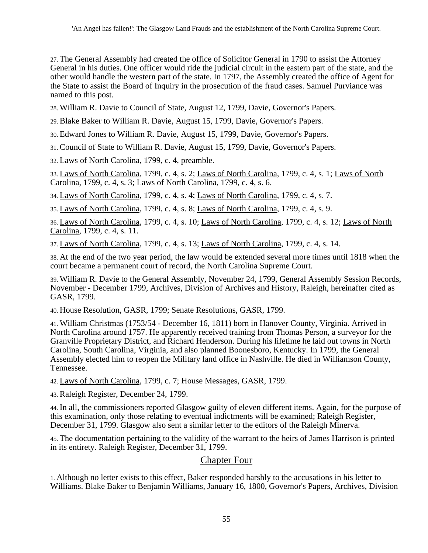27. The General Assembly had created the office of Solicitor General in 1790 to assist the Attorney General in his duties. One officer would ride the judicial circuit in the eastern part of the state, and the other would handle the western part of the state. In 1797, the Assembly created the office of Agent for the State to assist the Board of Inquiry in the prosecution of the fraud cases. Samuel Purviance was named to this post.

28. William R. Davie to Council of State, August 12, 1799, Davie, Governor's Papers.

29. Blake Baker to William R. Davie, August 15, 1799, Davie, Governor's Papers.

30. Edward Jones to William R. Davie, August 15, 1799, Davie, Governor's Papers.

31. Council of State to William R. Davie, August 15, 1799, Davie, Governor's Papers.

32. Laws of North Carolina, 1799, c. 4, preamble.

33. Laws of North Carolina, 1799, c. 4, s. 2; Laws of North Carolina, 1799, c. 4, s. 1; Laws of North Carolina, 1799, c. 4, s. 3; Laws of North Carolina, 1799, c. 4, s. 6.

34. Laws of North Carolina, 1799, c. 4, s. 4; Laws of North Carolina, 1799, c. 4, s. 7.

35. Laws of North Carolina, 1799, c. 4, s. 8; Laws of North Carolina, 1799, c. 4, s. 9.

36. Laws of North Carolina, 1799, c. 4, s. 10; Laws of North Carolina, 1799, c. 4, s. 12; Laws of North Carolina, 1799, c. 4, s. 11.

37. Laws of North Carolina, 1799, c. 4, s. 13; Laws of North Carolina, 1799, c. 4, s. 14.

38. At the end of the two year period, the law would be extended several more times until 1818 when the court became a permanent court of record, the North Carolina Supreme Court.

39. William R. Davie to the General Assembly, November 24, 1799, General Assembly Session Records, November - December 1799, Archives, Division of Archives and History, Raleigh, hereinafter cited as GASR, 1799.

40. House Resolution, GASR, 1799; Senate Resolutions, GASR, 1799.

41. William Christmas (1753/54 - December 16, 1811) born in Hanover County, Virginia. Arrived in North Carolina around 1757. He apparently received training from Thomas Person, a surveyor for the Granville Proprietary District, and Richard Henderson. During his lifetime he laid out towns in North Carolina, South Carolina, Virginia, and also planned Boonesboro, Kentucky. In 1799, the General Assembly elected him to reopen the Military land office in Nashville. He died in Williamson County, Tennessee.

42. Laws of North Carolina, 1799, c. 7; House Messages, GASR, 1799.

43. Raleigh Register, December 24, 1799.

44. In all, the commissioners reported Glasgow guilty of eleven different items. Again, for the purpose of this examination, only those relating to eventual indictments will be examined; Raleigh Register, December 31, 1799. Glasgow also sent a similar letter to the editors of the Raleigh Minerva.

45. The documentation pertaining to the validity of the warrant to the heirs of James Harrison is printed in its entirety. Raleigh Register, December 31, 1799.

## Chapter Four

1. Although no letter exists to this effect, Baker responded harshly to the accusations in his letter to Williams. Blake Baker to Benjamin Williams, January 16, 1800, Governor's Papers, Archives, Division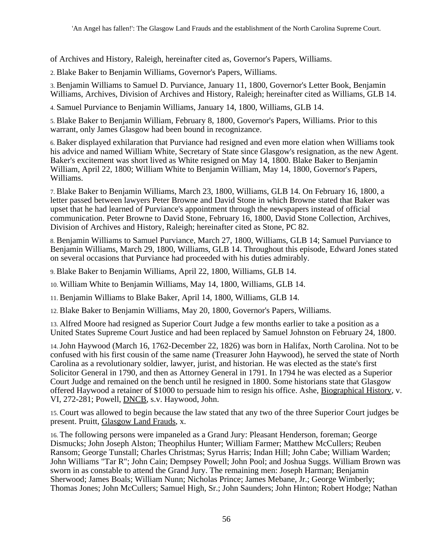of Archives and History, Raleigh, hereinafter cited as, Governor's Papers, Williams.

2. Blake Baker to Benjamin Williams, Governor's Papers, Williams.

3. Benjamin Williams to Samuel D. Purviance, January 11, 1800, Governor's Letter Book, Benjamin Williams, Archives, Division of Archives and History, Raleigh; hereinafter cited as Williams, GLB 14.

4. Samuel Purviance to Benjamin Williams, January 14, 1800, Williams, GLB 14.

5. Blake Baker to Benjamin William, February 8, 1800, Governor's Papers, Williams. Prior to this warrant, only James Glasgow had been bound in recognizance.

6. Baker displayed exhilaration that Purviance had resigned and even more elation when Williams took his advice and named William White, Secretary of State since Glasgow's resignation, as the new Agent. Baker's excitement was short lived as White resigned on May 14, 1800. Blake Baker to Benjamin William, April 22, 1800; William White to Benjamin William, May 14, 1800, Governor's Papers, Williams.

7. Blake Baker to Benjamin Williams, March 23, 1800, Williams, GLB 14. On February 16, 1800, a letter passed between lawyers Peter Browne and David Stone in which Browne stated that Baker was upset that he had learned of Purviance's appointment through the newspapers instead of official communication. Peter Browne to David Stone, February 16, 1800, David Stone Collection, Archives, Division of Archives and History, Raleigh; hereinafter cited as Stone, PC 82.

8. Benjamin Williams to Samuel Purviance, March 27, 1800, Williams, GLB 14; Samuel Purviance to Benjamin Williams, March 29, 1800, Williams, GLB 14. Throughout this episode, Edward Jones stated on several occasions that Purviance had proceeded with his duties admirably.

9. Blake Baker to Benjamin Williams, April 22, 1800, Williams, GLB 14.

10. William White to Benjamin Williams, May 14, 1800, Williams, GLB 14.

11. Benjamin Williams to Blake Baker, April 14, 1800, Williams, GLB 14.

12. Blake Baker to Benjamin Williams, May 20, 1800, Governor's Papers, Williams.

13. Alfred Moore had resigned as Superior Court Judge a few months earlier to take a position as a United States Supreme Court Justice and had been replaced by Samuel Johnston on February 24, 1800.

14.John Haywood (March 16, 1762-December 22, 1826) was born in Halifax, North Carolina. Not to be confused with his first cousin of the same name (Treasurer John Haywood), he served the state of North Carolina as a revolutionary soldier, lawyer, jurist, and historian. He was elected as the state's first Solicitor General in 1790, and then as Attorney General in 1791. In 1794 he was elected as a Superior Court Judge and remained on the bench until he resigned in 1800. Some historians state that Glasgow offered Haywood a retainer of \$1000 to persuade him to resign his office. Ashe, Biographical History, v. VI, 272-281; Powell, DNCB, s.v. Haywood, John.

15. Court was allowed to begin because the law stated that any two of the three Superior Court judges be present. Pruitt, Glasgow Land Frauds, x.

16. The following persons were impaneled as a Grand Jury: Pleasant Henderson, foreman; George Dismucks; John Joseph Alston; Theophilus Hunter; William Farmer; Matthew McCullers; Reuben Ransom; George Tunstall; Charles Christmas; Syrus Harris; Indan Hill; John Cabe; William Warden; John Williams "Tar R"; John Cain; Dempsey Powell; John Pool; and Joshua Suggs. William Brown was sworn in as constable to attend the Grand Jury. The remaining men: Joseph Harman; Benjamin Sherwood; James Boals; William Nunn; Nicholas Prince; James Mebane, Jr.; George Wimberly; Thomas Jones; John McCullers; Samuel High, Sr.; John Saunders; John Hinton; Robert Hodge; Nathan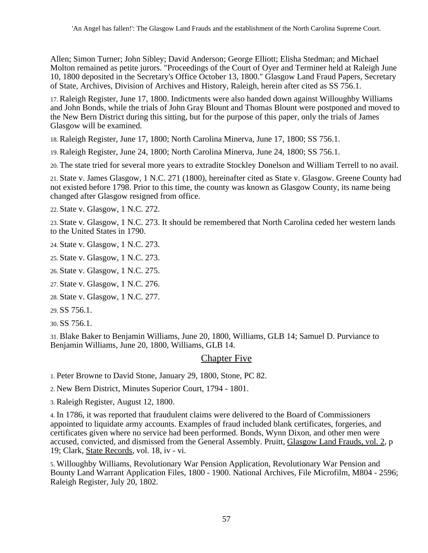Allen; Simon Turner; John Sibley; David Anderson; George Elliott; Elisha Stedman; and Michael Molton remained as petite jurors. "Proceedings of the Court of Oyer and Terminer held at Raleigh June 10, 1800 deposited in the Secretary's Office October 13, 1800." Glasgow Land Fraud Papers, Secretary of State, Archives, Division of Archives and History, Raleigh, herein after cited as SS 756.1.

17. Raleigh Register, June 17, 1800. Indictments were also handed down against Willoughby Williams and John Bonds, while the trials of John Gray Blount and Thomas Blount were postponed and moved to the New Bern District during this sitting, but for the purpose of this paper, only the trials of James Glasgow will be examined.

18. Raleigh Register, June 17, 1800; North Carolina Minerva, June 17, 1800; SS 756.1.

19. Raleigh Register, June 24, 1800; North Carolina Minerva, June 24, 1800; SS 756.1.

20. The state tried for several more years to extradite Stockley Donelson and William Terrell to no avail.

21. State v. James Glasgow, 1 N.C. 271 (1800), hereinafter cited as State v. Glasgow. Greene County had not existed before 1798. Prior to this time, the county was known as Glasgow County, its name being changed after Glasgow resigned from office.

22. State v. Glasgow, 1 N.C. 272.

23. State v. Glasgow, 1 N.C. 273. It should be remembered that North Carolina ceded her western lands to the United States in 1790.

24. State v. Glasgow, 1 N.C. 273.

25. State v. Glasgow, 1 N.C. 273.

26. State v. Glasgow, 1 N.C. 275.

27. State v. Glasgow, 1 N.C. 276.

28. State v. Glasgow, 1 N.C. 277.

29. SS 756.1.

30. SS 756.1.

31. Blake Baker to Benjamin Williams, June 20, 1800, Williams, GLB 14; Samuel D. Purviance to Benjamin Williams, June 20, 1800, Williams, GLB 14.

## Chapter Five

1. Peter Browne to David Stone, January 29, 1800, Stone, PC 82.

2. New Bern District, Minutes Superior Court, 1794 - 1801.

3. Raleigh Register, August 12, 1800.

4. In 1786, it was reported that fraudulent claims were delivered to the Board of Commissioners appointed to liquidate army accounts. Examples of fraud included blank certificates, forgeries, and certificates given where no service had been performed. Bonds, Wynn Dixon, and other men were accused, convicted, and dismissed from the General Assembly. Pruitt, Glasgow Land Frauds, vol. 2, p 19; Clark, State Records, vol. 18, iv - vi.

5. Willoughby Williams, Revolutionary War Pension Application, Revolutionary War Pension and Bounty Land Warrant Application Files, 1800 - 1900. National Archives, File Microfilm, M804 - 2596; Raleigh Register, July 20, 1802.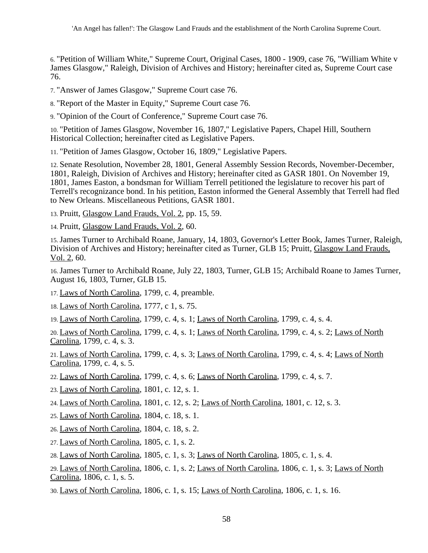6. "Petition of William White," Supreme Court, Original Cases, 1800 - 1909, case 76, "William White v James Glasgow," Raleigh, Division of Archives and History; hereinafter cited as, Supreme Court case 76.

7. "Answer of James Glasgow," Supreme Court case 76.

8. "Report of the Master in Equity," Supreme Court case 76.

9. "Opinion of the Court of Conference," Supreme Court case 76.

10. "Petition of James Glasgow, November 16, 1807," Legislative Papers, Chapel Hill, Southern Historical Collection; hereinafter cited as Legislative Papers.

11. "Petition of James Glasgow, October 16, 1809," Legislative Papers.

12. Senate Resolution, November 28, 1801, General Assembly Session Records, November-December, 1801, Raleigh, Division of Archives and History; hereinafter cited as GASR 1801. On November 19, 1801, James Easton, a bondsman for William Terrell petitioned the legislature to recover his part of Terrell's recognizance bond. In his petition, Easton informed the General Assembly that Terrell had fled to New Orleans. Miscellaneous Petitions, GASR 1801.

13. Pruitt, Glasgow Land Frauds, Vol. 2, pp. 15, 59.

14. Pruitt, Glasgow Land Frauds, Vol. 2, 60.

15.James Turner to Archibald Roane, January, 14, 1803, Governor's Letter Book, James Turner, Raleigh, Division of Archives and History; hereinafter cited as Turner, GLB 15; Pruitt, Glasgow Land Frauds, Vol. 2, 60.

16.James Turner to Archibald Roane, July 22, 1803, Turner, GLB 15; Archibald Roane to James Turner, August 16, 1803, Turner, GLB 15.

17. Laws of North Carolina, 1799, c. 4, preamble.

18. Laws of North Carolina, 1777, c 1, s. 75.

19. Laws of North Carolina, 1799, c. 4, s. 1; Laws of North Carolina, 1799, c. 4, s. 4.

20. Laws of North Carolina, 1799, c. 4, s. 1; Laws of North Carolina, 1799, c. 4, s. 2; Laws of North Carolina, 1799, c. 4, s. 3.

21. Laws of North Carolina, 1799, c. 4, s. 3; Laws of North Carolina, 1799, c. 4, s. 4; Laws of North Carolina, 1799, c. 4, s. 5.

22. Laws of North Carolina, 1799, c. 4, s. 6; Laws of North Carolina, 1799, c. 4, s. 7.

23. Laws of North Carolina, 1801, c. 12, s. 1.

24. Laws of North Carolina, 1801, c. 12, s. 2; Laws of North Carolina, 1801, c. 12, s. 3.

25. Laws of North Carolina, 1804, c. 18, s. 1.

26. Laws of North Carolina, 1804, c. 18, s. 2.

27. Laws of North Carolina, 1805, c. 1, s. 2.

28. Laws of North Carolina, 1805, c. 1, s. 3; Laws of North Carolina, 1805, c. 1, s. 4.

29. Laws of North Carolina, 1806, c. 1, s. 2; Laws of North Carolina, 1806, c. 1, s. 3; Laws of North Carolina, 1806, c. 1, s. 5.

30. Laws of North Carolina, 1806, c. 1, s. 15; Laws of North Carolina, 1806, c. 1, s. 16.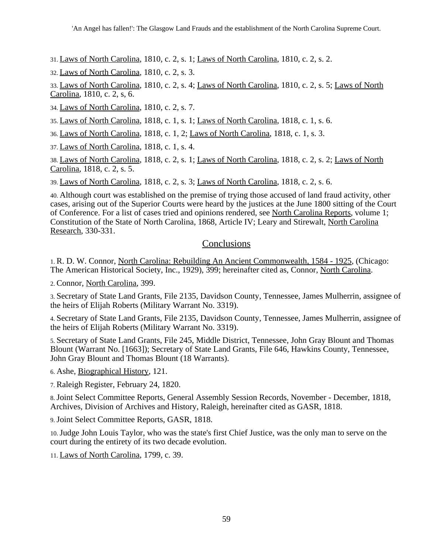31. Laws of North Carolina, 1810, c. 2, s. 1; Laws of North Carolina, 1810, c. 2, s. 2.

32. Laws of North Carolina, 1810, c. 2, s. 3.

33. Laws of North Carolina, 1810, c. 2, s. 4; Laws of North Carolina, 1810, c. 2, s. 5; Laws of North Carolina, 1810, c. 2, s, 6.

34. Laws of North Carolina, 1810, c. 2, s. 7.

35. Laws of North Carolina, 1818, c. 1, s. 1; Laws of North Carolina, 1818, c. 1, s. 6.

36. Laws of North Carolina, 1818, c. 1, 2; Laws of North Carolina, 1818, c. 1, s. 3.

37. Laws of North Carolina, 1818, c. 1, s. 4.

38. Laws of North Carolina, 1818, c. 2, s. 1; Laws of North Carolina, 1818, c. 2, s. 2; Laws of North Carolina, 1818, c. 2, s. 5.

39. Laws of North Carolina, 1818, c. 2, s. 3; Laws of North Carolina, 1818, c. 2, s. 6.

40. Although court was established on the premise of trying those accused of land fraud activity, other cases, arising out of the Superior Courts were heard by the justices at the June 1800 sitting of the Court of Conference. For a list of cases tried and opinions rendered, see North Carolina Reports, volume 1; Constitution of the State of North Carolina, 1868, Article IV; Leary and Stirewalt, North Carolina Research, 330-331.

## **Conclusions**

1. R. D. W. Connor, North Carolina: Rebuilding An Ancient Commonwealth, 1584 - 1925, (Chicago: The American Historical Society, Inc., 1929), 399; hereinafter cited as, Connor, North Carolina.

2. Connor, North Carolina, 399.

3. Secretary of State Land Grants, File 2135, Davidson County, Tennessee, James Mulherrin, assignee of the heirs of Elijah Roberts (Military Warrant No. 3319).

4. Secretary of State Land Grants, File 2135, Davidson County, Tennessee, James Mulherrin, assignee of the heirs of Elijah Roberts (Military Warrant No. 3319).

5. Secretary of State Land Grants, File 245, Middle District, Tennessee, John Gray Blount and Thomas Blount (Warrant No. [1663]); Secretary of State Land Grants, File 646, Hawkins County, Tennessee, John Gray Blount and Thomas Blount (18 Warrants).

6. Ashe, Biographical History, 121.

7. Raleigh Register, February 24, 1820.

8.Joint Select Committee Reports, General Assembly Session Records, November - December, 1818, Archives, Division of Archives and History, Raleigh, hereinafter cited as GASR, 1818.

9.Joint Select Committee Reports, GASR, 1818.

10.Judge John Louis Taylor, who was the state's first Chief Justice, was the only man to serve on the court during the entirety of its two decade evolution.

11. Laws of North Carolina, 1799, c. 39.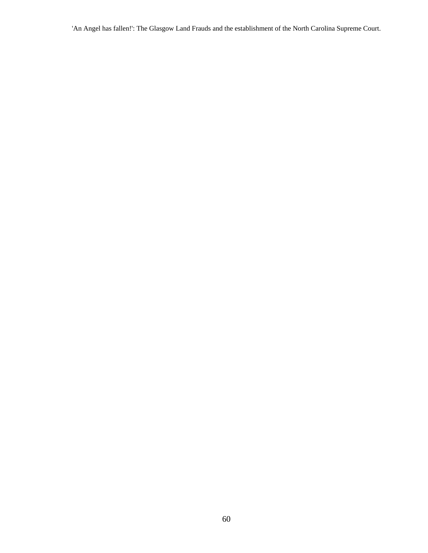'An Angel has fallen!': The Glasgow Land Frauds and the establishment of the North Carolina Supreme Court.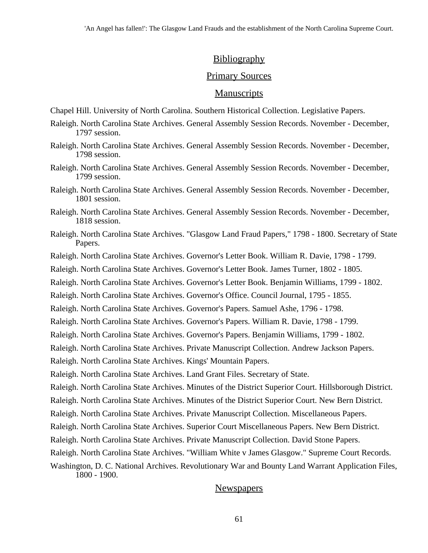## Bibliography

## Primary Sources

#### **Manuscripts**

Chapel Hill. University of North Carolina. Southern Historical Collection. Legislative Papers.

- Raleigh. North Carolina State Archives. General Assembly Session Records. November December, 1797 session.
- Raleigh. North Carolina State Archives. General Assembly Session Records. November December, 1798 session.
- Raleigh. North Carolina State Archives. General Assembly Session Records. November December, 1799 session.
- Raleigh. North Carolina State Archives. General Assembly Session Records. November December, 1801 session.
- Raleigh. North Carolina State Archives. General Assembly Session Records. November December, 1818 session.
- Raleigh. North Carolina State Archives. "Glasgow Land Fraud Papers," 1798 1800. Secretary of State Papers.
- Raleigh. North Carolina State Archives. Governor's Letter Book. William R. Davie, 1798 1799.

Raleigh. North Carolina State Archives. Governor's Letter Book. James Turner, 1802 - 1805.

Raleigh. North Carolina State Archives. Governor's Letter Book. Benjamin Williams, 1799 - 1802.

Raleigh. North Carolina State Archives. Governor's Office. Council Journal, 1795 - 1855.

Raleigh. North Carolina State Archives. Governor's Papers. Samuel Ashe, 1796 - 1798.

Raleigh. North Carolina State Archives. Governor's Papers. William R. Davie, 1798 - 1799.

Raleigh. North Carolina State Archives. Governor's Papers. Benjamin Williams, 1799 - 1802.

Raleigh. North Carolina State Archives. Private Manuscript Collection. Andrew Jackson Papers.

Raleigh. North Carolina State Archives. Kings' Mountain Papers.

Raleigh. North Carolina State Archives. Land Grant Files. Secretary of State.

Raleigh. North Carolina State Archives. Minutes of the District Superior Court. Hillsborough District.

Raleigh. North Carolina State Archives. Minutes of the District Superior Court. New Bern District.

Raleigh. North Carolina State Archives. Private Manuscript Collection. Miscellaneous Papers.

Raleigh. North Carolina State Archives. Superior Court Miscellaneous Papers. New Bern District.

Raleigh. North Carolina State Archives. Private Manuscript Collection. David Stone Papers.

Raleigh. North Carolina State Archives. "William White v James Glasgow." Supreme Court Records.

Washington, D. C. National Archives. Revolutionary War and Bounty Land Warrant Application Files, 1800 - 1900.

#### **Newspapers**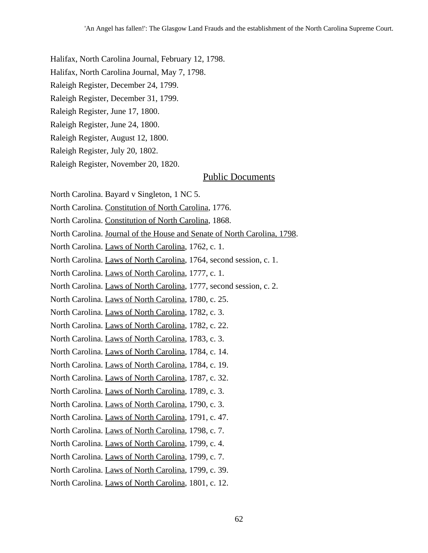- Halifax, North Carolina Journal, February 12, 1798.
- Halifax, North Carolina Journal, May 7, 1798.
- Raleigh Register, December 24, 1799.
- Raleigh Register, December 31, 1799.
- Raleigh Register, June 17, 1800.
- Raleigh Register, June 24, 1800.
- Raleigh Register, August 12, 1800.
- Raleigh Register, July 20, 1802.
- Raleigh Register, November 20, 1820.

### Public Documents

- North Carolina. Bayard v Singleton, 1 NC 5.
- North Carolina. Constitution of North Carolina, 1776.
- North Carolina. Constitution of North Carolina, 1868.
- North Carolina. Journal of the House and Senate of North Carolina, 1798.
- North Carolina. Laws of North Carolina, 1762, c. 1.
- North Carolina. Laws of North Carolina, 1764, second session, c. 1.
- North Carolina. Laws of North Carolina, 1777, c. 1.
- North Carolina. Laws of North Carolina, 1777, second session, c. 2.
- North Carolina. Laws of North Carolina, 1780, c. 25.
- North Carolina. Laws of North Carolina, 1782, c. 3.
- North Carolina. Laws of North Carolina, 1782, c. 22.
- North Carolina. Laws of North Carolina, 1783, c. 3.
- North Carolina. Laws of North Carolina, 1784, c. 14.
- North Carolina. Laws of North Carolina, 1784, c. 19.
- North Carolina. Laws of North Carolina, 1787, c. 32.
- North Carolina. Laws of North Carolina, 1789, c. 3.
- North Carolina. Laws of North Carolina, 1790, c. 3.
- North Carolina. Laws of North Carolina, 1791, c. 47.
- North Carolina. Laws of North Carolina, 1798, c. 7.
- North Carolina. Laws of North Carolina, 1799, c. 4.
- North Carolina. Laws of North Carolina, 1799, c. 7.
- North Carolina. Laws of North Carolina, 1799, c. 39.
- North Carolina. Laws of North Carolina, 1801, c. 12.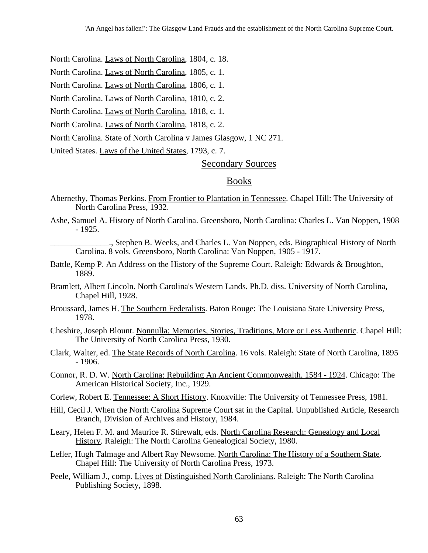North Carolina. Laws of North Carolina, 1804, c. 18.

North Carolina. Laws of North Carolina, 1805, c. 1.

North Carolina. Laws of North Carolina, 1806, c. 1.

North Carolina. Laws of North Carolina, 1810, c. 2.

North Carolina. Laws of North Carolina, 1818, c. 1.

North Carolina. Laws of North Carolina, 1818, c. 2.

North Carolina. State of North Carolina v James Glasgow, 1 NC 271.

United States. Laws of the United States, 1793, c. 7.

#### Secondary Sources

#### Books

- Abernethy, Thomas Perkins. From Frontier to Plantation in Tennessee. Chapel Hill: The University of North Carolina Press, 1932.
- Ashe, Samuel A. History of North Carolina. Greensboro, North Carolina: Charles L. Van Noppen, 1908 - 1925.

\_\_\_\_\_\_\_\_\_\_\_\_\_\_., Stephen B. Weeks, and Charles L. Van Noppen, eds. Biographical History of North Carolina. 8 vols. Greensboro, North Carolina: Van Noppen, 1905 - 1917.

- Battle, Kemp P. An Address on the History of the Supreme Court. Raleigh: Edwards & Broughton, 1889.
- Bramlett, Albert Lincoln. North Carolina's Western Lands. Ph.D. diss. University of North Carolina, Chapel Hill, 1928.
- Broussard, James H. The Southern Federalists. Baton Rouge: The Louisiana State University Press, 1978.
- Cheshire, Joseph Blount. Nonnulla: Memories, Stories, Traditions, More or Less Authentic. Chapel Hill: The University of North Carolina Press, 1930.

Clark, Walter, ed. The State Records of North Carolina. 16 vols. Raleigh: State of North Carolina, 1895 - 1906.

- Connor, R. D. W. North Carolina: Rebuilding An Ancient Commonwealth, 1584 1924. Chicago: The American Historical Society, Inc., 1929.
- Corlew, Robert E. Tennessee: A Short History. Knoxville: The University of Tennessee Press, 1981.
- Hill, Cecil J. When the North Carolina Supreme Court sat in the Capital. Unpublished Article, Research Branch, Division of Archives and History, 1984.

Leary, Helen F. M. and Maurice R. Stirewalt, eds. North Carolina Research: Genealogy and Local History. Raleigh: The North Carolina Genealogical Society, 1980.

Lefler, Hugh Talmage and Albert Ray Newsome. North Carolina: The History of a Southern State. Chapel Hill: The University of North Carolina Press, 1973.

Peele, William J., comp. Lives of Distinguished North Carolinians. Raleigh: The North Carolina Publishing Society, 1898.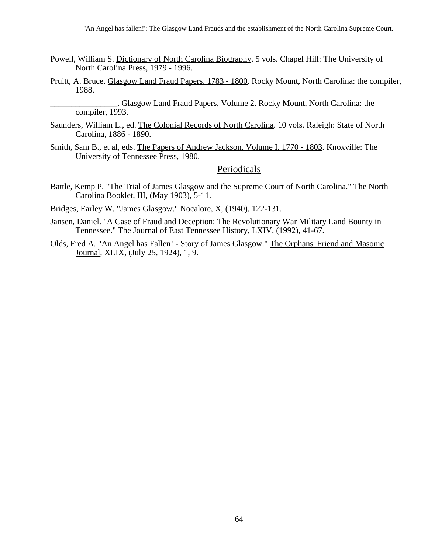- Powell, William S. Dictionary of North Carolina Biography. 5 vols. Chapel Hill: The University of North Carolina Press, 1979 - 1996.
- Pruitt, A. Bruce. Glasgow Land Fraud Papers, 1783 1800. Rocky Mount, North Carolina: the compiler, 1988.

.. Glasgow Land Fraud Papers, Volume 2. Rocky Mount, North Carolina: the compiler, 1993.

- Saunders, William L., ed. The Colonial Records of North Carolina. 10 vols. Raleigh: State of North Carolina, 1886 - 1890.
- Smith, Sam B., et al, eds. The Papers of Andrew Jackson, Volume I, 1770 1803. Knoxville: The University of Tennessee Press, 1980.

#### Periodicals

Battle, Kemp P. "The Trial of James Glasgow and the Supreme Court of North Carolina." The North Carolina Booklet, III, (May 1903), 5-11.

Bridges, Earley W. "James Glasgow." Nocalore, X, (1940), 122-131.

- Jansen, Daniel. "A Case of Fraud and Deception: The Revolutionary War Military Land Bounty in Tennessee." The Journal of East Tennessee History, LXIV, (1992), 41-67.
- Olds, Fred A. "An Angel has Fallen! Story of James Glasgow." The Orphans' Friend and Masonic Journal, XLIX, (July 25, 1924), 1, 9.